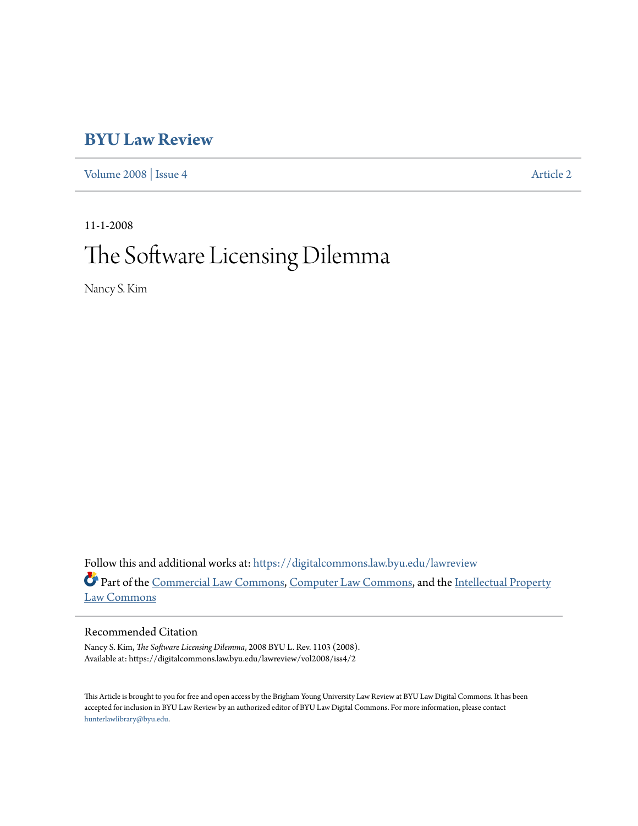# **[BYU Law Review](https://digitalcommons.law.byu.edu/lawreview?utm_source=digitalcommons.law.byu.edu%2Flawreview%2Fvol2008%2Fiss4%2F2&utm_medium=PDF&utm_campaign=PDFCoverPages)**

[Volume 2008](https://digitalcommons.law.byu.edu/lawreview/vol2008?utm_source=digitalcommons.law.byu.edu%2Flawreview%2Fvol2008%2Fiss4%2F2&utm_medium=PDF&utm_campaign=PDFCoverPages) | [Issue 4](https://digitalcommons.law.byu.edu/lawreview/vol2008/iss4?utm_source=digitalcommons.law.byu.edu%2Flawreview%2Fvol2008%2Fiss4%2F2&utm_medium=PDF&utm_campaign=PDFCoverPages) [Article 2](https://digitalcommons.law.byu.edu/lawreview/vol2008/iss4/2?utm_source=digitalcommons.law.byu.edu%2Flawreview%2Fvol2008%2Fiss4%2F2&utm_medium=PDF&utm_campaign=PDFCoverPages)

11-1-2008 The Software Licensing Dilemma

Nancy S. Kim

Follow this and additional works at: [https://digitalcommons.law.byu.edu/lawreview](https://digitalcommons.law.byu.edu/lawreview?utm_source=digitalcommons.law.byu.edu%2Flawreview%2Fvol2008%2Fiss4%2F2&utm_medium=PDF&utm_campaign=PDFCoverPages) Part of the [Commercial Law Commons](http://network.bepress.com/hgg/discipline/586?utm_source=digitalcommons.law.byu.edu%2Flawreview%2Fvol2008%2Fiss4%2F2&utm_medium=PDF&utm_campaign=PDFCoverPages), [Computer Law Commons,](http://network.bepress.com/hgg/discipline/837?utm_source=digitalcommons.law.byu.edu%2Flawreview%2Fvol2008%2Fiss4%2F2&utm_medium=PDF&utm_campaign=PDFCoverPages) and the [Intellectual Property](http://network.bepress.com/hgg/discipline/896?utm_source=digitalcommons.law.byu.edu%2Flawreview%2Fvol2008%2Fiss4%2F2&utm_medium=PDF&utm_campaign=PDFCoverPages) [Law Commons](http://network.bepress.com/hgg/discipline/896?utm_source=digitalcommons.law.byu.edu%2Flawreview%2Fvol2008%2Fiss4%2F2&utm_medium=PDF&utm_campaign=PDFCoverPages)

# Recommended Citation

Nancy S. Kim, *The Software Licensing Dilemma*, 2008 BYU L. Rev. 1103 (2008). Available at: https://digitalcommons.law.byu.edu/lawreview/vol2008/iss4/2

This Article is brought to you for free and open access by the Brigham Young University Law Review at BYU Law Digital Commons. It has been accepted for inclusion in BYU Law Review by an authorized editor of BYU Law Digital Commons. For more information, please contact [hunterlawlibrary@byu.edu.](mailto:hunterlawlibrary@byu.edu)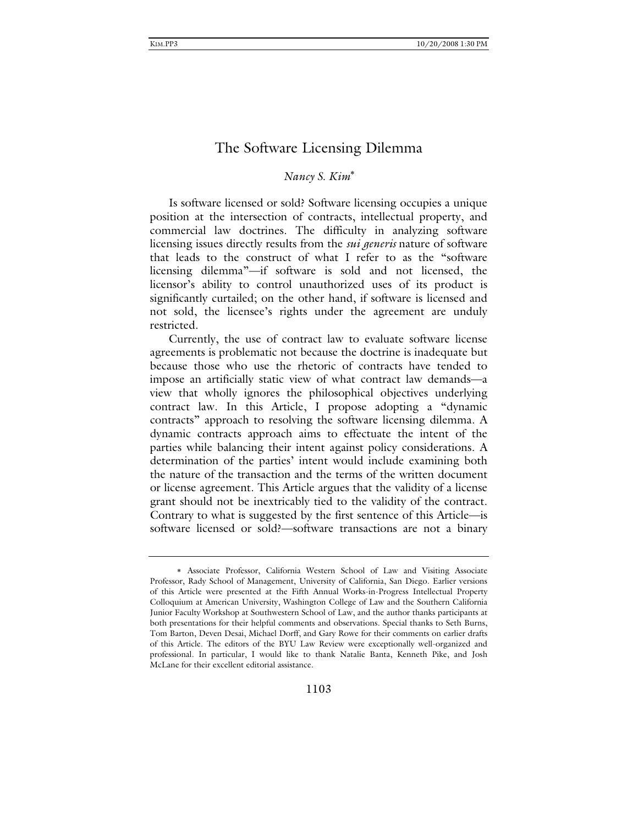# *Nancy S. Kim*

Is software licensed or sold? Software licensing occupies a unique position at the intersection of contracts, intellectual property, and commercial law doctrines. The difficulty in analyzing software licensing issues directly results from the *sui generis* nature of software that leads to the construct of what I refer to as the "software licensing dilemma"—if software is sold and not licensed, the licensor's ability to control unauthorized uses of its product is significantly curtailed; on the other hand, if software is licensed and not sold, the licensee's rights under the agreement are unduly restricted.

 Currently, the use of contract law to evaluate software license agreements is problematic not because the doctrine is inadequate but because those who use the rhetoric of contracts have tended to impose an artificially static view of what contract law demands—a view that wholly ignores the philosophical objectives underlying contract law. In this Article, I propose adopting a "dynamic contracts" approach to resolving the software licensing dilemma. A dynamic contracts approach aims to effectuate the intent of the parties while balancing their intent against policy considerations. A determination of the parties' intent would include examining both the nature of the transaction and the terms of the written document or license agreement. This Article argues that the validity of a license grant should not be inextricably tied to the validity of the contract. Contrary to what is suggested by the first sentence of this Article—is software licensed or sold?—software transactions are not a binary

Associate Professor, California Western School of Law and Visiting Associate Professor, Rady School of Management, University of California, San Diego. Earlier versions of this Article were presented at the Fifth Annual Works-in-Progress Intellectual Property Colloquium at American University, Washington College of Law and the Southern California Junior Faculty Workshop at Southwestern School of Law, and the author thanks participants at both presentations for their helpful comments and observations. Special thanks to Seth Burns, Tom Barton, Deven Desai, Michael Dorff, and Gary Rowe for their comments on earlier drafts of this Article. The editors of the BYU Law Review were exceptionally well-organized and professional. In particular, I would like to thank Natalie Banta, Kenneth Pike, and Josh McLane for their excellent editorial assistance.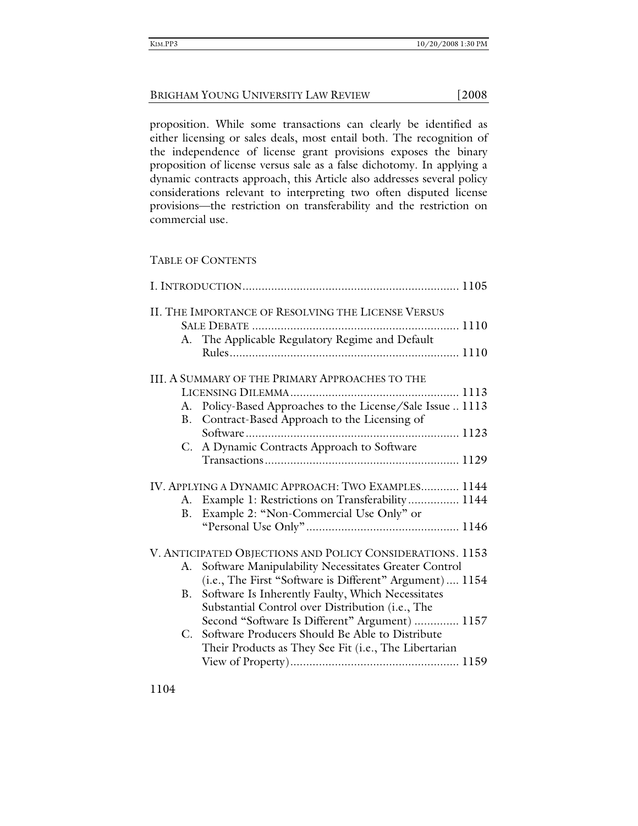proposition. While some transactions can clearly be identified as either licensing or sales deals, most entail both. The recognition of the independence of license grant provisions exposes the binary proposition of license versus sale as a false dichotomy. In applying a dynamic contracts approach, this Article also addresses several policy considerations relevant to interpreting two often disputed license provisions—the restriction on transferability and the restriction on commercial use.

# TABLE OF CONTENTS

|             | II. THE IMPORTANCE OF RESOLVING THE LICENSE VERSUS        |  |
|-------------|-----------------------------------------------------------|--|
|             |                                                           |  |
| А.          | The Applicable Regulatory Regime and Default              |  |
|             |                                                           |  |
|             | III. A SUMMARY OF THE PRIMARY APPROACHES TO THE           |  |
|             |                                                           |  |
| A.          | Policy-Based Approaches to the License/Sale Issue  1113   |  |
| <b>B</b> .  | Contract-Based Approach to the Licensing of               |  |
|             |                                                           |  |
| C.          | A Dynamic Contracts Approach to Software                  |  |
|             |                                                           |  |
|             | IV. APPLYING A DYNAMIC APPROACH: TWO EXAMPLES 1144        |  |
|             | A. Example 1: Restrictions on Transferability 1144        |  |
|             | B. Example 2: "Non-Commercial Use Only" or                |  |
|             |                                                           |  |
|             | V. ANTICIPATED OBJECTIONS AND POLICY CONSIDERATIONS. 1153 |  |
|             | A. Software Manipulability Necessitates Greater Control   |  |
|             | (i.e., The First "Software is Different" Argument) 1154   |  |
| B.          | Software Is Inherently Faulty, Which Necessitates         |  |
|             | Substantial Control over Distribution (i.e., The          |  |
|             | Second "Software Is Different" Argument)  1157            |  |
| $C_{\cdot}$ | Software Producers Should Be Able to Distribute           |  |
|             | Their Products as They See Fit (i.e., The Libertarian     |  |
|             |                                                           |  |
|             |                                                           |  |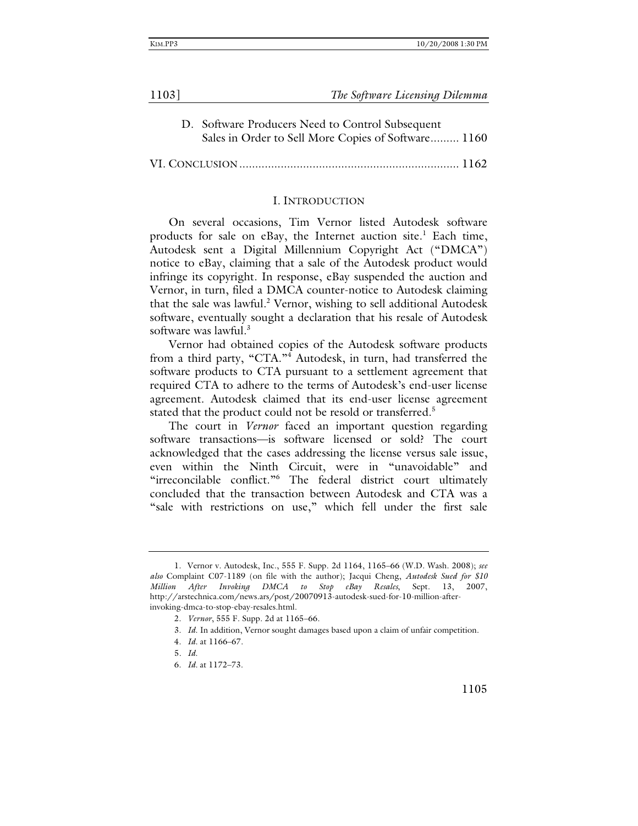| 1103] | The Software Licensing Dilemma |
|-------|--------------------------------|
|       |                                |

D. Software Producers Need to Control Subsequent Sales in Order to Sell More Copies of Software ......... 1160

VI. CONCLUSION ..................................................................... 1162

### I. INTRODUCTION

On several occasions, Tim Vernor listed Autodesk software products for sale on eBay, the Internet auction site.<sup>1</sup> Each time, Autodesk sent a Digital Millennium Copyright Act ("DMCA") notice to eBay, claiming that a sale of the Autodesk product would infringe its copyright. In response, eBay suspended the auction and Vernor, in turn, filed a DMCA counter-notice to Autodesk claiming that the sale was lawful.<sup>2</sup> Vernor, wishing to sell additional Autodesk software, eventually sought a declaration that his resale of Autodesk software was lawful.<sup>3</sup>

Vernor had obtained copies of the Autodesk software products from a third party, "CTA."<sup>4</sup> Autodesk, in turn, had transferred the software products to CTA pursuant to a settlement agreement that required CTA to adhere to the terms of Autodesk's end-user license agreement. Autodesk claimed that its end-user license agreement stated that the product could not be resold or transferred.<sup>5</sup>

The court in *Vernor* faced an important question regarding software transactions—is software licensed or sold? The court acknowledged that the cases addressing the license versus sale issue, even within the Ninth Circuit, were in "unavoidable" and "irreconcilable conflict."<sup>6</sup> The federal district court ultimately concluded that the transaction between Autodesk and CTA was a "sale with restrictions on use," which fell under the first sale

5*. Id*.

 <sup>1.</sup> Vernor v. Autodesk, Inc., 555 F. Supp. 2d 1164, 1165–66 (W.D. Wash. 2008); *see also* Complaint C07-1189 (on file with the author); Jacqui Cheng, *Autodesk Sued for \$10 Million After Invoking DMCA to Stop eBay Resales*, Sept. 13, 2007, http://arstechnica.com/news.ars/post/20070913-autodesk-sued-for-10-million-afterinvoking-dmca-to-stop-ebay-resales.html.

 <sup>2.</sup> *Vernor*, 555 F. Supp. 2d at 1165–66.

 <sup>3.</sup> *Id*. In addition, Vernor sought damages based upon a claim of unfair competition.

 <sup>4.</sup> *Id.* at 1166–67.

 <sup>6.</sup> *Id.* at 1172–73.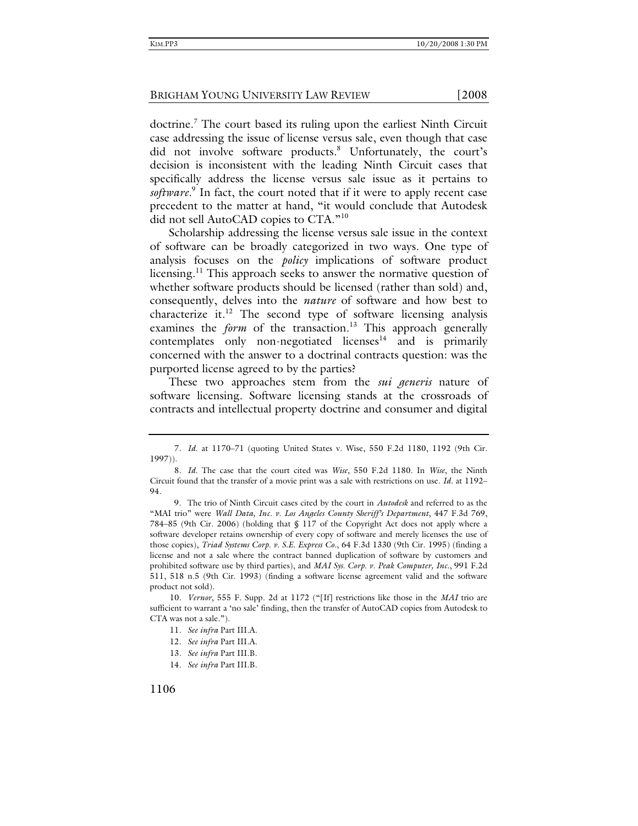doctrine.<sup>7</sup> The court based its ruling upon the earliest Ninth Circuit case addressing the issue of license versus sale, even though that case did not involve software products.<sup>8</sup> Unfortunately, the court's decision is inconsistent with the leading Ninth Circuit cases that specifically address the license versus sale issue as it pertains to software.<sup>9</sup> In fact, the court noted that if it were to apply recent case precedent to the matter at hand, "it would conclude that Autodesk did not sell AutoCAD copies to CTA."10

Scholarship addressing the license versus sale issue in the context of software can be broadly categorized in two ways. One type of analysis focuses on the *policy* implications of software product licensing.<sup>11</sup> This approach seeks to answer the normative question of whether software products should be licensed (rather than sold) and, consequently, delves into the *nature* of software and how best to characterize it. $12$  The second type of software licensing analysis examines the *form* of the transaction.<sup>13</sup> This approach generally contemplates only non-negotiated licenses $14$  and is primarily concerned with the answer to a doctrinal contracts question: was the purported license agreed to by the parties?

These two approaches stem from the *sui generis* nature of software licensing. Software licensing stands at the crossroads of contracts and intellectual property doctrine and consumer and digital

<sup>7</sup>*. Id*. at 1170–71 (quoting United States v. Wise, 550 F.2d 1180, 1192 (9th Cir. 1997)).

<sup>8</sup>*. Id*. The case that the court cited was *Wise*, 550 F.2d 1180. In *Wise*, the Ninth Circuit found that the transfer of a movie print was a sale with restrictions on use. *Id*. at 1192– 94.

 <sup>9.</sup> The trio of Ninth Circuit cases cited by the court in *Autodesk* and referred to as the "MAI trio" were *Wall Data, Inc. v. Los Angeles County Sheriff's Department*, 447 F.3d 769, 784–85 (9th Cir. 2006) (holding that § 117 of the Copyright Act does not apply where a software developer retains ownership of every copy of software and merely licenses the use of those copies), *Triad Systems Corp. v. S.E. Express Co.*, 64 F.3d 1330 (9th Cir. 1995) (finding a license and not a sale where the contract banned duplication of software by customers and prohibited software use by third parties), and *MAI Sys. Corp. v. Peak Computer, Inc.*, 991 F.2d 511, 518 n.5 (9th Cir. 1993) (finding a software license agreement valid and the software product not sold).

<sup>10</sup>*. Vernor*, 555 F. Supp. 2d at 1172 ("[If] restrictions like those in the *MAI* trio are sufficient to warrant a 'no sale' finding, then the transfer of AutoCAD copies from Autodesk to CTA was not a sale.").

<sup>11</sup>*. See infra* Part III.A.

<sup>12</sup>*. See infra* Part III.A.

<sup>13</sup>*. See infra* Part III.B.

<sup>14</sup>*. See infra* Part III.B.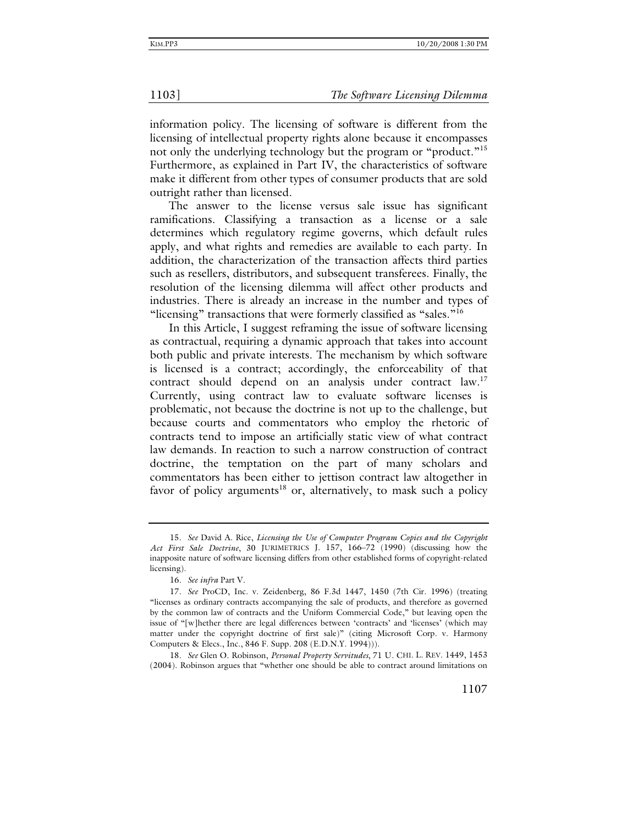information policy. The licensing of software is different from the licensing of intellectual property rights alone because it encompasses not only the underlying technology but the program or "product."<sup>15</sup> Furthermore, as explained in Part IV, the characteristics of software make it different from other types of consumer products that are sold outright rather than licensed.

The answer to the license versus sale issue has significant ramifications. Classifying a transaction as a license or a sale determines which regulatory regime governs, which default rules apply, and what rights and remedies are available to each party. In addition, the characterization of the transaction affects third parties such as resellers, distributors, and subsequent transferees. Finally, the resolution of the licensing dilemma will affect other products and industries. There is already an increase in the number and types of "licensing" transactions that were formerly classified as "sales."<sup>16</sup>

In this Article, I suggest reframing the issue of software licensing as contractual, requiring a dynamic approach that takes into account both public and private interests. The mechanism by which software is licensed is a contract; accordingly, the enforceability of that contract should depend on an analysis under contract law.<sup>17</sup> Currently, using contract law to evaluate software licenses is problematic, not because the doctrine is not up to the challenge, but because courts and commentators who employ the rhetoric of contracts tend to impose an artificially static view of what contract law demands. In reaction to such a narrow construction of contract doctrine, the temptation on the part of many scholars and commentators has been either to jettison contract law altogether in favor of policy arguments<sup>18</sup> or, alternatively, to mask such a policy

18*. See* Glen O. Robinson, *Personal Property Servitudes*, 71 U. CHI. L. REV. 1449, 1453 (2004). Robinson argues that "whether one should be able to contract around limitations on

<sup>15</sup>*. See* David A. Rice, *Licensing the Use of Computer Program Copies and the Copyright Act First Sale Doctrine*, 30 JURIMETRICS J. 157, 166–72 (1990) (discussing how the inapposite nature of software licensing differs from other established forms of copyright-related licensing).

<sup>16</sup>*. See infra* Part V.

<sup>17</sup>*. See* ProCD, Inc. v. Zeidenberg, 86 F.3d 1447, 1450 (7th Cir. 1996) (treating "licenses as ordinary contracts accompanying the sale of products, and therefore as governed by the common law of contracts and the Uniform Commercial Code," but leaving open the issue of "[w]hether there are legal differences between 'contracts' and 'licenses' (which may matter under the copyright doctrine of first sale)" (citing Microsoft Corp. v. Harmony Computers & Elecs., Inc., 846 F. Supp. 208 (E.D.N.Y. 1994)))*.*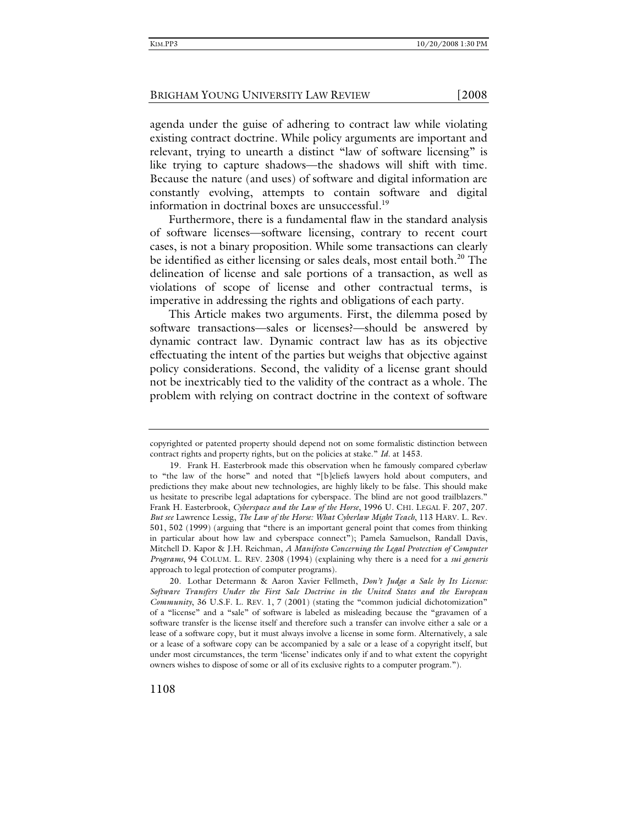agenda under the guise of adhering to contract law while violating existing contract doctrine. While policy arguments are important and relevant, trying to unearth a distinct "law of software licensing" is like trying to capture shadows—the shadows will shift with time. Because the nature (and uses) of software and digital information are constantly evolving, attempts to contain software and digital information in doctrinal boxes are unsuccessful.<sup>19</sup>

Furthermore, there is a fundamental flaw in the standard analysis of software licenses—software licensing, contrary to recent court cases, is not a binary proposition. While some transactions can clearly be identified as either licensing or sales deals, most entail both.<sup>20</sup> The delineation of license and sale portions of a transaction, as well as violations of scope of license and other contractual terms, is imperative in addressing the rights and obligations of each party.

This Article makes two arguments. First, the dilemma posed by software transactions—sales or licenses?—should be answered by dynamic contract law. Dynamic contract law has as its objective effectuating the intent of the parties but weighs that objective against policy considerations. Second, the validity of a license grant should not be inextricably tied to the validity of the contract as a whole. The problem with relying on contract doctrine in the context of software

copyrighted or patented property should depend not on some formalistic distinction between contract rights and property rights, but on the policies at stake." *Id*. at 1453.

 <sup>19.</sup> Frank H. Easterbrook made this observation when he famously compared cyberlaw to "the law of the horse" and noted that "[b]eliefs lawyers hold about computers, and predictions they make about new technologies, are highly likely to be false. This should make us hesitate to prescribe legal adaptations for cyberspace. The blind are not good trailblazers." Frank H. Easterbrook, *Cyberspace and the Law of the Horse*, 1996 U. CHI. LEGAL F. 207, 207. *But see* Lawrence Lessig, *The Law of the Horse: What Cyberlaw Might Teach*, 113 HARV. L. Rev. 501, 502 (1999) (arguing that "there is an important general point that comes from thinking in particular about how law and cyberspace connect"); Pamela Samuelson, Randall Davis, Mitchell D. Kapor & J.H. Reichman, *A Manifesto Concerning the Legal Protection of Computer Programs*, 94 COLUM. L. REV. 2308 (1994) (explaining why there is a need for a *sui generis* approach to legal protection of computer programs).

 <sup>20.</sup> Lothar Determann & Aaron Xavier Fellmeth, *Don't Judge a Sale by Its License: Software Transfers Under the First Sale Doctrine in the United States and the European Community*, 36 U.S.F. L. REV. 1, 7 (2001) (stating the "common judicial dichotomization" of a "license" and a "sale" of software is labeled as misleading because the "gravamen of a software transfer is the license itself and therefore such a transfer can involve either a sale or a lease of a software copy, but it must always involve a license in some form. Alternatively, a sale or a lease of a software copy can be accompanied by a sale or a lease of a copyright itself, but under most circumstances, the term 'license' indicates only if and to what extent the copyright owners wishes to dispose of some or all of its exclusive rights to a computer program.").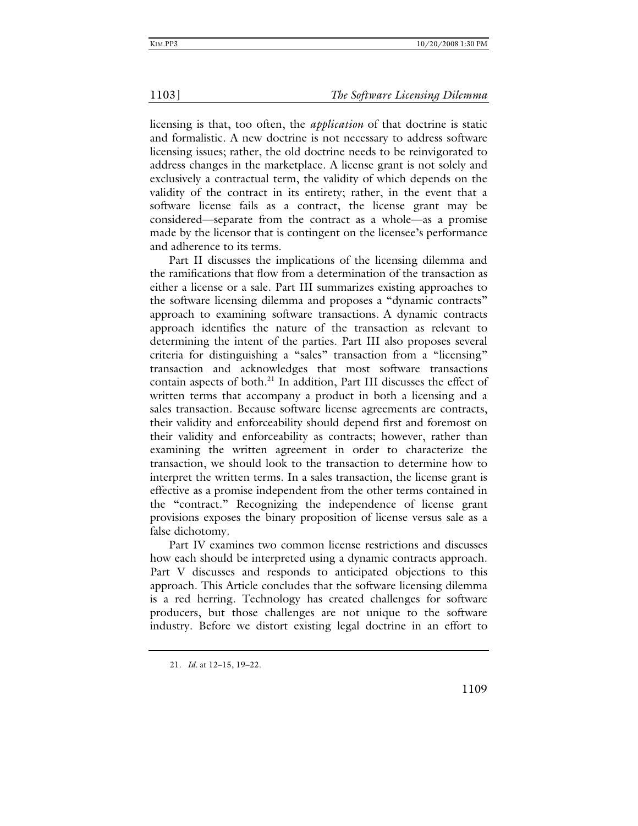licensing is that, too often, the *application* of that doctrine is static and formalistic. A new doctrine is not necessary to address software licensing issues; rather, the old doctrine needs to be reinvigorated to address changes in the marketplace. A license grant is not solely and exclusively a contractual term, the validity of which depends on the validity of the contract in its entirety; rather, in the event that a software license fails as a contract, the license grant may be considered—separate from the contract as a whole—as a promise made by the licensor that is contingent on the licensee's performance and adherence to its terms.

Part II discusses the implications of the licensing dilemma and the ramifications that flow from a determination of the transaction as either a license or a sale. Part III summarizes existing approaches to the software licensing dilemma and proposes a "dynamic contracts" approach to examining software transactions. A dynamic contracts approach identifies the nature of the transaction as relevant to determining the intent of the parties. Part III also proposes several criteria for distinguishing a "sales" transaction from a "licensing" transaction and acknowledges that most software transactions contain aspects of both.<sup>21</sup> In addition, Part III discusses the effect of written terms that accompany a product in both a licensing and a sales transaction. Because software license agreements are contracts, their validity and enforceability should depend first and foremost on their validity and enforceability as contracts; however, rather than examining the written agreement in order to characterize the transaction, we should look to the transaction to determine how to interpret the written terms. In a sales transaction, the license grant is effective as a promise independent from the other terms contained in the "contract." Recognizing the independence of license grant provisions exposes the binary proposition of license versus sale as a false dichotomy.

Part IV examines two common license restrictions and discusses how each should be interpreted using a dynamic contracts approach. Part V discusses and responds to anticipated objections to this approach. This Article concludes that the software licensing dilemma is a red herring. Technology has created challenges for software producers, but those challenges are not unique to the software industry. Before we distort existing legal doctrine in an effort to

<sup>21</sup>*. Id.* at 12–15, 19–22.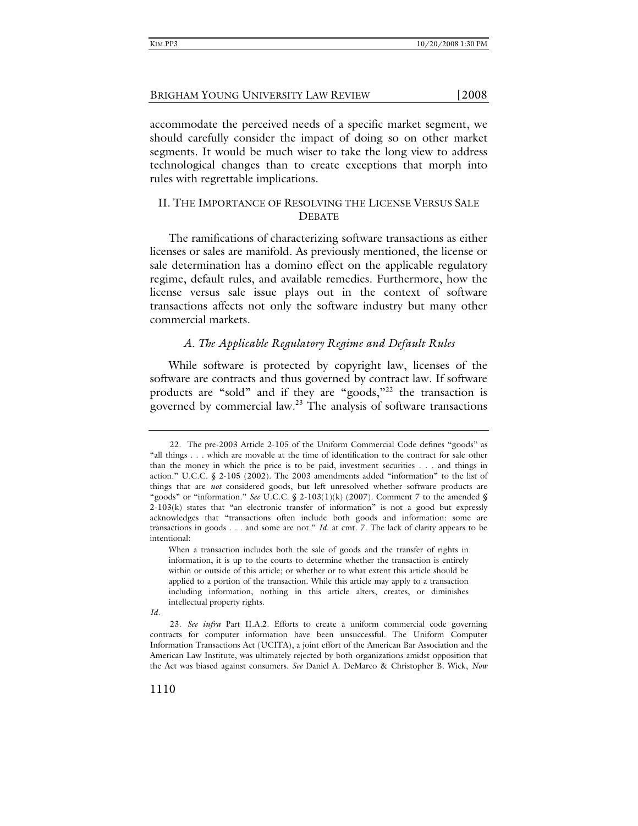accommodate the perceived needs of a specific market segment, we should carefully consider the impact of doing so on other market segments. It would be much wiser to take the long view to address technological changes than to create exceptions that morph into rules with regrettable implications.

# II. THE IMPORTANCE OF RESOLVING THE LICENSE VERSUS SALE **DEBATE**

The ramifications of characterizing software transactions as either licenses or sales are manifold. As previously mentioned, the license or sale determination has a domino effect on the applicable regulatory regime, default rules, and available remedies. Furthermore, how the license versus sale issue plays out in the context of software transactions affects not only the software industry but many other commercial markets.

# *A. The Applicable Regulatory Regime and Default Rules*

While software is protected by copyright law, licenses of the software are contracts and thus governed by contract law. If software products are "sold" and if they are "goods,"22 the transaction is governed by commercial law.<sup>23</sup> The analysis of software transactions

 <sup>22.</sup> The pre-2003 Article 2-105 of the Uniform Commercial Code defines "goods" as "all things . . . which are movable at the time of identification to the contract for sale other than the money in which the price is to be paid, investment securities . . . and things in action." U.C.C. § 2-105 (2002). The 2003 amendments added "information" to the list of things that are *not* considered goods, but left unresolved whether software products are "goods" or "information." *See* U.C.C. § 2-103(1)(k) (2007). Comment 7 to the amended § 2-103(k) states that "an electronic transfer of information" is not a good but expressly acknowledges that "transactions often include both goods and information: some are transactions in goods . . . and some are not." *Id.* at cmt. 7. The lack of clarity appears to be intentional:

When a transaction includes both the sale of goods and the transfer of rights in information, it is up to the courts to determine whether the transaction is entirely within or outside of this article; or whether or to what extent this article should be applied to a portion of the transaction. While this article may apply to a transaction including information, nothing in this article alters, creates, or diminishes intellectual property rights.

*Id.* 

<sup>23</sup>*. See infra* Part II.A.2. Efforts to create a uniform commercial code governing contracts for computer information have been unsuccessful. The Uniform Computer Information Transactions Act (UCITA), a joint effort of the American Bar Association and the American Law Institute, was ultimately rejected by both organizations amidst opposition that the Act was biased against consumers. *See* Daniel A. DeMarco & Christopher B. Wick, *Now*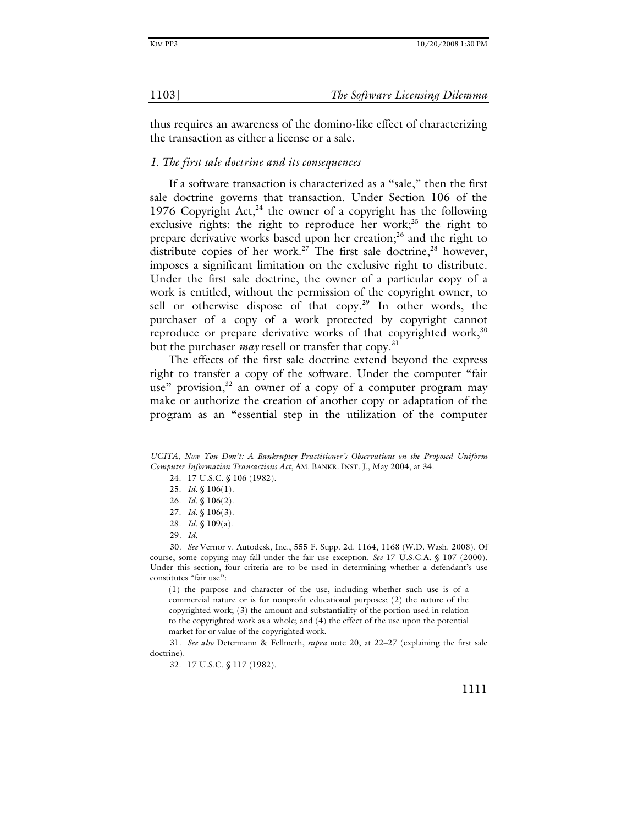thus requires an awareness of the domino-like effect of characterizing the transaction as either a license or a sale.

### *1. The first sale doctrine and its consequences*

If a software transaction is characterized as a "sale," then the first sale doctrine governs that transaction. Under Section 106 of the 1976 Copyright Act, $^{24}$  the owner of a copyright has the following exclusive rights: the right to reproduce her work;<sup>25</sup> the right to prepare derivative works based upon her creation;<sup>26</sup> and the right to distribute copies of her work.<sup>27</sup> The first sale doctrine,<sup>28</sup> however, imposes a significant limitation on the exclusive right to distribute. Under the first sale doctrine, the owner of a particular copy of a work is entitled, without the permission of the copyright owner, to sell or otherwise dispose of that  $copy.^{29}$  In other words, the purchaser of a copy of a work protected by copyright cannot reproduce or prepare derivative works of that copyrighted work,  $30$ but the purchaser *may* resell or transfer that copy.<sup>31</sup>

The effects of the first sale doctrine extend beyond the express right to transfer a copy of the software. Under the computer "fair use" provision,<sup>32</sup> an owner of a copy of a computer program may make or authorize the creation of another copy or adaptation of the program as an "essential step in the utilization of the computer

31*. See also* Determann & Fellmeth, *supra* note 20, at 22–27 (explaining the first sale doctrine).

32. 17 U.S.C. § 117 (1982).

*UCITA, Now You Don't: A Bankruptcy Practitioner's Observations on the Proposed Uniform Computer Information Transactions Act*, AM. BANKR. INST. J., May 2004, at 34.

 <sup>24. 17</sup> U.S.C. § 106 (1982).

 <sup>25.</sup> *Id.* § 106(1).

 <sup>26.</sup> *Id.* § 106(2).

 <sup>27.</sup> *Id.* § 106(3).

 <sup>28.</sup> *Id.* § 109(a).

<sup>29</sup>*. Id.*

<sup>30</sup>*. See* Vernor v. Autodesk, Inc., 555 F. Supp. 2d. 1164, 1168 (W.D. Wash. 2008)*.* Of course, some copying may fall under the fair use exception. *See* 17 U.S.C.A. § 107 (2000). Under this section, four criteria are to be used in determining whether a defendant's use constitutes "fair use":

<sup>(1)</sup> the purpose and character of the use, including whether such use is of a commercial nature or is for nonprofit educational purposes; (2) the nature of the copyrighted work; (3) the amount and substantiality of the portion used in relation to the copyrighted work as a whole; and (4) the effect of the use upon the potential market for or value of the copyrighted work.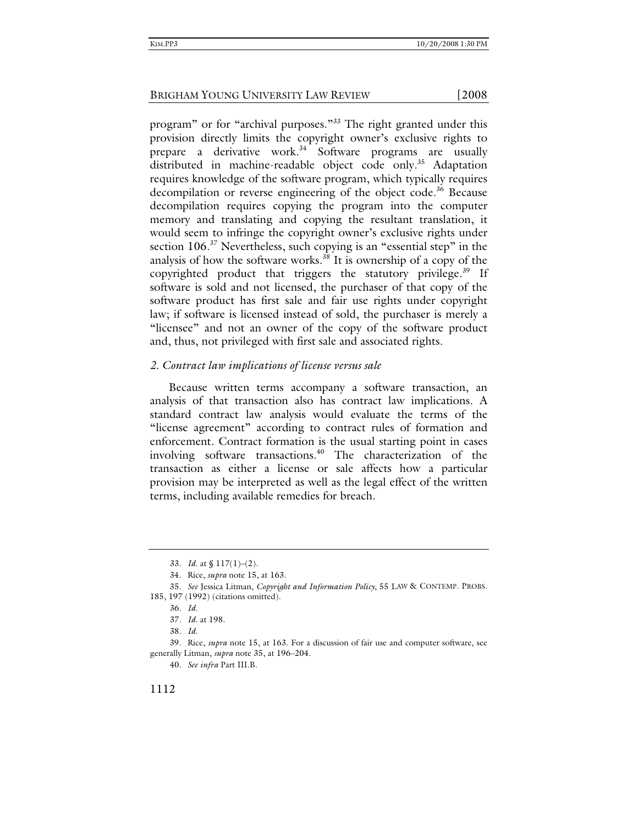program" or for "archival purposes."<sup>33</sup> The right granted under this provision directly limits the copyright owner's exclusive rights to prepare a derivative work.<sup>34</sup> Software programs are usually distributed in machine-readable object code only.<sup>35</sup> Adaptation requires knowledge of the software program, which typically requires decompilation or reverse engineering of the object code.<sup>36</sup> Because decompilation requires copying the program into the computer memory and translating and copying the resultant translation, it would seem to infringe the copyright owner's exclusive rights under section 106.<sup>37</sup> Nevertheless, such copying is an "essential step" in the analysis of how the software works.<sup>38</sup> It is ownership of a copy of the copyrighted product that triggers the statutory privilege.<sup>39</sup> If software is sold and not licensed, the purchaser of that copy of the software product has first sale and fair use rights under copyright law; if software is licensed instead of sold, the purchaser is merely a "licensee" and not an owner of the copy of the software product and, thus, not privileged with first sale and associated rights.

### *2. Contract law implications of license versus sale*

Because written terms accompany a software transaction, an analysis of that transaction also has contract law implications. A standard contract law analysis would evaluate the terms of the "license agreement" according to contract rules of formation and enforcement. Contract formation is the usual starting point in cases involving software transactions.<sup>40</sup> The characterization of the transaction as either a license or sale affects how a particular provision may be interpreted as well as the legal effect of the written terms, including available remedies for breach.

40*. See infra* Part III.B.

<sup>33</sup>*. Id*. at § 117(1)–(2).

 <sup>34.</sup> Rice, *supra* note 15, at 163.

<sup>35</sup>*. See* Jessica Litman, *Copyright and Information Policy*, 55 LAW & CONTEMP. PROBS. 185, 197 (1992) (citations omitted).

<sup>36</sup>*. Id*.

<sup>37</sup>*. Id*. at 198.

<sup>38</sup>*. Id*.

 <sup>39.</sup> Rice, *supra* note 15, at 163. For a discussion of fair use and computer software, see generally Litman, *supra* note 35, at 196–204.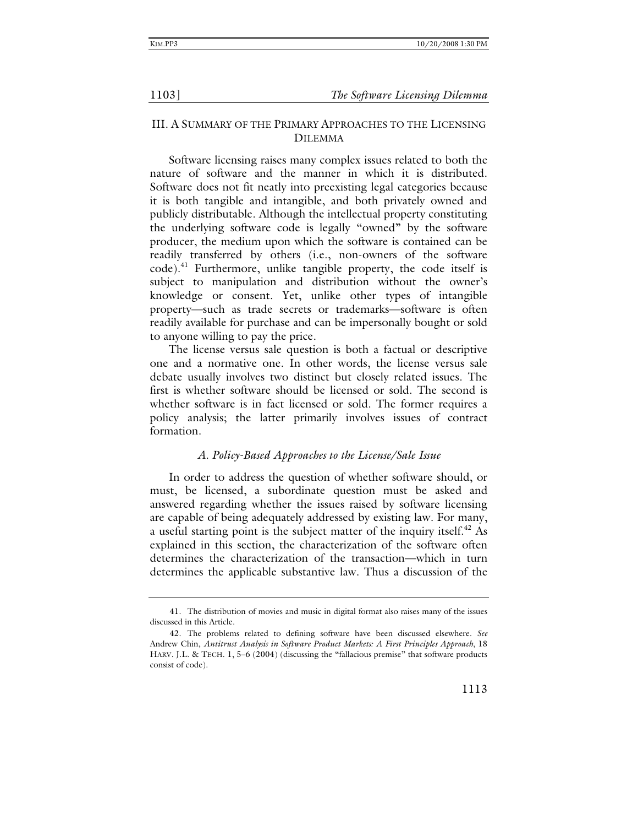# III. A SUMMARY OF THE PRIMARY APPROACHES TO THE LICENSING DILEMMA

Software licensing raises many complex issues related to both the nature of software and the manner in which it is distributed. Software does not fit neatly into preexisting legal categories because it is both tangible and intangible, and both privately owned and publicly distributable. Although the intellectual property constituting the underlying software code is legally "owned" by the software producer, the medium upon which the software is contained can be readily transferred by others (i.e., non-owners of the software  $code)$ <sup>41</sup> Furthermore, unlike tangible property, the code itself is subject to manipulation and distribution without the owner's knowledge or consent. Yet, unlike other types of intangible property—such as trade secrets or trademarks—software is often readily available for purchase and can be impersonally bought or sold to anyone willing to pay the price.

The license versus sale question is both a factual or descriptive one and a normative one. In other words, the license versus sale debate usually involves two distinct but closely related issues. The first is whether software should be licensed or sold. The second is whether software is in fact licensed or sold. The former requires a policy analysis; the latter primarily involves issues of contract formation.

### *A. Policy-Based Approaches to the License/Sale Issue*

In order to address the question of whether software should, or must, be licensed, a subordinate question must be asked and answered regarding whether the issues raised by software licensing are capable of being adequately addressed by existing law. For many, a useful starting point is the subject matter of the inquiry itself.<sup>42</sup> As explained in this section, the characterization of the software often determines the characterization of the transaction—which in turn determines the applicable substantive law. Thus a discussion of the

 <sup>41.</sup> The distribution of movies and music in digital format also raises many of the issues discussed in this Article.

 <sup>42.</sup> The problems related to defining software have been discussed elsewhere. *See*  Andrew Chin, *Antitrust Analysis in Software Product Markets: A First Principles Approach*, 18 HARV. J.L. & TECH. 1, 5–6 (2004) (discussing the "fallacious premise" that software products consist of code).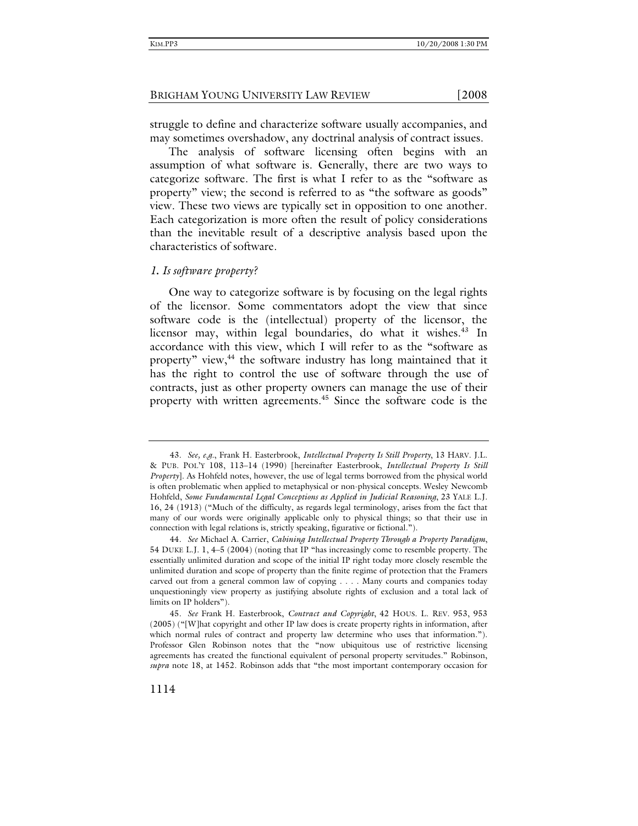struggle to define and characterize software usually accompanies, and may sometimes overshadow, any doctrinal analysis of contract issues.

The analysis of software licensing often begins with an assumption of what software is. Generally, there are two ways to categorize software. The first is what I refer to as the "software as property" view; the second is referred to as "the software as goods" view. These two views are typically set in opposition to one another. Each categorization is more often the result of policy considerations than the inevitable result of a descriptive analysis based upon the characteristics of software.

### *1. Is software property?*

One way to categorize software is by focusing on the legal rights of the licensor. Some commentators adopt the view that since software code is the (intellectual) property of the licensor, the licensor may, within legal boundaries, do what it wishes. $43$  In accordance with this view, which I will refer to as the "software as property" view,<sup>44</sup> the software industry has long maintained that it has the right to control the use of software through the use of contracts, just as other property owners can manage the use of their property with written agreements.<sup>45</sup> Since the software code is the

<sup>43</sup>*. See, e.g.*, Frank H. Easterbrook, *Intellectual Property Is Still Property*, 13 HARV. J.L. & PUB. POL'Y 108, 113–14 (1990) [hereinafter Easterbrook, *Intellectual Property Is Still Property*]. As Hohfeld notes, however, the use of legal terms borrowed from the physical world is often problematic when applied to metaphysical or non-physical concepts. Wesley Newcomb Hohfeld, *Some Fundamental Legal Conceptions as Applied in Judicial Reasoning*, 23 YALE L.J. 16, 24 (1913) ("Much of the difficulty, as regards legal terminology, arises from the fact that many of our words were originally applicable only to physical things; so that their use in connection with legal relations is, strictly speaking, figurative or fictional.").

<sup>44</sup>*. See* Michael A. Carrier, *Cabining Intellectual Property Through a Property Paradigm*, 54 DUKE L.J. 1, 4–5 (2004) (noting that IP "has increasingly come to resemble property. The essentially unlimited duration and scope of the initial IP right today more closely resemble the unlimited duration and scope of property than the finite regime of protection that the Framers carved out from a general common law of copying . . . . Many courts and companies today unquestioningly view property as justifying absolute rights of exclusion and a total lack of limits on IP holders").

<sup>45</sup>*. See* Frank H. Easterbrook, *Contract and Copyright*, 42 HOUS. L. REV. 953, 953 (2005) ("[W]hat copyright and other IP law does is create property rights in information, after which normal rules of contract and property law determine who uses that information."). Professor Glen Robinson notes that the "now ubiquitous use of restrictive licensing agreements has created the functional equivalent of personal property servitudes." Robinson, *supra* note 18, at 1452. Robinson adds that "the most important contemporary occasion for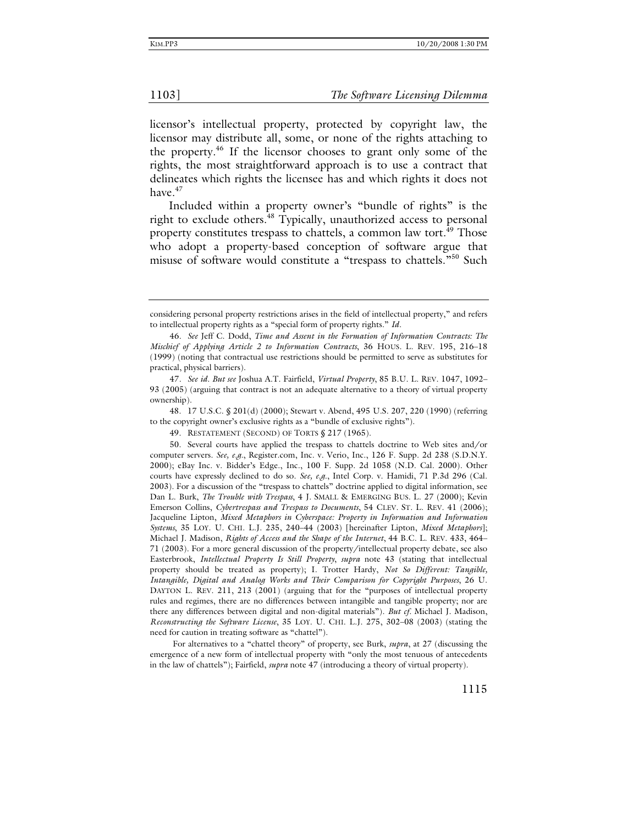licensor's intellectual property, protected by copyright law, the licensor may distribute all, some, or none of the rights attaching to the property.46 If the licensor chooses to grant only some of the rights, the most straightforward approach is to use a contract that delineates which rights the licensee has and which rights it does not have.<sup>47</sup>

Included within a property owner's "bundle of rights" is the right to exclude others.<sup>48</sup> Typically, unauthorized access to personal property constitutes trespass to chattels, a common law tort.<sup>49</sup> Those who adopt a property-based conception of software argue that misuse of software would constitute a "trespass to chattels."<sup>50</sup> Such

 48. 17 U.S.C. § 201(d) (2000); Stewart v. Abend, 495 U.S. 207, 220 (1990) (referring to the copyright owner's exclusive rights as a "bundle of exclusive rights").

For alternatives to a "chattel theory" of property, see Burk, *supra*, at 27 (discussing the emergence of a new form of intellectual property with "only the most tenuous of antecedents in the law of chattels"); Fairfield, *supra* note 47 (introducing a theory of virtual property).

considering personal property restrictions arises in the field of intellectual property," and refers to intellectual property rights as a "special form of property rights." *Id.*

<sup>46</sup>*. See* Jeff C. Dodd, *Time and Assent in the Formation of Information Contracts: The Mischief of Applying Article 2 to Information Contracts*, 36 HOUS. L. REV. 195, 216–18 (1999) (noting that contractual use restrictions should be permitted to serve as substitutes for practical, physical barriers).

<sup>47</sup>*. See id. But see* Joshua A.T. Fairfield, *Virtual Property*, 85 B.U. L. REV. 1047, 1092– 93 (2005) (arguing that contract is not an adequate alternative to a theory of virtual property ownership).

 <sup>49.</sup> RESTATEMENT (SECOND) OF TORTS § 217 (1965).

 <sup>50.</sup> Several courts have applied the trespass to chattels doctrine to Web sites and/or computer servers. *See, e.g.*, Register.com, Inc. v. Verio, Inc., 126 F. Supp. 2d 238 (S.D.N.Y. 2000); eBay Inc. v. Bidder's Edge., Inc., 100 F. Supp. 2d 1058 (N.D. Cal. 2000). Other courts have expressly declined to do so. *See, e.g.*, Intel Corp. v. Hamidi, 71 P.3d 296 (Cal. 2003). For a discussion of the "trespass to chattels" doctrine applied to digital information, see Dan L. Burk, *The Trouble with Trespass*, 4 J. SMALL & EMERGING BUS. L. 27 (2000); Kevin Emerson Collins, *Cybertrespass and Trespass to Documents*, 54 CLEV. ST. L. REV. 41 (2006); Jacqueline Lipton, *Mixed Metaphors in Cyberspace: Property in Information and Information Systems*, 35 LOY. U. CHI. L.J. 235, 240–44 (2003) [hereinafter Lipton, *Mixed Metaphors*]; Michael J. Madison, *Rights of Access and the Shape of the Internet*, 44 B.C. L. REV. 433, 464– 71 (2003). For a more general discussion of the property/intellectual property debate, see also Easterbrook, *Intellectual Property Is Still Property*, *supra* note 43 (stating that intellectual property should be treated as property); I. Trotter Hardy, *Not So Different: Tangible, Intangible, Digital and Analog Works and Their Comparison for Copyright Purposes*, 26 U. DAYTON L. REV. 211, 213 (2001) (arguing that for the "purposes of intellectual property rules and regimes, there are no differences between intangible and tangible property; nor are there any differences between digital and non-digital materials"). *But cf.* Michael J. Madison, *Reconstructing the Software License*, 35 LOY. U. CHI. L.J. 275, 302–08 (2003) (stating the need for caution in treating software as "chattel").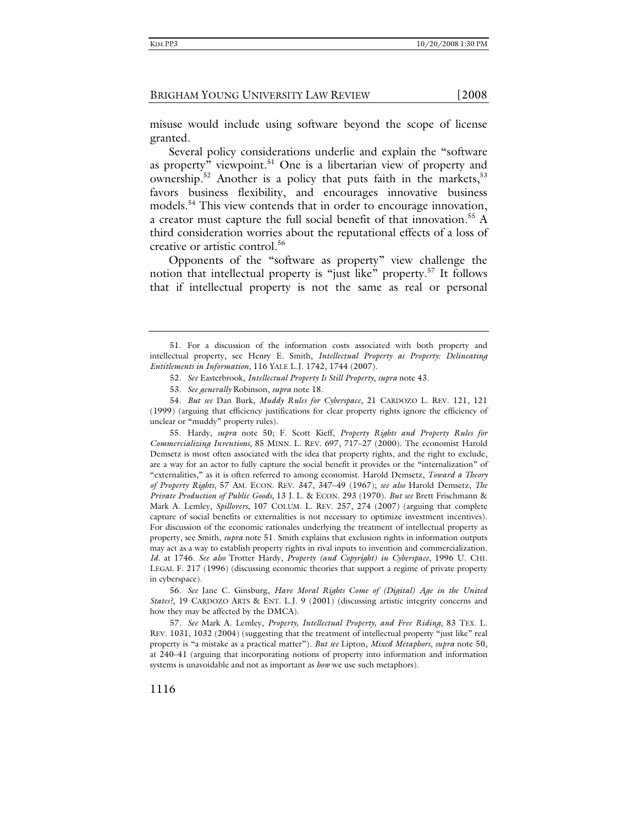misuse would include using software beyond the scope of license granted.

Several policy considerations underlie and explain the "software as property" viewpoint.<sup>51</sup> One is a libertarian view of property and ownership.<sup>52</sup> Another is a policy that puts faith in the markets,<sup>53</sup> favors business flexibility, and encourages innovative business models.<sup>54</sup> This view contends that in order to encourage innovation, a creator must capture the full social benefit of that innovation.<sup>55</sup> A third consideration worries about the reputational effects of a loss of creative or artistic control.<sup>56</sup>

Opponents of the "software as property" view challenge the notion that intellectual property is "just like" property.<sup>57</sup> It follows that if intellectual property is not the same as real or personal

56*. See* Jane C. Ginsburg, *Have Moral Rights Come of (Digital) Age in the United States?*, 19 CARDOZO ARTS & ENT. L.J. 9 (2001) (discussing artistic integrity concerns and how they may be affected by the DMCA).

57*. See* Mark A. Lemley, *Property, Intellectual Property, and Free Riding*, 83 TEX. L. REV. 1031, 1032 (2004) (suggesting that the treatment of intellectual property "just like" real property is "a mistake as a practical matter"). *But see* Lipton, *Mixed Metaphors*, *supra* note 50, at 240–41 (arguing that incorporating notions of property into information and information systems is unavoidable and not as important as *how* we use such metaphors).

1116

 <sup>51.</sup> For a discussion of the information costs associated with both property and intellectual property, see Henry E. Smith, *Intellectual Property as Property: Delineating Entitlements in Information*, 116 YALE L.J. 1742, 1744 (2007).

<sup>52</sup>*. See* Easterbrook, *Intellectual Property Is Still Property*, *supra* note 43.

<sup>53</sup>*. See generally* Robinson, *supra* note 18.

<sup>54</sup>*. But see* Dan Burk, *Muddy Rules for Cyberspace*, 21 CARDOZO L. REV. 121, 121 (1999) (arguing that efficiency justifications for clear property rights ignore the efficiency of unclear or "muddy" property rules).

 <sup>55.</sup> Hardy, *supra* note 50; F. Scott Kieff, *Property Rights and Property Rules for Commercializing Inventions*, 85 MINN. L. REV. 697, 717–27 (2000). The economist Harold Demsetz is most often associated with the idea that property rights, and the right to exclude, are a way for an actor to fully capture the social benefit it provides or the "internalization" of "externalities," as it is often referred to among economist. Harold Demsetz, *Toward a Theory of Property Rights*, 57 AM. ECON. REV. 347, 347–49 (1967); *see also* Harold Demsetz, *The Private Production of Public Goods*, 13 J. L. & ECON. 293 (1970). *But see* Brett Frischmann & Mark A. Lemley, *Spillovers*, 107 COLUM. L. REV. 257, 274 (2007) (arguing that complete capture of social benefits or externalities is not necessary to optimize investment incentives). For discussion of the economic rationales underlying the treatment of intellectual property as property, see Smith, *supra* note 51. Smith explains that exclusion rights in information outputs may act as a way to establish property rights in rival inputs to invention and commercialization. *Id*. at 1746. *See also* Trotter Hardy, *Property (and Copyright) in Cyberspace*, 1996 U. CHI. LEGAL F. 217 (1996) (discussing economic theories that support a regime of private property in cyberspace).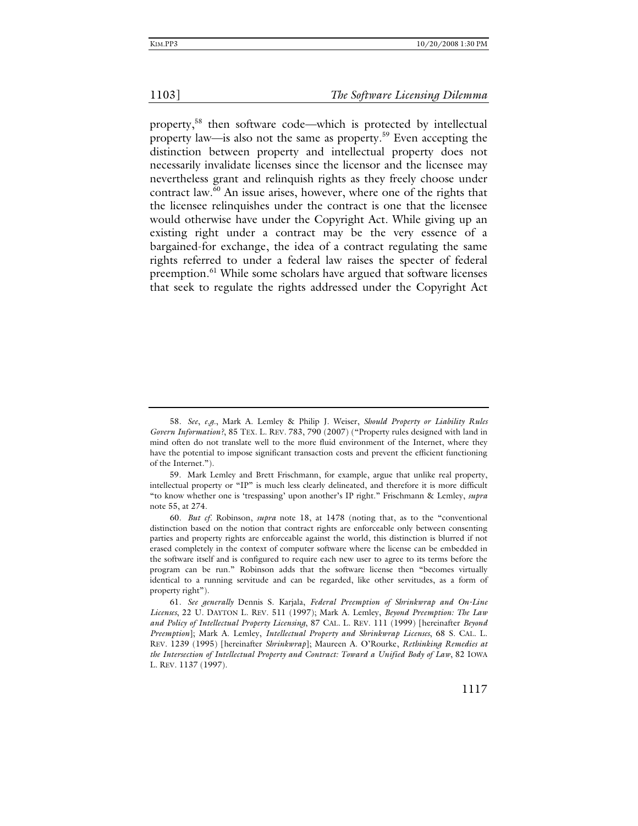property,58 then software code—which is protected by intellectual property law—is also not the same as property.59 Even accepting the distinction between property and intellectual property does not necessarily invalidate licenses since the licensor and the licensee may nevertheless grant and relinquish rights as they freely choose under contract law.60 An issue arises, however, where one of the rights that the licensee relinquishes under the contract is one that the licensee would otherwise have under the Copyright Act. While giving up an existing right under a contract may be the very essence of a bargained-for exchange, the idea of a contract regulating the same rights referred to under a federal law raises the specter of federal preemption.<sup>61</sup> While some scholars have argued that software licenses that seek to regulate the rights addressed under the Copyright Act

<sup>58</sup>*. See*, *e.g.*, Mark A. Lemley & Philip J. Weiser, *Should Property or Liability Rules Govern Information?*, 85 TEX. L. REV. 783, 790 (2007) ("Property rules designed with land in mind often do not translate well to the more fluid environment of the Internet, where they have the potential to impose significant transaction costs and prevent the efficient functioning of the Internet.").

 <sup>59.</sup> Mark Lemley and Brett Frischmann, for example, argue that unlike real property, intellectual property or "IP" is much less clearly delineated, and therefore it is more difficult "to know whether one is 'trespassing' upon another's IP right." Frischmann & Lemley, *supra* note 55, at 274.

<sup>60</sup>*. But cf.* Robinson, *supra* note 18, at 1478 (noting that, as to the "conventional distinction based on the notion that contract rights are enforceable only between consenting parties and property rights are enforceable against the world, this distinction is blurred if not erased completely in the context of computer software where the license can be embedded in the software itself and is configured to require each new user to agree to its terms before the program can be run." Robinson adds that the software license then "becomes virtually identical to a running servitude and can be regarded, like other servitudes, as a form of property right").

<sup>61</sup>*. See generally* Dennis S. Karjala, *Federal Preemption of Shrinkwrap and On-Line Licenses*, 22 U. DAYTON L. REV. 511 (1997); Mark A. Lemley, *Beyond Preemption: The Law and Policy of Intellectual Property Licensing*, 87 CAL. L. REV. 111 (1999) [hereinafter *Beyond Preemption*]; Mark A. Lemley, *Intellectual Property and Shrinkwrap Licenses*, 68 S. CAL. L. REV. 1239 (1995) [hereinafter *Shrinkwrap*]; Maureen A. O'Rourke, *Rethinking Remedies at the Intersection of Intellectual Property and Contract: Toward a Unified Body of Law*, 82 IOWA L. REV. 1137 (1997).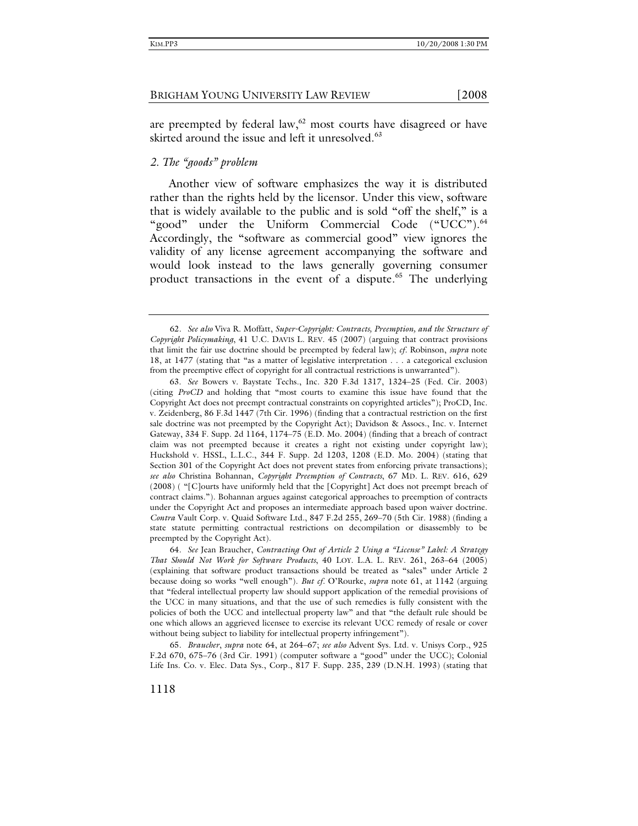are preempted by federal law, $62$  most courts have disagreed or have skirted around the issue and left it unresolved.<sup>63</sup>

# *2. The "goods" problem*

Another view of software emphasizes the way it is distributed rather than the rights held by the licensor. Under this view, software that is widely available to the public and is sold "off the shelf," is a "good" under the Uniform Commercial Code ("UCC").<sup>64</sup> Accordingly, the "software as commercial good" view ignores the validity of any license agreement accompanying the software and would look instead to the laws generally governing consumer product transactions in the event of a dispute.<sup>65</sup> The underlying

<sup>62</sup>*. See also* Viva R. Moffatt, *Super-Copyright: Contracts, Preemption, and the Structure of Copyright Policymaking*, 41 U.C. DAVIS L. REV. 45 (2007) (arguing that contract provisions that limit the fair use doctrine should be preempted by federal law); *cf.* Robinson, *supra* note 18, at 1477 (stating that "as a matter of legislative interpretation . . . a categorical exclusion from the preemptive effect of copyright for all contractual restrictions is unwarranted").

 <sup>63.</sup> *See* Bowers v. Baystate Techs., Inc. 320 F.3d 1317, 1324–25 (Fed. Cir. 2003) (citing *ProCD* and holding that "most courts to examine this issue have found that the Copyright Act does not preempt contractual constraints on copyrighted articles"); ProCD, Inc. v. Zeidenberg, 86 F.3d 1447 (7th Cir. 1996) (finding that a contractual restriction on the first sale doctrine was not preempted by the Copyright Act); Davidson & Assocs., Inc. v. Internet Gateway, 334 F. Supp. 2d 1164, 1174–75 (E.D. Mo. 2004) (finding that a breach of contract claim was not preempted because it creates a right not existing under copyright law); Huckshold v. HSSL, L.L.C., 344 F. Supp. 2d 1203, 1208 (E.D. Mo. 2004) (stating that Section 301 of the Copyright Act does not prevent states from enforcing private transactions); *see also* Christina Bohannan, *Copyright Preemption of Contracts*, 67 MD. L. REV. 616, 629 (2008) ( "[C]ourts have uniformly held that the [Copyright] Act does not preempt breach of contract claims."). Bohannan argues against categorical approaches to preemption of contracts under the Copyright Act and proposes an intermediate approach based upon waiver doctrine. *Contra* Vault Corp. v. Quaid Software Ltd., 847 F.2d 255, 269–70 (5th Cir. 1988) (finding a state statute permitting contractual restrictions on decompilation or disassembly to be preempted by the Copyright Act).

<sup>64</sup>*. See* Jean Braucher, *Contracting Out of Article 2 Using a "License" Label: A Strategy That Should Not Work for Software Products*, 40 LOY. L.A. L. REV. 261, 263–64 (2005) (explaining that software product transactions should be treated as "sales" under Article 2 because doing so works "well enough"). *But cf.* O'Rourke, *supra* note 61, at 1142 (arguing that "federal intellectual property law should support application of the remedial provisions of the UCC in many situations, and that the use of such remedies is fully consistent with the policies of both the UCC and intellectual property law" and that "the default rule should be one which allows an aggrieved licensee to exercise its relevant UCC remedy of resale or cover without being subject to liability for intellectual property infringement").

<sup>65</sup>*. Braucher*, *supra* note 64, at 264–67; *see also* Advent Sys. Ltd. v. Unisys Corp., 925 F.2d 670, 675–76 (3rd Cir. 1991) (computer software a "good" under the UCC); Colonial Life Ins. Co. v. Elec. Data Sys., Corp., 817 F. Supp. 235, 239 (D.N.H. 1993) (stating that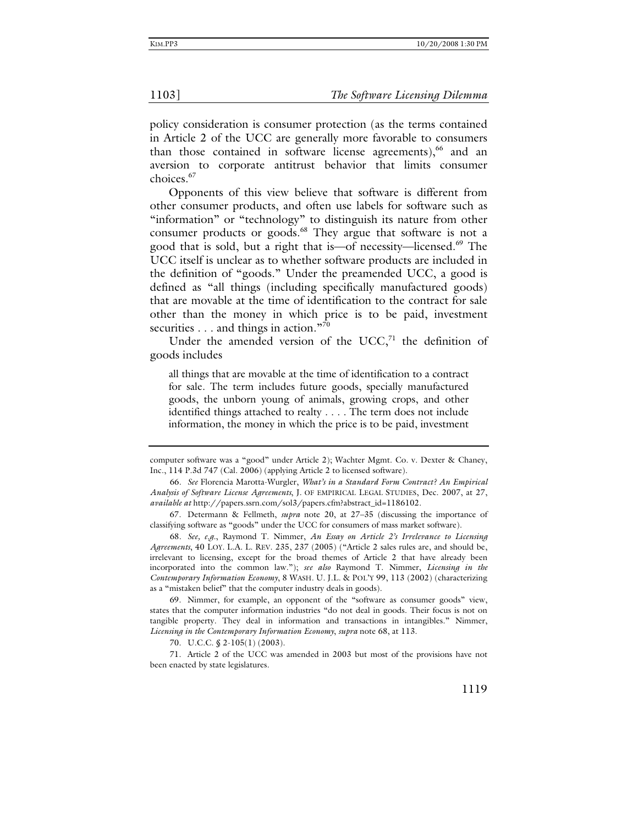policy consideration is consumer protection (as the terms contained in Article 2 of the UCC are generally more favorable to consumers than those contained in software license agreements), $66$  and an aversion to corporate antitrust behavior that limits consumer choices.<sup>67</sup>

Opponents of this view believe that software is different from other consumer products, and often use labels for software such as "information" or "technology" to distinguish its nature from other consumer products or goods.<sup>68</sup> They argue that software is not a good that is sold, but a right that is—of necessity—licensed.<sup>69</sup> The UCC itself is unclear as to whether software products are included in the definition of "goods." Under the preamended UCC, a good is defined as "all things (including specifically manufactured goods) that are movable at the time of identification to the contract for sale other than the money in which price is to be paid, investment securities  $\dots$  and things in action."<sup>70</sup>

Under the amended version of the UCC, $71$  the definition of goods includes

all things that are movable at the time of identification to a contract for sale. The term includes future goods, specially manufactured goods, the unborn young of animals, growing crops, and other identified things attached to realty . . . . The term does not include information, the money in which the price is to be paid, investment

 69. Nimmer, for example, an opponent of the "software as consumer goods" view, states that the computer information industries "do not deal in goods. Their focus is not on tangible property. They deal in information and transactions in intangibles." Nimmer, *Licensing in the Contemporary Information Economy*, *supra* note 68, at 113.

70. U.C.C. § 2-105(1) (2003).

 71. Article 2 of the UCC was amended in 2003 but most of the provisions have not been enacted by state legislatures.

computer software was a "good" under Article 2); Wachter Mgmt. Co. v. Dexter & Chaney, Inc., 114 P.3d 747 (Cal. 2006) (applying Article 2 to licensed software).

<sup>66</sup>*. See* Florencia Marotta-Wurgler, *What's in a Standard Form Contract? An Empirical Analysis of Software License Agreements*, J. OF EMPIRICAL LEGAL STUDIES, Dec. 2007, at 27, *available at* http://papers.ssrn.com/sol3/papers.cfm?abstract\_id=1186102.

 <sup>67.</sup> Determann & Fellmeth, *supra* note 20, at 27–35 (discussing the importance of classifying software as "goods" under the UCC for consumers of mass market software).

<sup>68</sup>*. See, e.g.*, Raymond T. Nimmer, *An Essay on Article 2's Irrelevance to Licensing Agreements*, 40 LOY. L.A. L. REV. 235, 237 (2005) ("Article 2 sales rules are, and should be, irrelevant to licensing, except for the broad themes of Article 2 that have already been incorporated into the common law."); *see also* Raymond T. Nimmer, *Licensing in the Contemporary Information Economy*, 8 WASH. U. J.L. & POL'Y 99, 113 (2002) (characterizing as a "mistaken belief" that the computer industry deals in goods).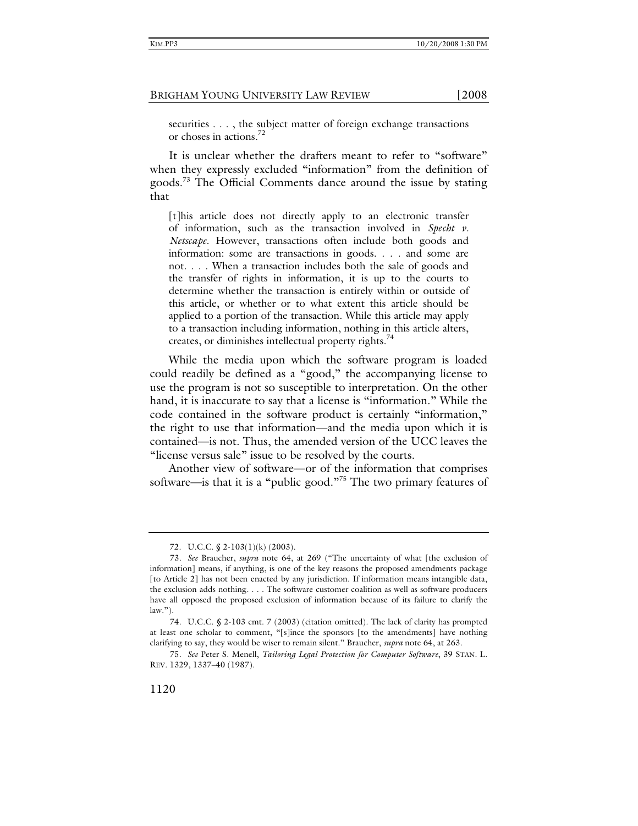securities . . . , the subject matter of foreign exchange transactions or choses in actions.72

It is unclear whether the drafters meant to refer to "software" when they expressly excluded "information" from the definition of goods.<sup>73</sup> The Official Comments dance around the issue by stating that

[t]his article does not directly apply to an electronic transfer of information, such as the transaction involved in *Specht v. Netscape*. However, transactions often include both goods and information: some are transactions in goods. . . . and some are not. . . . When a transaction includes both the sale of goods and the transfer of rights in information, it is up to the courts to determine whether the transaction is entirely within or outside of this article, or whether or to what extent this article should be applied to a portion of the transaction. While this article may apply to a transaction including information, nothing in this article alters, creates, or diminishes intellectual property rights.<sup>74</sup>

While the media upon which the software program is loaded could readily be defined as a "good," the accompanying license to use the program is not so susceptible to interpretation. On the other hand, it is inaccurate to say that a license is "information." While the code contained in the software product is certainly "information," the right to use that information—and the media upon which it is contained—is not. Thus, the amended version of the UCC leaves the "license versus sale" issue to be resolved by the courts.

Another view of software—or of the information that comprises software—is that it is a "public good."75 The two primary features of

 <sup>72.</sup> U.C.C. § 2-103(1)(k) (2003).

<sup>73</sup>*. See* Braucher, *supra* note 64, at 269 ("The uncertainty of what [the exclusion of information] means, if anything, is one of the key reasons the proposed amendments package [to Article 2] has not been enacted by any jurisdiction. If information means intangible data, the exclusion adds nothing. . . . The software customer coalition as well as software producers have all opposed the proposed exclusion of information because of its failure to clarify the  $law."$ ).

<sup>74</sup>*.* U.C.C. § 2-103 cmt. 7 (2003) (citation omitted). The lack of clarity has prompted at least one scholar to comment, "[s]ince the sponsors [to the amendments] have nothing clarifying to say, they would be wiser to remain silent." Braucher, *supra* note 64, at 263.

<sup>75</sup>*. See* Peter S. Menell, *Tailoring Legal Protection for Computer Software*, 39 STAN. L. REV. 1329, 1337–40 (1987).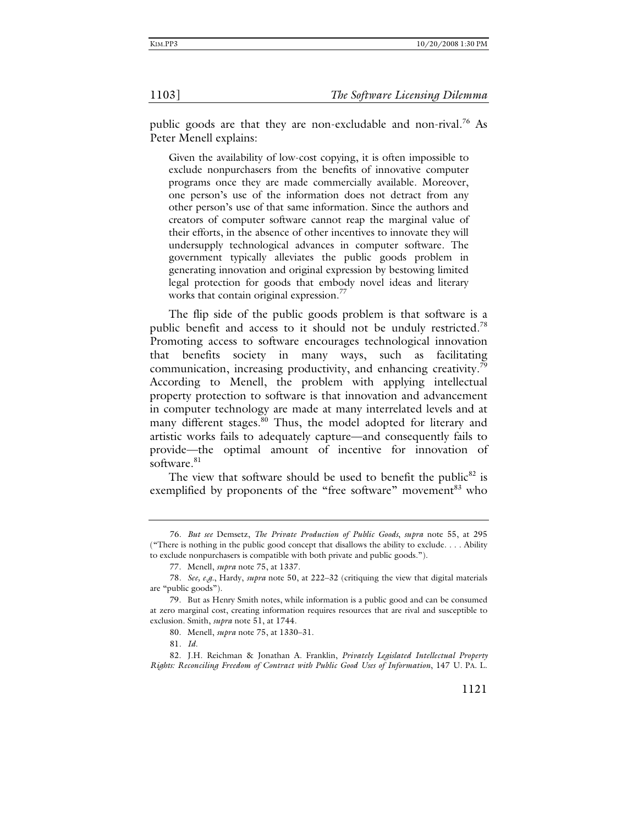public goods are that they are non-excludable and non-rival.76 As Peter Menell explains:

Given the availability of low-cost copying, it is often impossible to exclude nonpurchasers from the benefits of innovative computer programs once they are made commercially available. Moreover, one person's use of the information does not detract from any other person's use of that same information. Since the authors and creators of computer software cannot reap the marginal value of their efforts, in the absence of other incentives to innovate they will undersupply technological advances in computer software. The government typically alleviates the public goods problem in generating innovation and original expression by bestowing limited legal protection for goods that embody novel ideas and literary works that contain original expression.<sup>77</sup>

The flip side of the public goods problem is that software is a public benefit and access to it should not be unduly restricted.<sup>78</sup> Promoting access to software encourages technological innovation that benefits society in many ways, such as facilitating communication, increasing productivity, and enhancing creativity.<sup>79</sup> According to Menell, the problem with applying intellectual property protection to software is that innovation and advancement in computer technology are made at many interrelated levels and at many different stages.<sup>80</sup> Thus, the model adopted for literary and artistic works fails to adequately capture—and consequently fails to provide—the optimal amount of incentive for innovation of software.<sup>81</sup>

The view that software should be used to benefit the public<sup>82</sup> is exemplified by proponents of the "free software" movement<sup>83</sup> who

<sup>76</sup>*. But see* Demsetz, *The Private Production of Public Goods*, *supra* note 55, at 295 ("There is nothing in the public good concept that disallows the ability to exclude. . . . Ability to exclude nonpurchasers is compatible with both private and public goods.").

 <sup>77.</sup> Menell, *supra* note 75, at 1337.

<sup>78</sup>*. See, e.g.*, Hardy, *supra* note 50, at 222–32 (critiquing the view that digital materials are "public goods").

 <sup>79.</sup> But as Henry Smith notes, while information is a public good and can be consumed at zero marginal cost, creating information requires resources that are rival and susceptible to exclusion. Smith, *supra* note 51, at 1744.

 <sup>80.</sup> Menell, *supra* note 75, at 1330–31.

<sup>81</sup>*. Id*.

 <sup>82.</sup> J.H. Reichman & Jonathan A. Franklin, *Privately Legislated Intellectual Property Rights: Reconciling Freedom of Contract with Public Good Uses of Information*, 147 U. PA. L.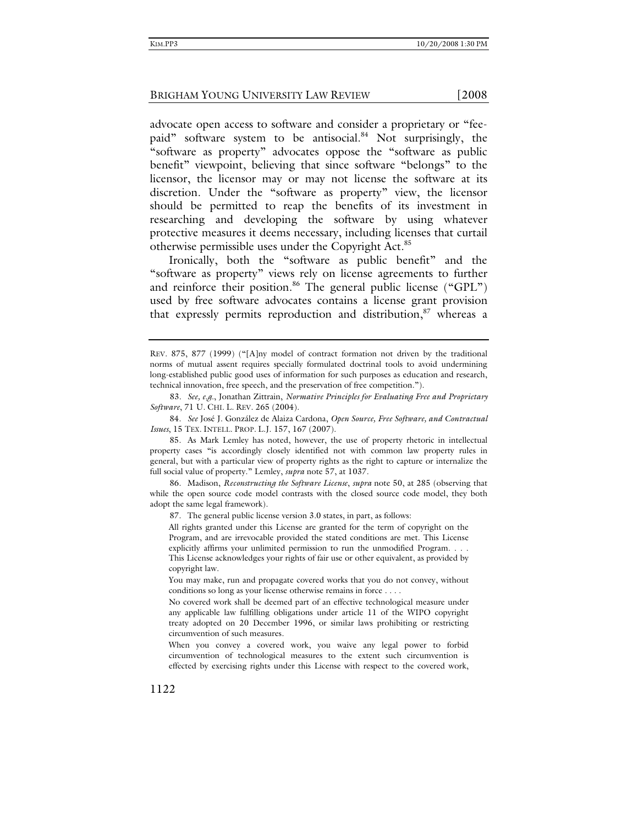advocate open access to software and consider a proprietary or "feepaid" software system to be antisocial.<sup>84</sup> Not surprisingly, the "software as property" advocates oppose the "software as public benefit" viewpoint, believing that since software "belongs" to the licensor, the licensor may or may not license the software at its discretion. Under the "software as property" view, the licensor should be permitted to reap the benefits of its investment in researching and developing the software by using whatever protective measures it deems necessary, including licenses that curtail

otherwise permissible uses under the Copyright Act.85 Ironically, both the "software as public benefit" and the "software as property" views rely on license agreements to further and reinforce their position.<sup>86</sup> The general public license ("GPL") used by free software advocates contains a license grant provision that expressly permits reproduction and distribution, $s<sup>7</sup>$  whereas a

87. The general public license version 3.0 states, in part, as follows:

All rights granted under this License are granted for the term of copyright on the Program, and are irrevocable provided the stated conditions are met. This License explicitly affirms your unlimited permission to run the unmodified Program. . . . This License acknowledges your rights of fair use or other equivalent, as provided by copyright law.

You may make, run and propagate covered works that you do not convey, without conditions so long as your license otherwise remains in force . . . .

No covered work shall be deemed part of an effective technological measure under any applicable law fulfilling obligations under article 11 of the WIPO copyright treaty adopted on 20 December 1996, or similar laws prohibiting or restricting circumvention of such measures.

When you convey a covered work, you waive any legal power to forbid circumvention of technological measures to the extent such circumvention is effected by exercising rights under this License with respect to the covered work,

1122

REV. 875, 877 (1999) ("[A]ny model of contract formation not driven by the traditional norms of mutual assent requires specially formulated doctrinal tools to avoid undermining long-established public good uses of information for such purposes as education and research, technical innovation, free speech, and the preservation of free competition.").

<sup>83</sup>*. See, e.g.*, Jonathan Zittrain, *Normative Principles for Evaluating Free and Proprietary Software*, 71 U. CHI. L. REV. 265 (2004).

 <sup>84.</sup> *See* José J. González de Alaiza Cardona, *Open Source, Free Software, and Contractual Issues*, 15 TEX. INTELL. PROP. L.J. 157, 167 (2007).

 <sup>85.</sup> As Mark Lemley has noted, however, the use of property rhetoric in intellectual property cases "is accordingly closely identified not with common law property rules in general, but with a particular view of property rights as the right to capture or internalize the full social value of property." Lemley, *supra* note 57, at 1037.

 <sup>86.</sup> Madison, *Reconstructing the Software License*, *supra* note 50, at 285 (observing that while the open source code model contrasts with the closed source code model, they both adopt the same legal framework).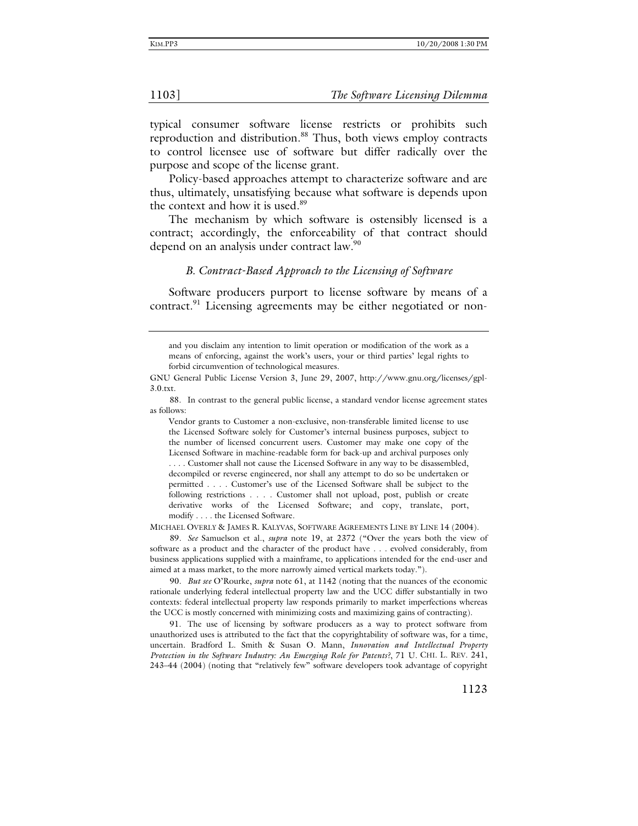typical consumer software license restricts or prohibits such reproduction and distribution.<sup>88</sup> Thus, both views employ contracts to control licensee use of software but differ radically over the purpose and scope of the license grant.

Policy-based approaches attempt to characterize software and are thus, ultimately, unsatisfying because what software is depends upon the context and how it is used.<sup>89</sup>

The mechanism by which software is ostensibly licensed is a contract; accordingly, the enforceability of that contract should depend on an analysis under contract law.<sup>90</sup>

### *B. Contract-Based Approach to the Licensing of Software*

Software producers purport to license software by means of a contract.<sup>91</sup> Licensing agreements may be either negotiated or non-

Vendor grants to Customer a non-exclusive, non-transferable limited license to use the Licensed Software solely for Customer's internal business purposes, subject to the number of licensed concurrent users. Customer may make one copy of the Licensed Software in machine-readable form for back-up and archival purposes only . . . . Customer shall not cause the Licensed Software in any way to be disassembled, decompiled or reverse engineered, nor shall any attempt to do so be undertaken or permitted . . . . Customer's use of the Licensed Software shall be subject to the following restrictions . . . . Customer shall not upload, post, publish or create derivative works of the Licensed Software; and copy, translate, port, modify . . . . the Licensed Software.

MICHAEL OVERLY & JAMES R. KALYVAS, SOFTWARE AGREEMENTS LINE BY LINE 14 (2004).

89*. See* Samuelson et al., *supra* note 19, at 2372 ("Over the years both the view of software as a product and the character of the product have . . . evolved considerably, from business applications supplied with a mainframe, to applications intended for the end-user and aimed at a mass market, to the more narrowly aimed vertical markets today.").

90*. But see* O'Rourke, *supra* note 61, at 1142 (noting that the nuances of the economic rationale underlying federal intellectual property law and the UCC differ substantially in two contexts: federal intellectual property law responds primarily to market imperfections whereas the UCC is mostly concerned with minimizing costs and maximizing gains of contracting).

 91. The use of licensing by software producers as a way to protect software from unauthorized uses is attributed to the fact that the copyrightability of software was, for a time, uncertain. Bradford L. Smith & Susan O. Mann, *Innovation and Intellectual Property Protection in the Software Industry: An Emerging Role for Patents?*, 71 U. CHI. L. REV. 241, 243–44 (2004) (noting that "relatively few" software developers took advantage of copyright

and you disclaim any intention to limit operation or modification of the work as a means of enforcing, against the work's users, your or third parties' legal rights to forbid circumvention of technological measures.

GNU General Public License Version 3, June 29, 2007, http://www.gnu.org/licenses/gpl-3.0.txt.

 <sup>88.</sup> In contrast to the general public license, a standard vendor license agreement states as follows: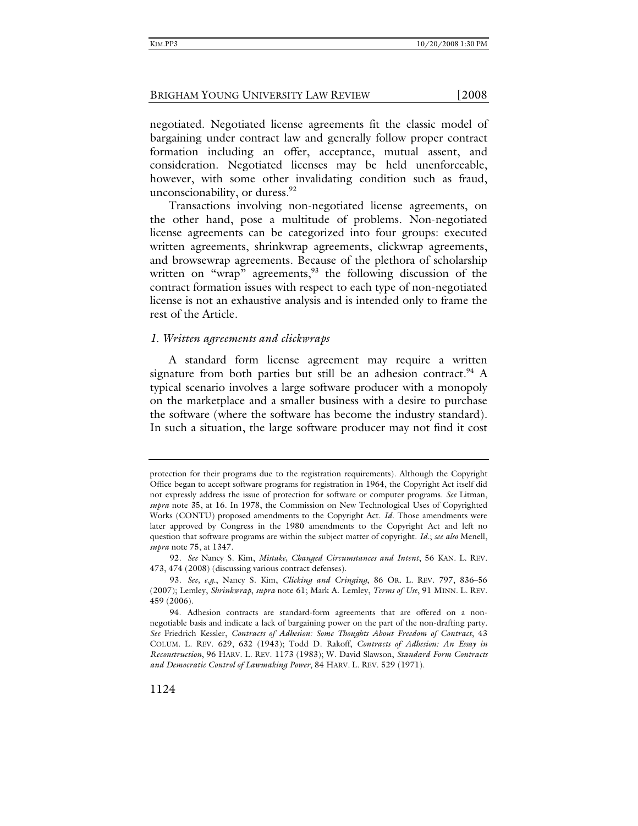negotiated. Negotiated license agreements fit the classic model of bargaining under contract law and generally follow proper contract formation including an offer, acceptance, mutual assent, and consideration. Negotiated licenses may be held unenforceable, however, with some other invalidating condition such as fraud, unconscionability, or duress. $92$ 

Transactions involving non-negotiated license agreements, on the other hand, pose a multitude of problems. Non-negotiated license agreements can be categorized into four groups: executed written agreements, shrinkwrap agreements, clickwrap agreements, and browsewrap agreements. Because of the plethora of scholarship written on "wrap" agreements,  $93$  the following discussion of the contract formation issues with respect to each type of non-negotiated license is not an exhaustive analysis and is intended only to frame the rest of the Article.

### *1. Written agreements and clickwraps*

A standard form license agreement may require a written signature from both parties but still be an adhesion contract.<sup>94</sup> A typical scenario involves a large software producer with a monopoly on the marketplace and a smaller business with a desire to purchase the software (where the software has become the industry standard). In such a situation, the large software producer may not find it cost

protection for their programs due to the registration requirements). Although the Copyright Office began to accept software programs for registration in 1964, the Copyright Act itself did not expressly address the issue of protection for software or computer programs. *See* Litman, *supra* note 35, at 16. In 1978, the Commission on New Technological Uses of Copyrighted Works (CONTU) proposed amendments to the Copyright Act. *Id*. Those amendments were later approved by Congress in the 1980 amendments to the Copyright Act and left no question that software programs are within the subject matter of copyright. *Id.*; *see also* Menell, *supra* note 75, at 1347.

<sup>92</sup>*. See* Nancy S. Kim, *Mistake, Changed Circumstances and Intent*, 56 KAN. L. REV. 473, 474 (2008) (discussing various contract defenses).

<sup>93</sup>*. See, e.g.*, Nancy S. Kim, *Clicking and Cringing*, 86 OR. L. REV. 797, 836–56 (2007); Lemley, *Shrinkwrap*, *supra* note 61; Mark A. Lemley, *Terms of Use*, 91 MINN. L. REV. 459 (2006).

 <sup>94.</sup> Adhesion contracts are standard-form agreements that are offered on a nonnegotiable basis and indicate a lack of bargaining power on the part of the non-drafting party. *See* Friedrich Kessler, *Contracts of Adhesion: Some Thoughts About Freedom of Contract*, 43 COLUM. L. REV. 629, 632 (1943); Todd D. Rakoff, *Contracts of Adhesion: An Essay in Reconstruction*, 96 HARV. L. REV. 1173 (1983); W. David Slawson, *Standard Form Contracts and Democratic Control of Lawmaking Power*, 84 HARV. L. REV. 529 (1971).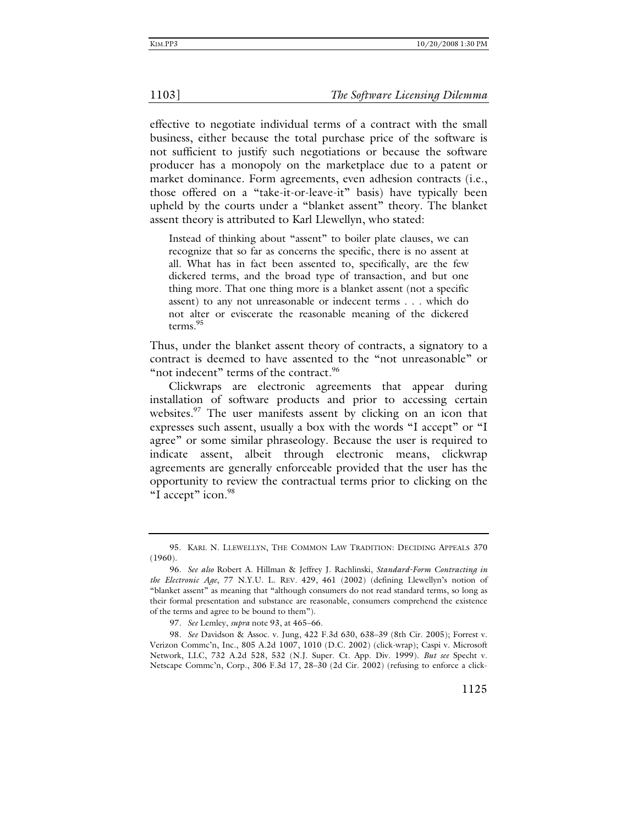effective to negotiate individual terms of a contract with the small business, either because the total purchase price of the software is not sufficient to justify such negotiations or because the software producer has a monopoly on the marketplace due to a patent or market dominance. Form agreements, even adhesion contracts (i.e., those offered on a "take-it-or-leave-it" basis) have typically been upheld by the courts under a "blanket assent" theory. The blanket assent theory is attributed to Karl Llewellyn, who stated:

Instead of thinking about "assent" to boiler plate clauses, we can recognize that so far as concerns the specific, there is no assent at all. What has in fact been assented to, specifically, are the few dickered terms, and the broad type of transaction, and but one thing more. That one thing more is a blanket assent (not a specific assent) to any not unreasonable or indecent terms . . . which do not alter or eviscerate the reasonable meaning of the dickered terms.95

Thus, under the blanket assent theory of contracts, a signatory to a contract is deemed to have assented to the "not unreasonable" or "not indecent" terms of the contract.<sup>96</sup>

Clickwraps are electronic agreements that appear during installation of software products and prior to accessing certain websites.<sup>97</sup> The user manifests assent by clicking on an icon that expresses such assent, usually a box with the words "I accept" or "I agree" or some similar phraseology. Because the user is required to indicate assent, albeit through electronic means, clickwrap agreements are generally enforceable provided that the user has the opportunity to review the contractual terms prior to clicking on the "I accept" icon.<sup>98</sup>

 <sup>95.</sup> KARL N. LLEWELLYN, THE COMMON LAW TRADITION: DECIDING APPEALS 370 (1960).

<sup>96</sup>*. See also* Robert A. Hillman & Jeffrey J. Rachlinski, *Standard-Form Contracting in the Electronic Age*, 77 N.Y.U. L. REV. 429, 461 (2002) (defining Llewellyn's notion of "blanket assent" as meaning that "although consumers do not read standard terms, so long as their formal presentation and substance are reasonable, consumers comprehend the existence of the terms and agree to be bound to them").

<sup>97</sup>*. See* Lemley, *supra* note 93, at 465–66.

<sup>98</sup>*. See* Davidson & Assoc. v. Jung, 422 F.3d 630, 638–39 (8th Cir. 2005); Forrest v. Verizon Commc'n, Inc., 805 A.2d 1007, 1010 (D.C. 2002) (click-wrap); Caspi v. Microsoft Network, LLC, 732 A.2d 528, 532 (N.J. Super. Ct. App. Div. 1999). *But see* Specht v. Netscape Commc'n, Corp., 306 F.3d 17, 28–30 (2d Cir. 2002) (refusing to enforce a click-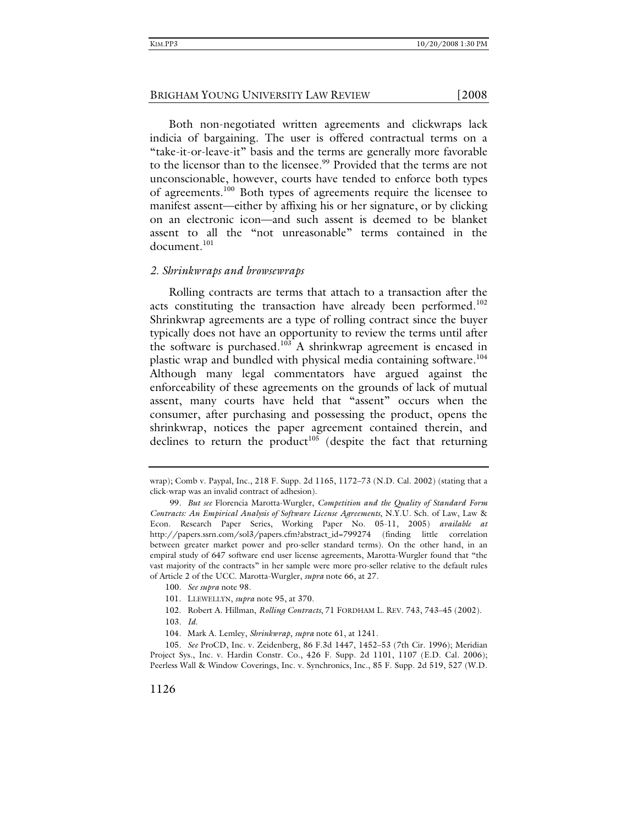Both non-negotiated written agreements and clickwraps lack indicia of bargaining. The user is offered contractual terms on a "take-it-or-leave-it" basis and the terms are generally more favorable to the licensor than to the licensee.<sup>99</sup> Provided that the terms are not

unconscionable, however, courts have tended to enforce both types of agreements.100 Both types of agreements require the licensee to manifest assent—either by affixing his or her signature, or by clicking on an electronic icon—and such assent is deemed to be blanket assent to all the "not unreasonable" terms contained in the document.<sup>101</sup>

### *2. Shrinkwraps and browsewraps*

Rolling contracts are terms that attach to a transaction after the acts constituting the transaction have already been performed.<sup>102</sup> Shrinkwrap agreements are a type of rolling contract since the buyer typically does not have an opportunity to review the terms until after the software is purchased.<sup>103</sup> A shrinkwrap agreement is encased in plastic wrap and bundled with physical media containing software.<sup>104</sup> Although many legal commentators have argued against the enforceability of these agreements on the grounds of lack of mutual assent, many courts have held that "assent" occurs when the consumer, after purchasing and possessing the product, opens the shrinkwrap, notices the paper agreement contained therein, and declines to return the product<sup>105</sup> (despite the fact that returning

wrap); Comb v. Paypal, Inc., 218 F. Supp. 2d 1165, 1172–73 (N.D. Cal. 2002) (stating that a click-wrap was an invalid contract of adhesion).

<sup>99</sup>*. But see* Florencia Marotta-Wurgler, *Competition and the Quality of Standard Form Contracts: An Empirical Analysis of Software License Agreements*, N.Y.U. Sch. of Law, Law & Econ. Research Paper Series, Working Paper No. 05-11, 2005) *available at* http://papers.ssrn.com/sol3/papers.cfm?abstract\_id=799274 (finding little correlation between greater market power and pro-seller standard terms). On the other hand, in an empiral study of 647 software end user license agreements, Marotta-Wurgler found that "the vast majority of the contracts" in her sample were more pro-seller relative to the default rules of Article 2 of the UCC. Marotta-Wurgler, *supra* note 66, at 27.

<sup>100</sup>*. See supra* note 98.

 <sup>101.</sup> LLEWELLYN, *supra* note 95, at 370.

 <sup>102.</sup> Robert A. Hillman, *Rolling Contracts*, 71 FORDHAM L. REV. 743, 743–45 (2002).

<sup>103</sup>*. Id*.

 <sup>104.</sup> Mark A. Lemley, *Shrinkwrap*, *supra* note 61, at 1241.

<sup>105</sup>*. See* ProCD, Inc. v. Zeidenberg, 86 F.3d 1447, 1452–53 (7th Cir. 1996); Meridian Project Sys., Inc. v. Hardin Constr. Co., 426 F. Supp. 2d 1101, 1107 (E.D. Cal. 2006); Peerless Wall & Window Coverings, Inc. v. Synchronics, Inc., 85 F. Supp. 2d 519, 527 (W.D.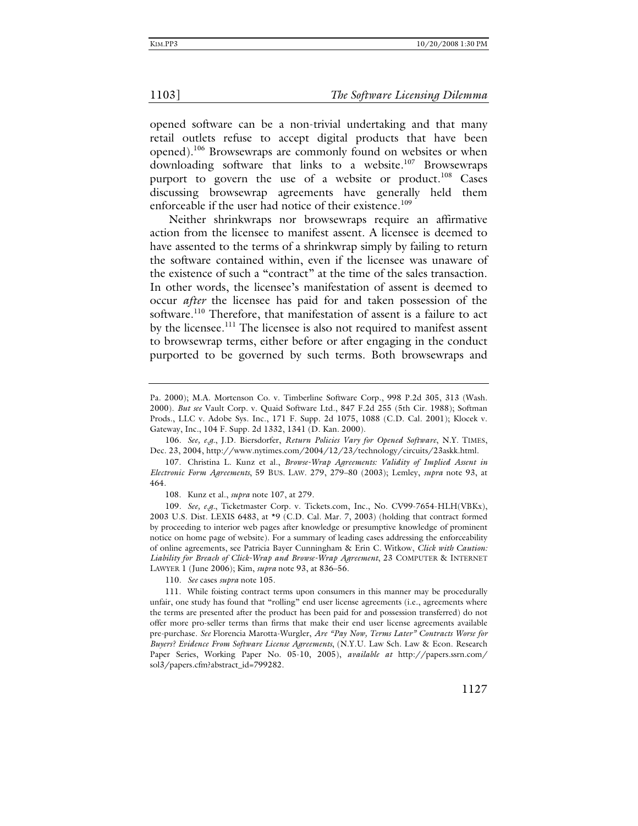opened software can be a non-trivial undertaking and that many retail outlets refuse to accept digital products that have been opened).106 Browsewraps are commonly found on websites or when downloading software that links to a website.<sup>107</sup> Browsewraps purport to govern the use of a website or product.<sup>108</sup> Cases discussing browsewrap agreements have generally held them enforceable if the user had notice of their existence.<sup>109</sup>

Neither shrinkwraps nor browsewraps require an affirmative action from the licensee to manifest assent. A licensee is deemed to have assented to the terms of a shrinkwrap simply by failing to return the software contained within, even if the licensee was unaware of the existence of such a "contract" at the time of the sales transaction. In other words, the licensee's manifestation of assent is deemed to occur *after* the licensee has paid for and taken possession of the software.<sup>110</sup> Therefore, that manifestation of assent is a failure to act by the licensee.<sup>111</sup> The licensee is also not required to manifest assent to browsewrap terms, either before or after engaging in the conduct purported to be governed by such terms. Both browsewraps and

Pa. 2000); M.A. Mortenson Co. v. Timberline Software Corp., 998 P.2d 305, 313 (Wash. 2000). *But see* Vault Corp. v. Quaid Software Ltd., 847 F.2d 255 (5th Cir. 1988); Softman Prods., LLC v. Adobe Sys. Inc., 171 F. Supp. 2d 1075, 1088 (C.D. Cal. 2001); Klocek v. Gateway, Inc., 104 F. Supp. 2d 1332, 1341 (D. Kan. 2000).

<sup>106</sup>*. See, e.g.*, J.D. Biersdorfer, *Return Policies Vary for Opened Software*, N.Y. TIMES, Dec. 23, 2004, http://www.nytimes.com/2004/12/23/technology/circuits/23askk.html.

 <sup>107.</sup> Christina L. Kunz et al., *Browse-Wrap Agreements: Validity of Implied Assent in Electronic Form Agreements*, 59 BUS. LAW. 279, 279–80 (2003); Lemley, *supra* note 93, at 464.

 <sup>108.</sup> Kunz et al., *supra* note 107, at 279.

<sup>109</sup>*. See, e.g.*, Ticketmaster Corp. v. Tickets.com, Inc., No. CV99-7654-HLH(VBKx), 2003 U.S. Dist. LEXIS 6483, at \*9 (C.D. Cal. Mar. 7, 2003) (holding that contract formed by proceeding to interior web pages after knowledge or presumptive knowledge of prominent notice on home page of website). For a summary of leading cases addressing the enforceability of online agreements, see Patricia Bayer Cunningham & Erin C. Witkow, *Click with Caution: Liability for Breach of Click-Wrap and Browse-Wrap Agreement*, 23 COMPUTER & INTERNET LAWYER 1 (June 2006); Kim, *supra* note 93, at 836–56.

<sup>110</sup>*. See* cases *supra* note 105.

 <sup>111.</sup> While foisting contract terms upon consumers in this manner may be procedurally unfair, one study has found that "rolling" end user license agreements (i.e., agreements where the terms are presented after the product has been paid for and possession transferred) do not offer more pro-seller terms than firms that make their end user license agreements available pre-purchase. *See* Florencia Marotta-Wurgler, *Are "Pay Now, Terms Later" Contracts Worse for Buyers? Evidence From Software License Agreements*, (N.Y.U. Law Sch. Law & Econ. Research Paper Series, Working Paper No. 05-10, 2005), *available at* http://papers.ssrn.com/ sol3/papers.cfm?abstract\_id=799282.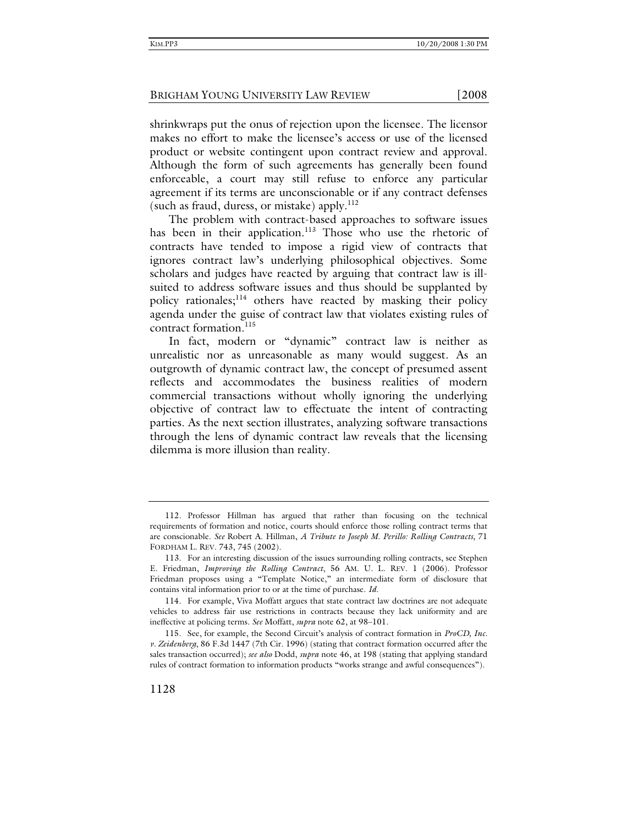shrinkwraps put the onus of rejection upon the licensee. The licensor makes no effort to make the licensee's access or use of the licensed product or website contingent upon contract review and approval. Although the form of such agreements has generally been found enforceable, a court may still refuse to enforce any particular agreement if its terms are unconscionable or if any contract defenses (such as fraud, duress, or mistake) apply. $^{112}$ 

The problem with contract-based approaches to software issues has been in their application.<sup>113</sup> Those who use the rhetoric of contracts have tended to impose a rigid view of contracts that ignores contract law's underlying philosophical objectives. Some scholars and judges have reacted by arguing that contract law is illsuited to address software issues and thus should be supplanted by policy rationales; $114$  others have reacted by masking their policy agenda under the guise of contract law that violates existing rules of contract formation.<sup>115</sup>

In fact, modern or "dynamic" contract law is neither as unrealistic nor as unreasonable as many would suggest. As an outgrowth of dynamic contract law, the concept of presumed assent reflects and accommodates the business realities of modern commercial transactions without wholly ignoring the underlying objective of contract law to effectuate the intent of contracting parties. As the next section illustrates, analyzing software transactions through the lens of dynamic contract law reveals that the licensing dilemma is more illusion than reality.

 <sup>112.</sup> Professor Hillman has argued that rather than focusing on the technical requirements of formation and notice, courts should enforce those rolling contract terms that are conscionable. *See* Robert A. Hillman, *A Tribute to Joseph M. Perillo: Rolling Contracts*, 71 FORDHAM L. REV. 743, 745 (2002).

 <sup>113.</sup> For an interesting discussion of the issues surrounding rolling contracts, see Stephen E. Friedman, *Improving the Rolling Contract*, 56 AM. U. L. REV. 1 (2006). Professor Friedman proposes using a "Template Notice," an intermediate form of disclosure that contains vital information prior to or at the time of purchase. *Id*.

 <sup>114.</sup> For example, Viva Moffatt argues that state contract law doctrines are not adequate vehicles to address fair use restrictions in contracts because they lack uniformity and are ineffective at policing terms. *See* Moffatt, *supra* note 62, at 98–101.

 <sup>115.</sup> See, for example, the Second Circuit's analysis of contract formation in *ProCD, Inc. v. Zeidenberg*, 86 F.3d 1447 (7th Cir. 1996) (stating that contract formation occurred after the sales transaction occurred); *see also* Dodd, *supra* note 46, at 198 (stating that applying standard rules of contract formation to information products "works strange and awful consequences").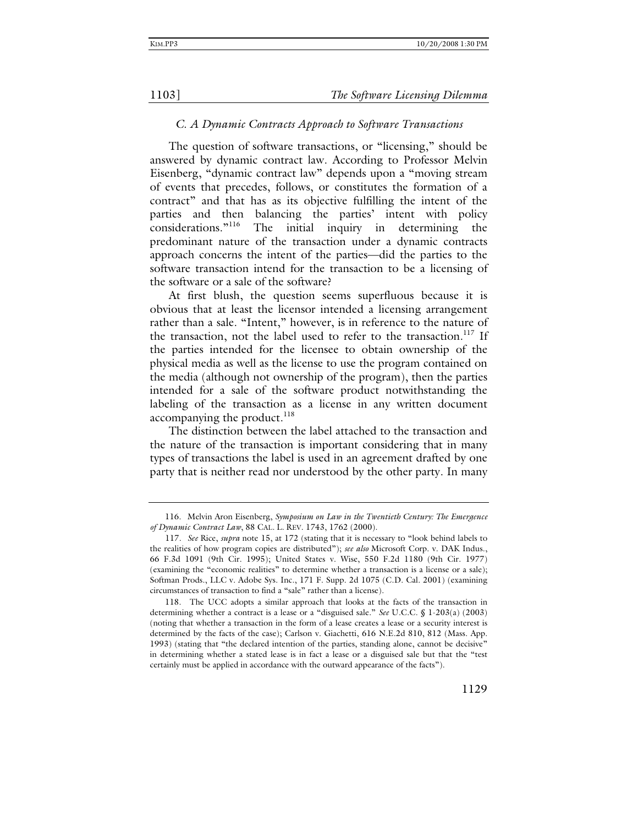### *C. A Dynamic Contracts Approach to Software Transactions*

The question of software transactions, or "licensing," should be answered by dynamic contract law. According to Professor Melvin Eisenberg, "dynamic contract law" depends upon a "moving stream of events that precedes, follows, or constitutes the formation of a contract" and that has as its objective fulfilling the intent of the parties and then balancing the parties' intent with policy considerations."116 The initial inquiry in determining the predominant nature of the transaction under a dynamic contracts approach concerns the intent of the parties—did the parties to the software transaction intend for the transaction to be a licensing of the software or a sale of the software?

At first blush, the question seems superfluous because it is obvious that at least the licensor intended a licensing arrangement rather than a sale. "Intent," however, is in reference to the nature of the transaction, not the label used to refer to the transaction.<sup>117</sup> If the parties intended for the licensee to obtain ownership of the physical media as well as the license to use the program contained on the media (although not ownership of the program), then the parties intended for a sale of the software product notwithstanding the labeling of the transaction as a license in any written document accompanying the product.<sup>118</sup>

The distinction between the label attached to the transaction and the nature of the transaction is important considering that in many types of transactions the label is used in an agreement drafted by one party that is neither read nor understood by the other party. In many

 <sup>116.</sup> Melvin Aron Eisenberg, *Symposium on Law in the Twentieth Century: The Emergence of Dynamic Contract Law*, 88 CAL. L. REV. 1743, 1762 (2000).

<sup>117</sup>*. See* Rice, *supra* note 15, at 172 (stating that it is necessary to "look behind labels to the realities of how program copies are distributed"); *see also* Microsoft Corp. v. DAK Indus., 66 F.3d 1091 (9th Cir. 1995); United States v. Wise, 550 F.2d 1180 (9th Cir. 1977) (examining the "economic realities" to determine whether a transaction is a license or a sale); Softman Prods., LLC v. Adobe Sys. Inc., 171 F. Supp. 2d 1075 (C.D. Cal. 2001) (examining circumstances of transaction to find a "sale" rather than a license).

 <sup>118.</sup> The UCC adopts a similar approach that looks at the facts of the transaction in determining whether a contract is a lease or a "disguised sale." *See* U.C.C. § 1-203(a) (2003) (noting that whether a transaction in the form of a lease creates a lease or a security interest is determined by the facts of the case); Carlson v. Giachetti, 616 N.E.2d 810, 812 (Mass. App. 1993) (stating that "the declared intention of the parties, standing alone, cannot be decisive" in determining whether a stated lease is in fact a lease or a disguised sale but that the "test certainly must be applied in accordance with the outward appearance of the facts").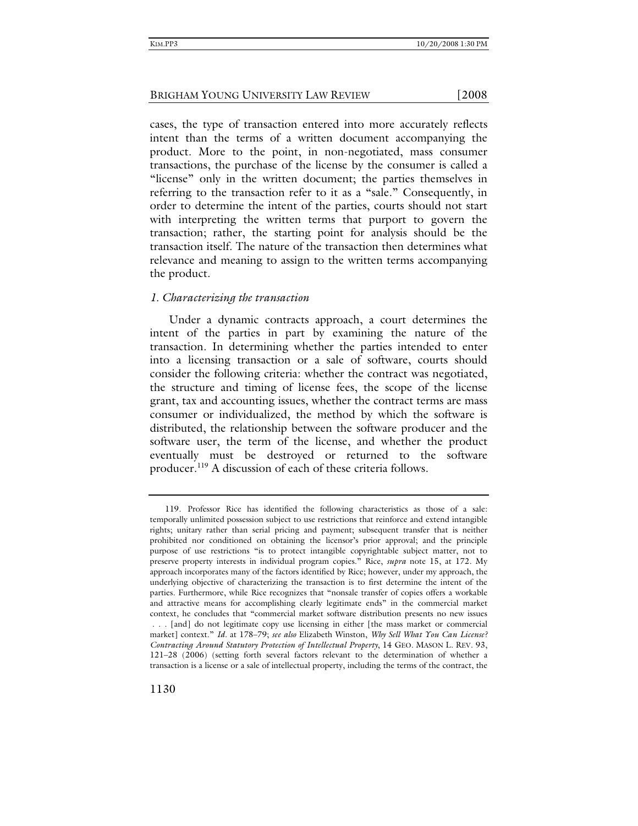cases, the type of transaction entered into more accurately reflects intent than the terms of a written document accompanying the product. More to the point, in non-negotiated, mass consumer transactions, the purchase of the license by the consumer is called a "license" only in the written document; the parties themselves in referring to the transaction refer to it as a "sale." Consequently, in order to determine the intent of the parties, courts should not start with interpreting the written terms that purport to govern the transaction; rather, the starting point for analysis should be the transaction itself. The nature of the transaction then determines what relevance and meaning to assign to the written terms accompanying the product.

### *1. Characterizing the transaction*

Under a dynamic contracts approach, a court determines the intent of the parties in part by examining the nature of the transaction. In determining whether the parties intended to enter into a licensing transaction or a sale of software, courts should consider the following criteria: whether the contract was negotiated, the structure and timing of license fees, the scope of the license grant, tax and accounting issues, whether the contract terms are mass consumer or individualized, the method by which the software is distributed, the relationship between the software producer and the software user, the term of the license, and whether the product eventually must be destroyed or returned to the software producer.<sup>119</sup> A discussion of each of these criteria follows.

 <sup>119.</sup> Professor Rice has identified the following characteristics as those of a sale: temporally unlimited possession subject to use restrictions that reinforce and extend intangible rights; unitary rather than serial pricing and payment; subsequent transfer that is neither prohibited nor conditioned on obtaining the licensor's prior approval; and the principle purpose of use restrictions "is to protect intangible copyrightable subject matter, not to preserve property interests in individual program copies." Rice, *supra* note 15, at 172. My approach incorporates many of the factors identified by Rice; however, under my approach, the underlying objective of characterizing the transaction is to first determine the intent of the parties. Furthermore, while Rice recognizes that "nonsale transfer of copies offers a workable and attractive means for accomplishing clearly legitimate ends" in the commercial market context, he concludes that "commercial market software distribution presents no new issues . . . [and] do not legitimate copy use licensing in either [the mass market or commercial market] context." *Id.* at 178–79; *see also* Elizabeth Winston, *Why Sell What You Can License? Contracting Around Statutory Protection of Intellectual Property*, 14 GEO. MASON L. REV. 93, 121–28 (2006) (setting forth several factors relevant to the determination of whether a transaction is a license or a sale of intellectual property, including the terms of the contract, the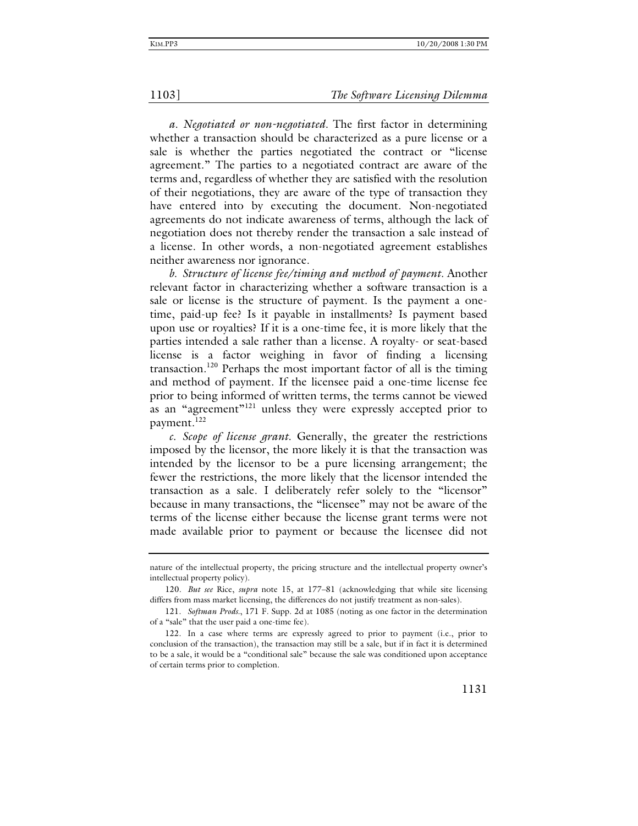*a. Negotiated or non-negotiated.* The first factor in determining whether a transaction should be characterized as a pure license or a sale is whether the parties negotiated the contract or "license agreement." The parties to a negotiated contract are aware of the terms and, regardless of whether they are satisfied with the resolution of their negotiations, they are aware of the type of transaction they have entered into by executing the document. Non-negotiated agreements do not indicate awareness of terms, although the lack of negotiation does not thereby render the transaction a sale instead of a license. In other words, a non-negotiated agreement establishes neither awareness nor ignorance.

*b. Structure of license fee/timing and method of payment.* Another relevant factor in characterizing whether a software transaction is a sale or license is the structure of payment. Is the payment a onetime, paid-up fee? Is it payable in installments? Is payment based upon use or royalties? If it is a one-time fee, it is more likely that the parties intended a sale rather than a license. A royalty- or seat-based license is a factor weighing in favor of finding a licensing transaction.120 Perhaps the most important factor of all is the timing and method of payment. If the licensee paid a one-time license fee prior to being informed of written terms, the terms cannot be viewed as an "agreement"<sup>121</sup> unless they were expressly accepted prior to payment.<sup>122</sup>

*c. Scope of license grant.* Generally, the greater the restrictions imposed by the licensor, the more likely it is that the transaction was intended by the licensor to be a pure licensing arrangement; the fewer the restrictions, the more likely that the licensor intended the transaction as a sale. I deliberately refer solely to the "licensor" because in many transactions, the "licensee" may not be aware of the terms of the license either because the license grant terms were not made available prior to payment or because the licensee did not

nature of the intellectual property, the pricing structure and the intellectual property owner's intellectual property policy).

<sup>120</sup>*. But see* Rice, *supra* note 15, at 177–81 (acknowledging that while site licensing differs from mass market licensing, the differences do not justify treatment as non-sales).

 <sup>121.</sup> *Softman Prods.*, 171 F. Supp. 2d at 1085 (noting as one factor in the determination of a "sale" that the user paid a one-time fee).

 <sup>122.</sup> In a case where terms are expressly agreed to prior to payment (i.e., prior to conclusion of the transaction), the transaction may still be a sale, but if in fact it is determined to be a sale, it would be a "conditional sale" because the sale was conditioned upon acceptance of certain terms prior to completion.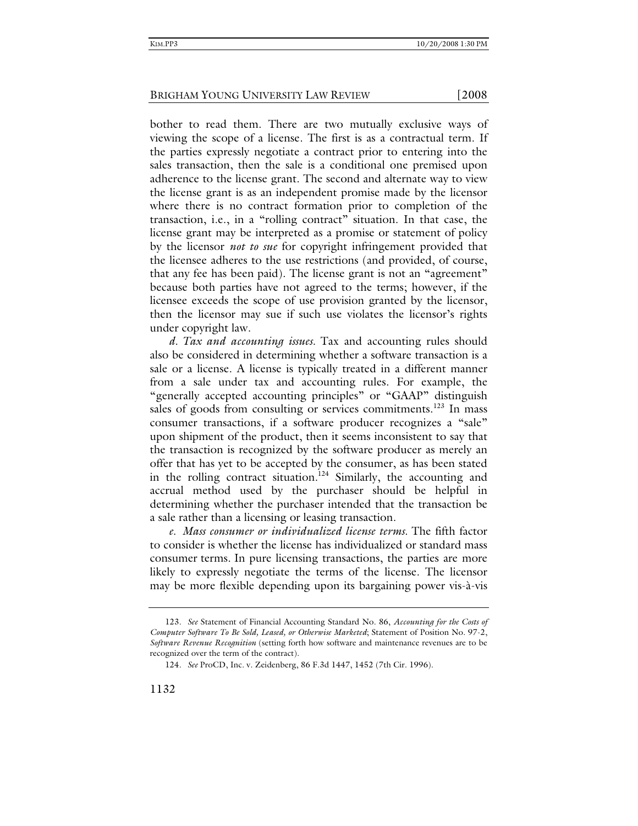bother to read them. There are two mutually exclusive ways of viewing the scope of a license. The first is as a contractual term. If the parties expressly negotiate a contract prior to entering into the sales transaction, then the sale is a conditional one premised upon adherence to the license grant. The second and alternate way to view the license grant is as an independent promise made by the licensor where there is no contract formation prior to completion of the transaction, i.e., in a "rolling contract" situation. In that case, the license grant may be interpreted as a promise or statement of policy by the licensor *not to sue* for copyright infringement provided that the licensee adheres to the use restrictions (and provided, of course, that any fee has been paid). The license grant is not an "agreement" because both parties have not agreed to the terms; however, if the licensee exceeds the scope of use provision granted by the licensor, then the licensor may sue if such use violates the licensor's rights under copyright law.

*d. Tax and accounting issues.* Tax and accounting rules should also be considered in determining whether a software transaction is a sale or a license. A license is typically treated in a different manner from a sale under tax and accounting rules. For example, the "generally accepted accounting principles" or "GAAP" distinguish sales of goods from consulting or services commitments.<sup>123</sup> In mass consumer transactions, if a software producer recognizes a "sale" upon shipment of the product, then it seems inconsistent to say that the transaction is recognized by the software producer as merely an offer that has yet to be accepted by the consumer, as has been stated in the rolling contract situation*.* 124 Similarly, the accounting and accrual method used by the purchaser should be helpful in determining whether the purchaser intended that the transaction be a sale rather than a licensing or leasing transaction.

*e. Mass consumer or individualized license terms.* The fifth factor to consider is whether the license has individualized or standard mass consumer terms. In pure licensing transactions, the parties are more likely to expressly negotiate the terms of the license. The licensor may be more flexible depending upon its bargaining power vis-à-vis

<sup>123</sup>*. See* Statement of Financial Accounting Standard No. 86, *Accounting for the Costs of Computer Software To Be Sold, Leased, or Otherwise Marketed*; Statement of Position No. 97-2, *Software Revenue Recognition* (setting forth how software and maintenance revenues are to be recognized over the term of the contract).

<sup>124</sup>*. See* ProCD, Inc. v. Zeidenberg, 86 F.3d 1447, 1452 (7th Cir. 1996).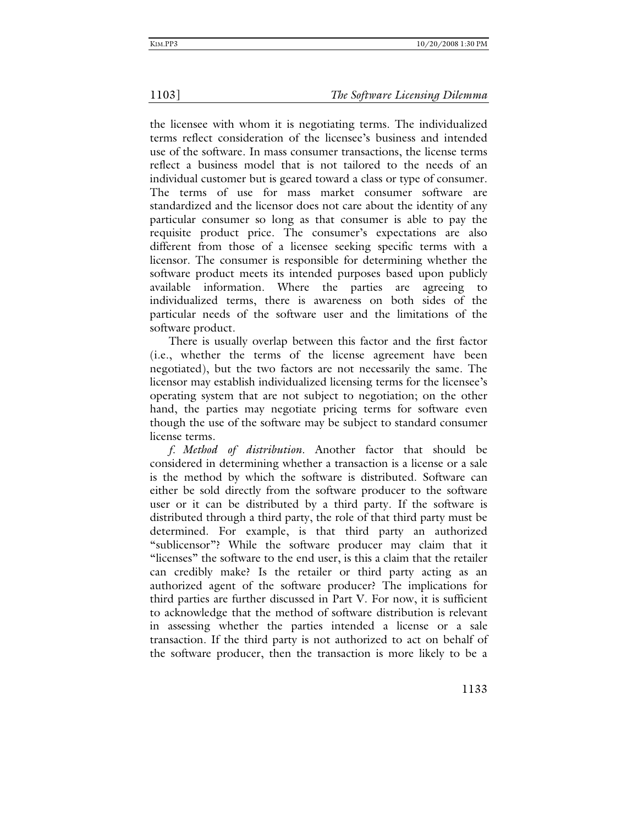the licensee with whom it is negotiating terms. The individualized terms reflect consideration of the licensee's business and intended use of the software. In mass consumer transactions, the license terms reflect a business model that is not tailored to the needs of an individual customer but is geared toward a class or type of consumer. The terms of use for mass market consumer software are standardized and the licensor does not care about the identity of any particular consumer so long as that consumer is able to pay the requisite product price. The consumer's expectations are also different from those of a licensee seeking specific terms with a licensor. The consumer is responsible for determining whether the software product meets its intended purposes based upon publicly available information. Where the parties are agreeing to individualized terms, there is awareness on both sides of the particular needs of the software user and the limitations of the software product.

There is usually overlap between this factor and the first factor (i.e., whether the terms of the license agreement have been negotiated), but the two factors are not necessarily the same. The licensor may establish individualized licensing terms for the licensee's operating system that are not subject to negotiation; on the other hand, the parties may negotiate pricing terms for software even though the use of the software may be subject to standard consumer license terms.

*f. Method of distribution.* Another factor that should be considered in determining whether a transaction is a license or a sale is the method by which the software is distributed. Software can either be sold directly from the software producer to the software user or it can be distributed by a third party. If the software is distributed through a third party, the role of that third party must be determined. For example, is that third party an authorized "sublicensor"? While the software producer may claim that it "licenses" the software to the end user, is this a claim that the retailer can credibly make? Is the retailer or third party acting as an authorized agent of the software producer? The implications for third parties are further discussed in Part V. For now, it is sufficient to acknowledge that the method of software distribution is relevant in assessing whether the parties intended a license or a sale transaction. If the third party is not authorized to act on behalf of the software producer, then the transaction is more likely to be a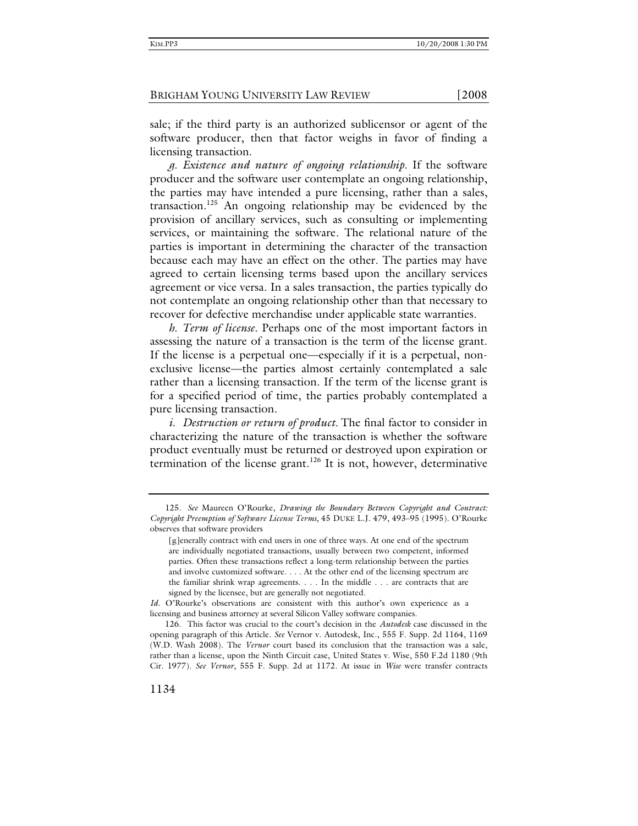sale; if the third party is an authorized sublicensor or agent of the software producer, then that factor weighs in favor of finding a licensing transaction.

*g. Existence and nature of ongoing relationship.* If the software producer and the software user contemplate an ongoing relationship, the parties may have intended a pure licensing, rather than a sales, transaction.<sup>125</sup> An ongoing relationship may be evidenced by the provision of ancillary services, such as consulting or implementing services, or maintaining the software. The relational nature of the parties is important in determining the character of the transaction because each may have an effect on the other. The parties may have agreed to certain licensing terms based upon the ancillary services agreement or vice versa. In a sales transaction, the parties typically do not contemplate an ongoing relationship other than that necessary to recover for defective merchandise under applicable state warranties.

*h. Term of license.* Perhaps one of the most important factors in assessing the nature of a transaction is the term of the license grant. If the license is a perpetual one—especially if it is a perpetual, nonexclusive license—the parties almost certainly contemplated a sale rather than a licensing transaction. If the term of the license grant is for a specified period of time, the parties probably contemplated a pure licensing transaction.

*i. Destruction or return of product.* The final factor to consider in characterizing the nature of the transaction is whether the software product eventually must be returned or destroyed upon expiration or termination of the license grant.<sup>126</sup> It is not, however, determinative

<sup>125</sup>*. See* Maureen O'Rourke, *Drawing the Boundary Between Copyright and Contract: Copyright Preemption of Software License Terms*, 45 DUKE L.J. 479, 493–95 (1995). O'Rourke observes that software providers

<sup>[</sup>g]enerally contract with end users in one of three ways. At one end of the spectrum are individually negotiated transactions, usually between two competent, informed parties. Often these transactions reflect a long-term relationship between the parties and involve customized software. . . . At the other end of the licensing spectrum are the familiar shrink wrap agreements. . . . In the middle . . . are contracts that are signed by the licensee, but are generally not negotiated.

*Id*. O'Rourke's observations are consistent with this author's own experience as a licensing and business attorney at several Silicon Valley software companies.

 <sup>126.</sup> This factor was crucial to the court's decision in the *Autodesk* case discussed in the opening paragraph of this Article. *See* Vernor v. Autodesk, Inc., 555 F. Supp. 2d 1164, 1169 (W.D. Wash 2008). The *Vernor* court based its conclusion that the transaction was a sale, rather than a license, upon the Ninth Circuit case, United States v. Wise, 550 F.2d 1180 (9th Cir. 1977). *See Vernor*, 555 F. Supp. 2d at 1172. At issue in *Wise* were transfer contracts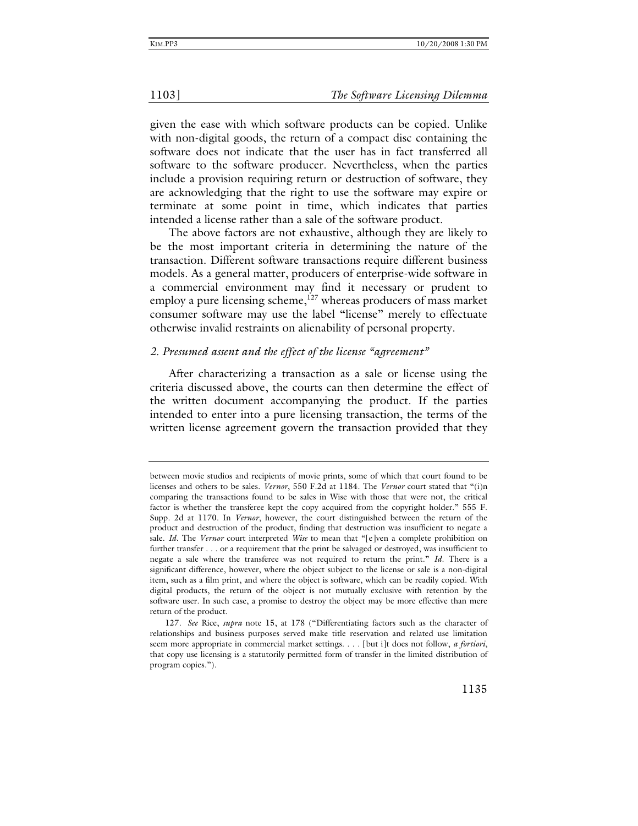given the ease with which software products can be copied. Unlike with non-digital goods, the return of a compact disc containing the software does not indicate that the user has in fact transferred all software to the software producer. Nevertheless, when the parties include a provision requiring return or destruction of software, they are acknowledging that the right to use the software may expire or terminate at some point in time, which indicates that parties intended a license rather than a sale of the software product.

The above factors are not exhaustive, although they are likely to be the most important criteria in determining the nature of the transaction. Different software transactions require different business models. As a general matter, producers of enterprise-wide software in a commercial environment may find it necessary or prudent to employ a pure licensing scheme, $127$  whereas producers of mass market consumer software may use the label "license" merely to effectuate otherwise invalid restraints on alienability of personal property.

### *2. Presumed assent and the effect of the license "agreement"*

After characterizing a transaction as a sale or license using the criteria discussed above, the courts can then determine the effect of the written document accompanying the product. If the parties intended to enter into a pure licensing transaction, the terms of the written license agreement govern the transaction provided that they

between movie studios and recipients of movie prints, some of which that court found to be licenses and others to be sales. *Vernor*, 550 F.2d at 1184. The *Vernor* court stated that "(i)n comparing the transactions found to be sales in Wise with those that were not, the critical factor is whether the transferee kept the copy acquired from the copyright holder." 555 F. Supp. 2d at 1170. In *Vernor*, however, the court distinguished between the return of the product and destruction of the product, finding that destruction was insufficient to negate a sale. *Id*. The *Vernor* court interpreted *Wise* to mean that "[e]ven a complete prohibition on further transfer . . . or a requirement that the print be salvaged or destroyed, was insufficient to negate a sale where the transferee was not required to return the print." *Id*. There is a significant difference, however, where the object subject to the license or sale is a non-digital item, such as a film print, and where the object is software, which can be readily copied. With digital products, the return of the object is not mutually exclusive with retention by the software user. In such case, a promise to destroy the object may be more effective than mere return of the product.

<sup>127</sup>*. See* Rice, *supra* note 15, at 178 ("Differentiating factors such as the character of relationships and business purposes served make title reservation and related use limitation seem more appropriate in commercial market settings. . . . [but i]t does not follow, *a fortiori*, that copy use licensing is a statutorily permitted form of transfer in the limited distribution of program copies.").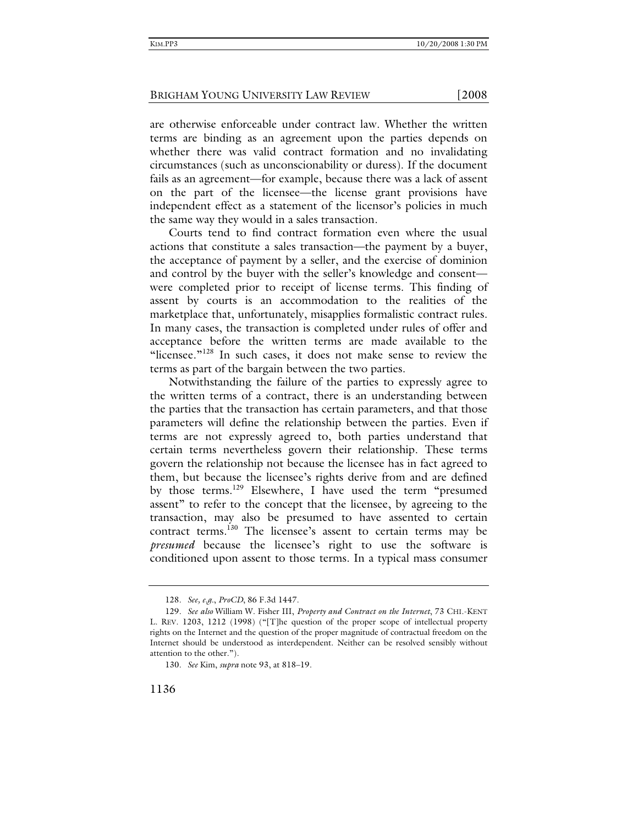are otherwise enforceable under contract law. Whether the written terms are binding as an agreement upon the parties depends on whether there was valid contract formation and no invalidating circumstances (such as unconscionability or duress). If the document fails as an agreement—for example, because there was a lack of assent on the part of the licensee—the license grant provisions have independent effect as a statement of the licensor's policies in much the same way they would in a sales transaction.

Courts tend to find contract formation even where the usual actions that constitute a sales transaction—the payment by a buyer, the acceptance of payment by a seller, and the exercise of dominion and control by the buyer with the seller's knowledge and consent were completed prior to receipt of license terms. This finding of assent by courts is an accommodation to the realities of the marketplace that, unfortunately, misapplies formalistic contract rules. In many cases, the transaction is completed under rules of offer and acceptance before the written terms are made available to the "licensee."<sup>128</sup> In such cases, it does not make sense to review the terms as part of the bargain between the two parties.

Notwithstanding the failure of the parties to expressly agree to the written terms of a contract, there is an understanding between the parties that the transaction has certain parameters, and that those parameters will define the relationship between the parties. Even if terms are not expressly agreed to, both parties understand that certain terms nevertheless govern their relationship. These terms govern the relationship not because the licensee has in fact agreed to them, but because the licensee's rights derive from and are defined by those terms.<sup>129</sup> Elsewhere, I have used the term "presumed assent" to refer to the concept that the licensee, by agreeing to the transaction, may also be presumed to have assented to certain contract terms*.* <sup>130</sup> The licensee's assent to certain terms may be *presumed* because the licensee's right to use the software is conditioned upon assent to those terms. In a typical mass consumer

<sup>128</sup>*. See, e.g.*, *ProCD*, 86 F.3d 1447.

<sup>129</sup>*. See also* William W. Fisher III, *Property and Contract on the Internet*, 73 CHI.-KENT L. REV. 1203, 1212 (1998) ("[T]he question of the proper scope of intellectual property rights on the Internet and the question of the proper magnitude of contractual freedom on the Internet should be understood as interdependent. Neither can be resolved sensibly without attention to the other.").

<sup>130</sup>*. See* Kim, *supra* note 93, at 818–19.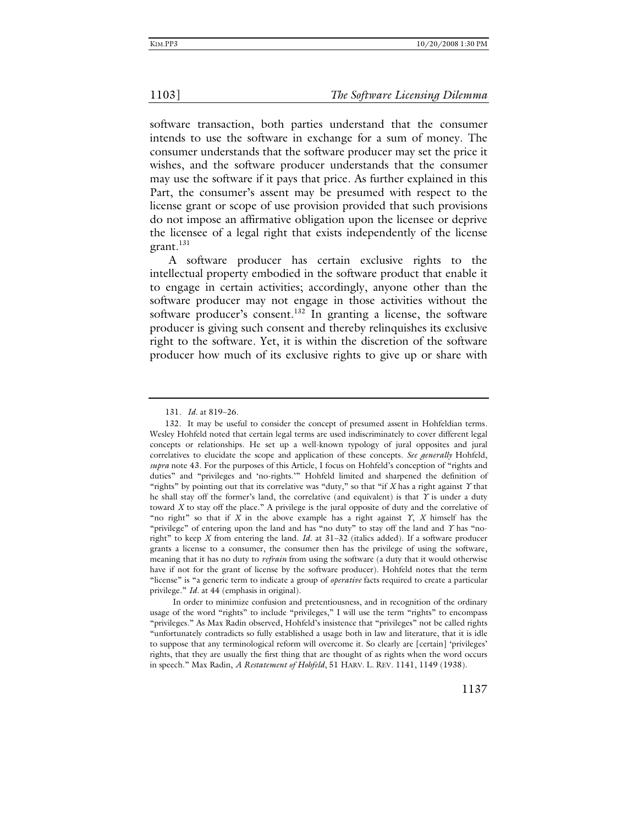software transaction, both parties understand that the consumer intends to use the software in exchange for a sum of money. The consumer understands that the software producer may set the price it wishes, and the software producer understands that the consumer may use the software if it pays that price. As further explained in this Part, the consumer's assent may be presumed with respect to the license grant or scope of use provision provided that such provisions do not impose an affirmative obligation upon the licensee or deprive the licensee of a legal right that exists independently of the license grant.<sup>131</sup>

A software producer has certain exclusive rights to the intellectual property embodied in the software product that enable it to engage in certain activities; accordingly, anyone other than the software producer may not engage in those activities without the software producer's consent.<sup>132</sup> In granting a license, the software producer is giving such consent and thereby relinquishes its exclusive right to the software. Yet, it is within the discretion of the software producer how much of its exclusive rights to give up or share with

<sup>131</sup>*. Id.* at 819–26.

 <sup>132.</sup> It may be useful to consider the concept of presumed assent in Hohfeldian terms. Wesley Hohfeld noted that certain legal terms are used indiscriminately to cover different legal concepts or relationships. He set up a well-known typology of jural opposites and jural correlatives to elucidate the scope and application of these concepts. *See generally* Hohfeld, *supra* note 43. For the purposes of this Article, I focus on Hohfeld's conception of "rights and duties" and "privileges and 'no-rights.'" Hohfeld limited and sharpened the definition of "rights" by pointing out that its correlative was "duty," so that "if  $X$  has a right against  $\gamma$  that he shall stay off the former's land, the correlative (and equivalent) is that  $\gamma$  is under a duty toward *X* to stay off the place." A privilege is the jural opposite of duty and the correlative of "no right" so that if  $X$  in the above example has a right against  $\Upsilon$ ,  $X$  himself has the "privilege" of entering upon the land and has "no duty" to stay off the land and *Y* has "noright" to keep *X* from entering the land. *Id*. at 31–32 (italics added). If a software producer grants a license to a consumer, the consumer then has the privilege of using the software, meaning that it has no duty to *refrain* from using the software (a duty that it would otherwise have if not for the grant of license by the software producer). Hohfeld notes that the term "license" is "a generic term to indicate a group of *operative* facts required to create a particular privilege." *Id*. at 44 (emphasis in original).

In order to minimize confusion and pretentiousness, and in recognition of the ordinary usage of the word "rights" to include "privileges," I will use the term "rights" to encompass "privileges." As Max Radin observed, Hohfeld's insistence that "privileges" not be called rights "unfortunately contradicts so fully established a usage both in law and literature, that it is idle to suppose that any terminological reform will overcome it. So clearly are [certain] 'privileges' rights, that they are usually the first thing that are thought of as rights when the word occurs in speech." Max Radin, *A Restatement of Hohfeld*, 51 HARV. L. REV. 1141, 1149 (1938).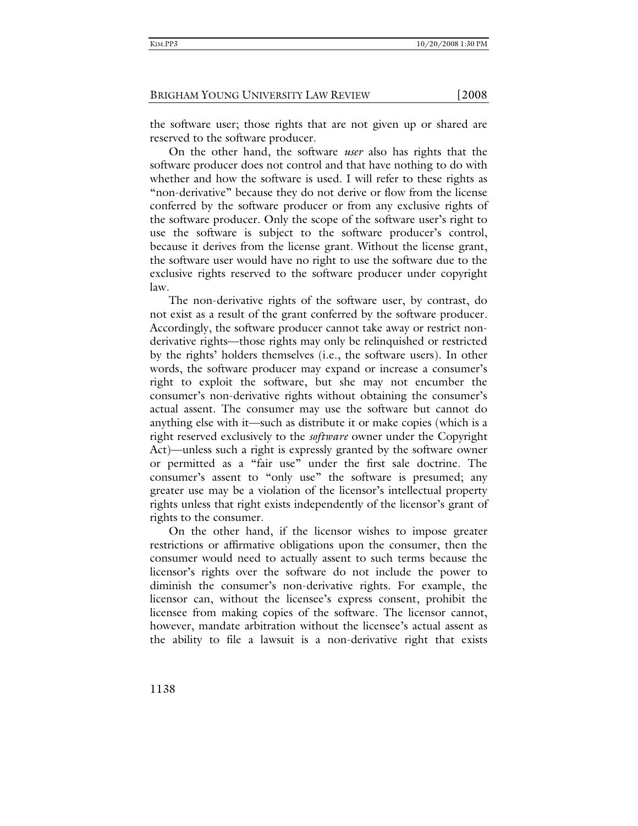the software user; those rights that are not given up or shared are reserved to the software producer.

On the other hand, the software *user* also has rights that the software producer does not control and that have nothing to do with whether and how the software is used. I will refer to these rights as "non-derivative" because they do not derive or flow from the license conferred by the software producer or from any exclusive rights of the software producer. Only the scope of the software user's right to use the software is subject to the software producer's control, because it derives from the license grant. Without the license grant, the software user would have no right to use the software due to the exclusive rights reserved to the software producer under copyright law.

The non-derivative rights of the software user, by contrast, do not exist as a result of the grant conferred by the software producer. Accordingly, the software producer cannot take away or restrict nonderivative rights—those rights may only be relinquished or restricted by the rights' holders themselves (i.e., the software users). In other words, the software producer may expand or increase a consumer's right to exploit the software, but she may not encumber the consumer's non-derivative rights without obtaining the consumer's actual assent. The consumer may use the software but cannot do anything else with it—such as distribute it or make copies (which is a right reserved exclusively to the *software* owner under the Copyright Act)—unless such a right is expressly granted by the software owner or permitted as a "fair use" under the first sale doctrine. The consumer's assent to "only use" the software is presumed; any greater use may be a violation of the licensor's intellectual property rights unless that right exists independently of the licensor's grant of rights to the consumer.

On the other hand, if the licensor wishes to impose greater restrictions or affirmative obligations upon the consumer, then the consumer would need to actually assent to such terms because the licensor's rights over the software do not include the power to diminish the consumer's non-derivative rights. For example, the licensor can, without the licensee's express consent, prohibit the licensee from making copies of the software. The licensor cannot, however, mandate arbitration without the licensee's actual assent as the ability to file a lawsuit is a non-derivative right that exists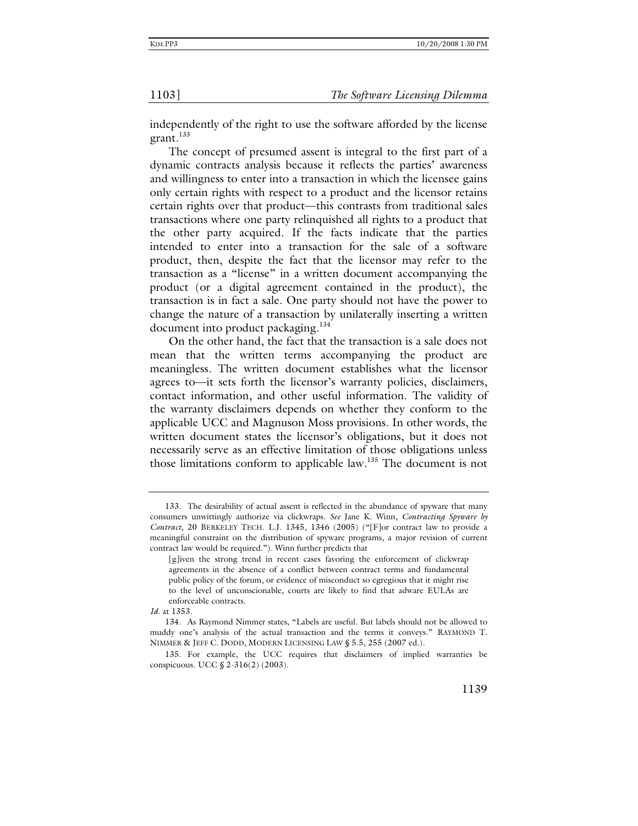independently of the right to use the software afforded by the license grant.<sup>133</sup>

The concept of presumed assent is integral to the first part of a dynamic contracts analysis because it reflects the parties' awareness and willingness to enter into a transaction in which the licensee gains only certain rights with respect to a product and the licensor retains certain rights over that product—this contrasts from traditional sales transactions where one party relinquished all rights to a product that the other party acquired. If the facts indicate that the parties intended to enter into a transaction for the sale of a software product, then, despite the fact that the licensor may refer to the transaction as a "license" in a written document accompanying the product (or a digital agreement contained in the product), the transaction is in fact a sale. One party should not have the power to change the nature of a transaction by unilaterally inserting a written document into product packaging.<sup>134</sup>

On the other hand, the fact that the transaction is a sale does not mean that the written terms accompanying the product are meaningless. The written document establishes what the licensor agrees to—it sets forth the licensor's warranty policies, disclaimers, contact information, and other useful information. The validity of the warranty disclaimers depends on whether they conform to the applicable UCC and Magnuson Moss provisions. In other words, the written document states the licensor's obligations, but it does not necessarily serve as an effective limitation of those obligations unless those limitations conform to applicable law.<sup>135</sup> The document is not

 <sup>133.</sup> The desirability of actual assent is reflected in the abundance of spyware that many consumers unwittingly authorize via clickwraps. *See* Jane K. Winn, *Contracting Spyware by Contract*, 20 BERKELEY TECH. L.J. 1345, 1346 (2005) ("[F]or contract law to provide a meaningful constraint on the distribution of spyware programs, a major revision of current contract law would be required."). Winn further predicts that

<sup>[</sup>g]iven the strong trend in recent cases favoring the enforcement of clickwrap agreements in the absence of a conflict between contract terms and fundamental public policy of the forum, or evidence of misconduct so egregious that it might rise to the level of unconscionable, courts are likely to find that adware EULAs are enforceable contracts.

*Id*. at 1353.

 <sup>134.</sup> As Raymond Nimmer states, "Labels are useful. But labels should not be allowed to muddy one's analysis of the actual transaction and the terms it conveys." RAYMOND T. NIMMER & JEFF C. DODD, MODERN LICENSING LAW § 5.5, 255 (2007 ed.).

 <sup>135.</sup> For example, the UCC requires that disclaimers of implied warranties be conspicuous. UCC § 2-316(2) (2003).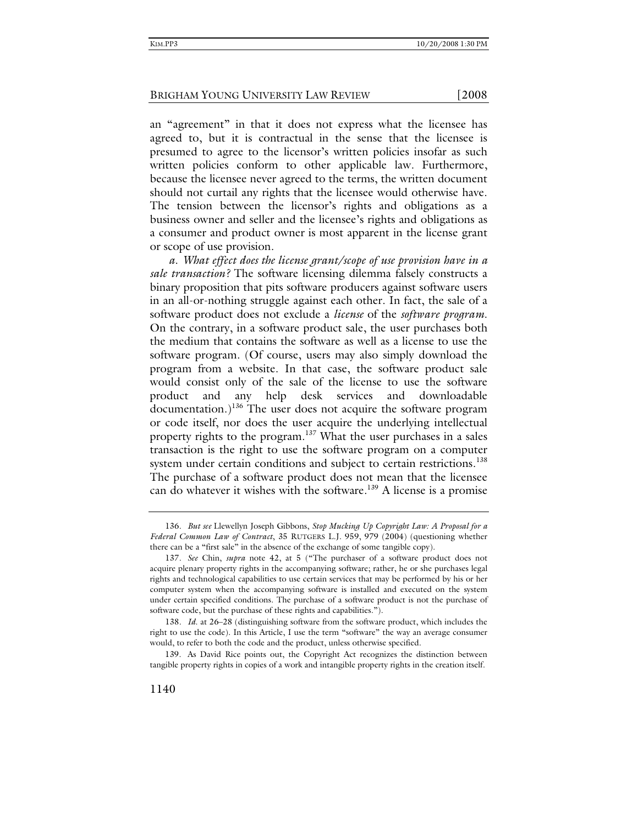an "agreement" in that it does not express what the licensee has agreed to, but it is contractual in the sense that the licensee is presumed to agree to the licensor's written policies insofar as such written policies conform to other applicable law*.* Furthermore, because the licensee never agreed to the terms, the written document should not curtail any rights that the licensee would otherwise have. The tension between the licensor's rights and obligations as a business owner and seller and the licensee's rights and obligations as a consumer and product owner is most apparent in the license grant or scope of use provision.

*a. What effect does the license grant/scope of use provision have in a sale transaction?* The software licensing dilemma falsely constructs a binary proposition that pits software producers against software users in an all-or-nothing struggle against each other. In fact, the sale of a software product does not exclude a *license* of the *software program*. On the contrary, in a software product sale, the user purchases both the medium that contains the software as well as a license to use the software program. (Of course, users may also simply download the program from a website. In that case, the software product sale would consist only of the sale of the license to use the software product and any help desk services and downloadable  $\alpha$  documentation.)<sup>136</sup> The user does not acquire the software program or code itself, nor does the user acquire the underlying intellectual property rights to the program.<sup>137</sup> What the user purchases in a sales transaction is the right to use the software program on a computer system under certain conditions and subject to certain restrictions.<sup>138</sup> The purchase of a software product does not mean that the licensee can do whatever it wishes with the software.<sup>139</sup> A license is a promise

<sup>136</sup>*. But see* Llewellyn Joseph Gibbons, *Stop Mucking Up Copyright Law: A Proposal for a Federal Common Law of Contract*, 35 RUTGERS L.J. 959, 979 (2004) (questioning whether there can be a "first sale" in the absence of the exchange of some tangible copy).

<sup>137</sup>*. See* Chin, *supra* note 42, at 5 ("The purchaser of a software product does not acquire plenary property rights in the accompanying software; rather, he or she purchases legal rights and technological capabilities to use certain services that may be performed by his or her computer system when the accompanying software is installed and executed on the system under certain specified conditions. The purchase of a software product is not the purchase of software code, but the purchase of these rights and capabilities.").

<sup>138</sup>*. Id*. at 26–28 (distinguishing software from the software product, which includes the right to use the code). In this Article, I use the term "software" the way an average consumer would, to refer to both the code and the product, unless otherwise specified.

 <sup>139.</sup> As David Rice points out, the Copyright Act recognizes the distinction between tangible property rights in copies of a work and intangible property rights in the creation itself.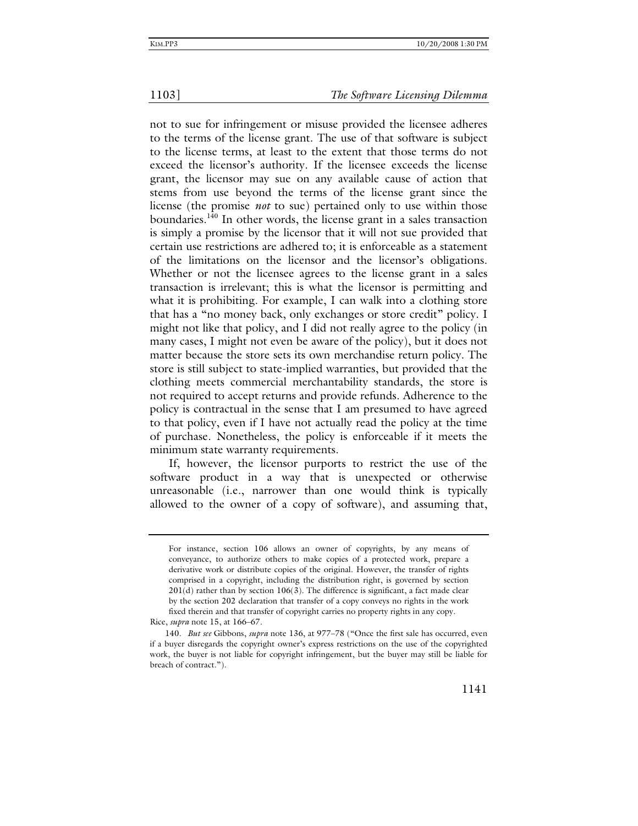not to sue for infringement or misuse provided the licensee adheres to the terms of the license grant. The use of that software is subject to the license terms, at least to the extent that those terms do not exceed the licensor's authority. If the licensee exceeds the license grant, the licensor may sue on any available cause of action that stems from use beyond the terms of the license grant since the license (the promise *not* to sue) pertained only to use within those boundaries.140 In other words, the license grant in a sales transaction is simply a promise by the licensor that it will not sue provided that certain use restrictions are adhered to; it is enforceable as a statement of the limitations on the licensor and the licensor's obligations. Whether or not the licensee agrees to the license grant in a sales transaction is irrelevant; this is what the licensor is permitting and what it is prohibiting. For example, I can walk into a clothing store that has a "no money back, only exchanges or store credit" policy. I might not like that policy, and I did not really agree to the policy (in many cases, I might not even be aware of the policy), but it does not matter because the store sets its own merchandise return policy. The store is still subject to state-implied warranties, but provided that the clothing meets commercial merchantability standards, the store is not required to accept returns and provide refunds. Adherence to the policy is contractual in the sense that I am presumed to have agreed to that policy, even if I have not actually read the policy at the time of purchase. Nonetheless, the policy is enforceable if it meets the minimum state warranty requirements.

If, however, the licensor purports to restrict the use of the software product in a way that is unexpected or otherwise unreasonable (i.e., narrower than one would think is typically allowed to the owner of a copy of software), and assuming that,

For instance, section 106 allows an owner of copyrights, by any means of conveyance, to authorize others to make copies of a protected work, prepare a derivative work or distribute copies of the original. However, the transfer of rights comprised in a copyright, including the distribution right, is governed by section  $201(d)$  rather than by section  $106(3)$ . The difference is significant, a fact made clear by the section 202 declaration that transfer of a copy conveys no rights in the work fixed therein and that transfer of copyright carries no property rights in any copy.

Rice, *supra* note 15, at 166–67.

<sup>140</sup>*. But see* Gibbons, *supra* note 136, at 977–78 ("Once the first sale has occurred, even if a buyer disregards the copyright owner's express restrictions on the use of the copyrighted work, the buyer is not liable for copyright infringement, but the buyer may still be liable for breach of contract.").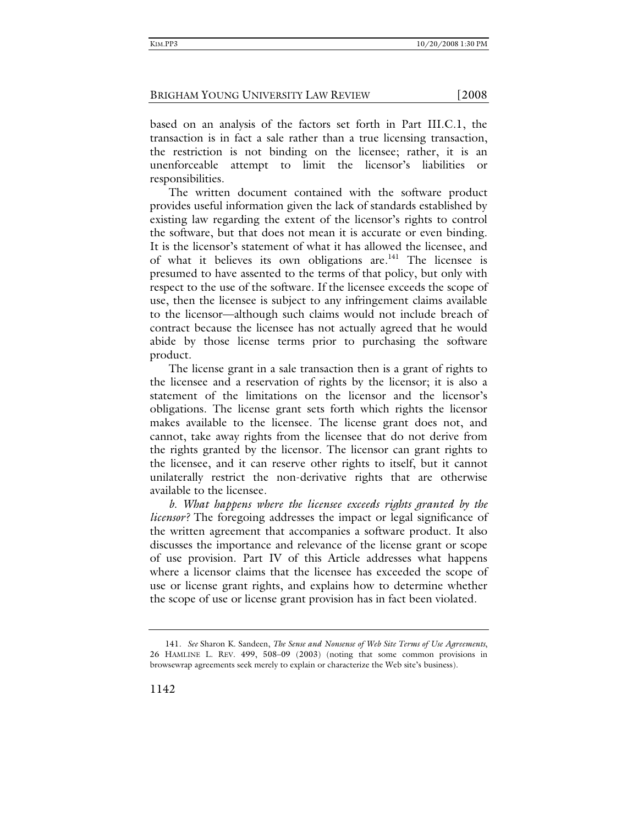based on an analysis of the factors set forth in Part III.C.1, the transaction is in fact a sale rather than a true licensing transaction, the restriction is not binding on the licensee; rather, it is an unenforceable attempt to limit the licensor's liabilities or responsibilities.

The written document contained with the software product provides useful information given the lack of standards established by existing law regarding the extent of the licensor's rights to control the software, but that does not mean it is accurate or even binding. It is the licensor's statement of what it has allowed the licensee, and of what it believes its own obligations are.<sup>141</sup> The licensee is presumed to have assented to the terms of that policy, but only with respect to the use of the software. If the licensee exceeds the scope of use, then the licensee is subject to any infringement claims available to the licensor—although such claims would not include breach of contract because the licensee has not actually agreed that he would abide by those license terms prior to purchasing the software product.

The license grant in a sale transaction then is a grant of rights to the licensee and a reservation of rights by the licensor; it is also a statement of the limitations on the licensor and the licensor's obligations. The license grant sets forth which rights the licensor makes available to the licensee. The license grant does not, and cannot, take away rights from the licensee that do not derive from the rights granted by the licensor. The licensor can grant rights to the licensee, and it can reserve other rights to itself, but it cannot unilaterally restrict the non-derivative rights that are otherwise available to the licensee.

*b. What happens where the licensee exceeds rights granted by the licensor?* The foregoing addresses the impact or legal significance of the written agreement that accompanies a software product. It also discusses the importance and relevance of the license grant or scope of use provision. Part IV of this Article addresses what happens where a licensor claims that the licensee has exceeded the scope of use or license grant rights, and explains how to determine whether the scope of use or license grant provision has in fact been violated.

<sup>141</sup>*. See* Sharon K. Sandeen, *The Sense and Nonsense of Web Site Terms of Use Agreements*, 26 HAMLINE L. REV. 499, 508–09 (2003) (noting that some common provisions in browsewrap agreements seek merely to explain or characterize the Web site's business).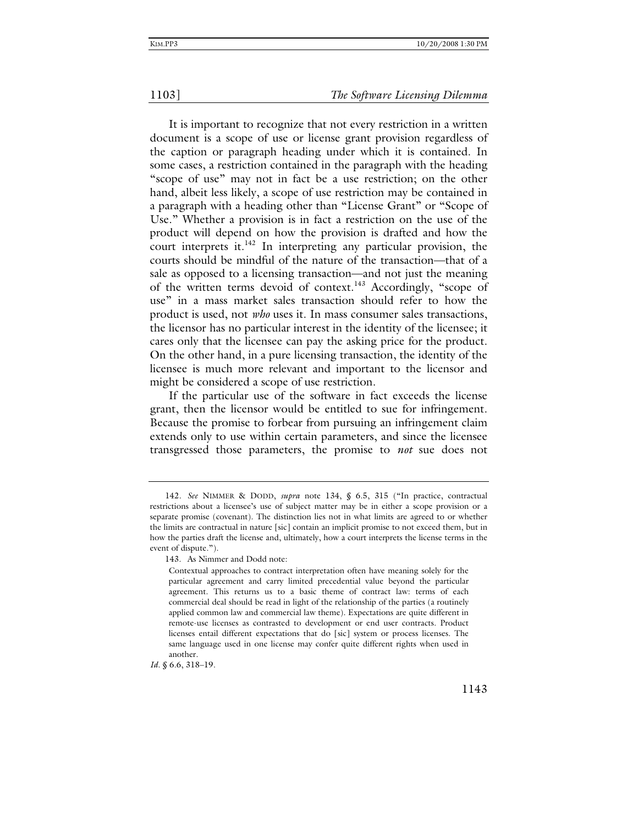It is important to recognize that not every restriction in a written document is a scope of use or license grant provision regardless of the caption or paragraph heading under which it is contained. In some cases, a restriction contained in the paragraph with the heading "scope of use" may not in fact be a use restriction; on the other hand, albeit less likely, a scope of use restriction may be contained in a paragraph with a heading other than "License Grant" or "Scope of Use." Whether a provision is in fact a restriction on the use of the product will depend on how the provision is drafted and how the court interprets it. $142$  In interpreting any particular provision, the courts should be mindful of the nature of the transaction—that of a sale as opposed to a licensing transaction—and not just the meaning of the written terms devoid of context.<sup>143</sup> Accordingly, "scope of use" in a mass market sales transaction should refer to how the product is used, not *who* uses it. In mass consumer sales transactions, the licensor has no particular interest in the identity of the licensee; it cares only that the licensee can pay the asking price for the product. On the other hand, in a pure licensing transaction, the identity of the licensee is much more relevant and important to the licensor and might be considered a scope of use restriction.

If the particular use of the software in fact exceeds the license grant, then the licensor would be entitled to sue for infringement. Because the promise to forbear from pursuing an infringement claim extends only to use within certain parameters, and since the licensee transgressed those parameters, the promise to *not* sue does not

*Id*. § 6.6, 318–19.

<sup>142</sup>*. See* NIMMER & DODD, *supra* note 134, § 6.5, 315 ("In practice, contractual restrictions about a licensee's use of subject matter may be in either a scope provision or a separate promise (covenant). The distinction lies not in what limits are agreed to or whether the limits are contractual in nature [sic] contain an implicit promise to not exceed them, but in how the parties draft the license and, ultimately, how a court interprets the license terms in the event of dispute.").

 <sup>143.</sup> As Nimmer and Dodd note:

Contextual approaches to contract interpretation often have meaning solely for the particular agreement and carry limited precedential value beyond the particular agreement. This returns us to a basic theme of contract law: terms of each commercial deal should be read in light of the relationship of the parties (a routinely applied common law and commercial law theme). Expectations are quite different in remote-use licenses as contrasted to development or end user contracts. Product licenses entail different expectations that do [sic] system or process licenses. The same language used in one license may confer quite different rights when used in another.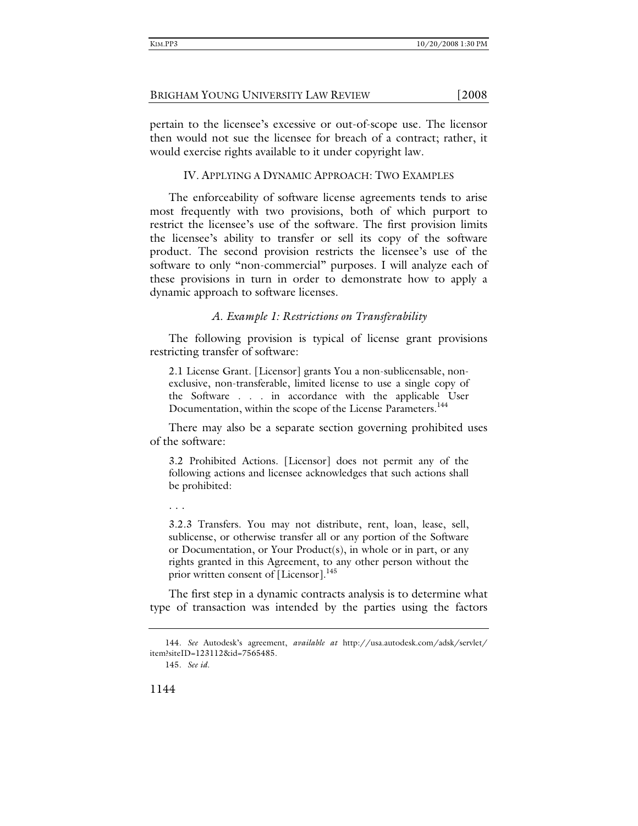pertain to the licensee's excessive or out-of-scope use. The licensor then would not sue the licensee for breach of a contract; rather, it would exercise rights available to it under copyright law.

### IV. APPLYING A DYNAMIC APPROACH: TWO EXAMPLES

The enforceability of software license agreements tends to arise most frequently with two provisions, both of which purport to restrict the licensee's use of the software. The first provision limits the licensee's ability to transfer or sell its copy of the software product. The second provision restricts the licensee's use of the software to only "non-commercial" purposes. I will analyze each of these provisions in turn in order to demonstrate how to apply a dynamic approach to software licenses.

### *A. Example 1: Restrictions on Transferability*

The following provision is typical of license grant provisions restricting transfer of software:

2.1 License Grant. [Licensor] grants You a non-sublicensable, nonexclusive, non-transferable, limited license to use a single copy of the Software . . . in accordance with the applicable User Documentation, within the scope of the License Parameters.<sup>144</sup>

There may also be a separate section governing prohibited uses of the software:

3.2 Prohibited Actions. [Licensor] does not permit any of the following actions and licensee acknowledges that such actions shall be prohibited:

. . .

3.2.3 Transfers. You may not distribute, rent, loan, lease, sell, sublicense, or otherwise transfer all or any portion of the Software or Documentation, or Your Product(s), in whole or in part, or any rights granted in this Agreement, to any other person without the prior written consent of [Licensor].<sup>145</sup>

The first step in a dynamic contracts analysis is to determine what type of transaction was intended by the parties using the factors

<sup>144</sup>*. See* Autodesk's agreement, *available at* http://usa.autodesk.com/adsk/servlet/ item?siteID=123112&id=7565485.

<sup>145</sup>*. See id*.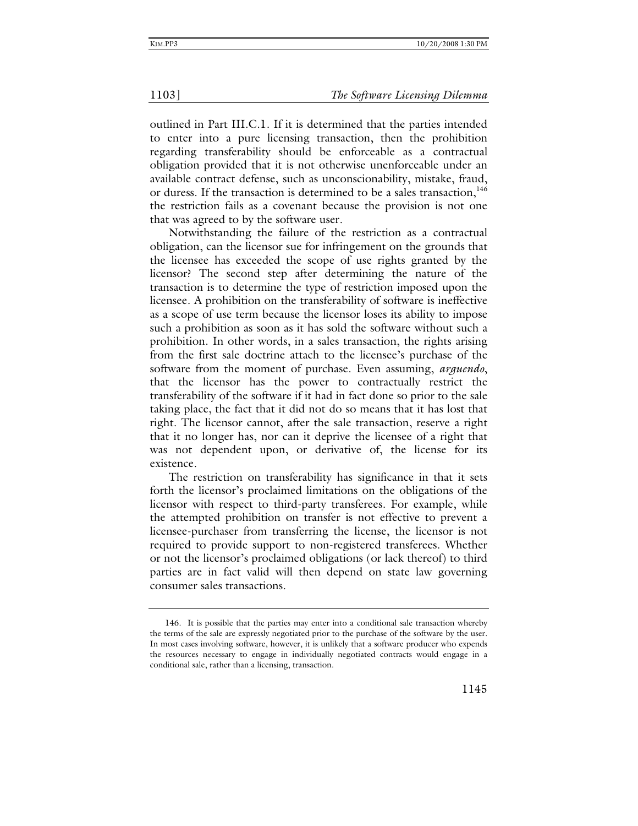outlined in Part III.C.1. If it is determined that the parties intended to enter into a pure licensing transaction, then the prohibition regarding transferability should be enforceable as a contractual obligation provided that it is not otherwise unenforceable under an available contract defense, such as unconscionability, mistake, fraud, or duress. If the transaction is determined to be a sales transaction,<sup>146</sup> the restriction fails as a covenant because the provision is not one that was agreed to by the software user.

Notwithstanding the failure of the restriction as a contractual obligation, can the licensor sue for infringement on the grounds that the licensee has exceeded the scope of use rights granted by the licensor? The second step after determining the nature of the transaction is to determine the type of restriction imposed upon the licensee. A prohibition on the transferability of software is ineffective as a scope of use term because the licensor loses its ability to impose such a prohibition as soon as it has sold the software without such a prohibition. In other words, in a sales transaction, the rights arising from the first sale doctrine attach to the licensee's purchase of the software from the moment of purchase. Even assuming, *arguendo*, that the licensor has the power to contractually restrict the transferability of the software if it had in fact done so prior to the sale taking place, the fact that it did not do so means that it has lost that right. The licensor cannot, after the sale transaction, reserve a right that it no longer has, nor can it deprive the licensee of a right that was not dependent upon, or derivative of, the license for its existence.

The restriction on transferability has significance in that it sets forth the licensor's proclaimed limitations on the obligations of the licensor with respect to third-party transferees. For example, while the attempted prohibition on transfer is not effective to prevent a licensee-purchaser from transferring the license, the licensor is not required to provide support to non-registered transferees. Whether or not the licensor's proclaimed obligations (or lack thereof) to third parties are in fact valid will then depend on state law governing consumer sales transactions.

 <sup>146.</sup> It is possible that the parties may enter into a conditional sale transaction whereby the terms of the sale are expressly negotiated prior to the purchase of the software by the user. In most cases involving software, however, it is unlikely that a software producer who expends the resources necessary to engage in individually negotiated contracts would engage in a conditional sale, rather than a licensing, transaction.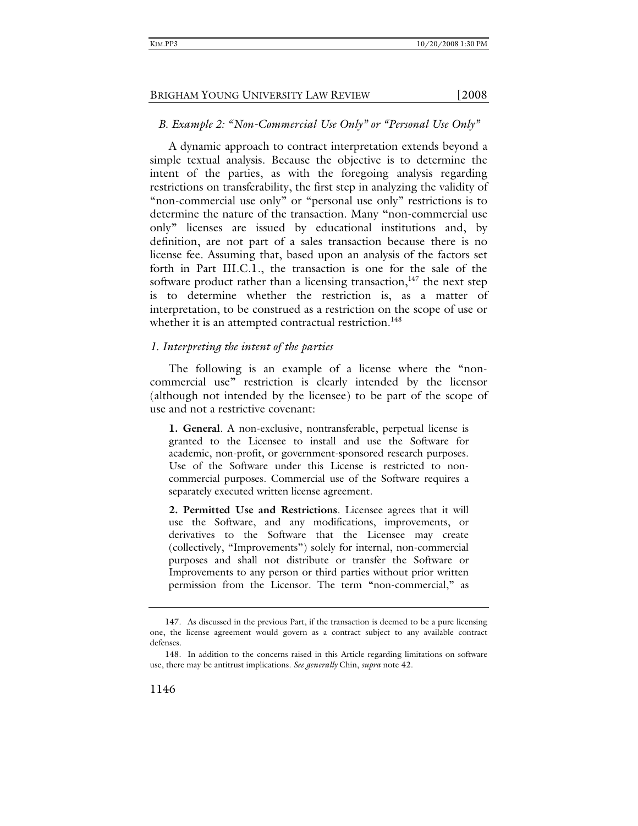### *B. Example 2: "Non-Commercial Use Only" or "Personal Use Only"*

A dynamic approach to contract interpretation extends beyond a simple textual analysis. Because the objective is to determine the intent of the parties, as with the foregoing analysis regarding restrictions on transferability, the first step in analyzing the validity of "non-commercial use only" or "personal use only" restrictions is to determine the nature of the transaction. Many "non-commercial use only" licenses are issued by educational institutions and, by definition, are not part of a sales transaction because there is no license fee. Assuming that, based upon an analysis of the factors set forth in Part III.C.1., the transaction is one for the sale of the software product rather than a licensing transaction, $147$  the next step is to determine whether the restriction is, as a matter of interpretation, to be construed as a restriction on the scope of use or whether it is an attempted contractual restriction.<sup>148</sup>

### *1. Interpreting the intent of the parties*

The following is an example of a license where the "noncommercial use" restriction is clearly intended by the licensor (although not intended by the licensee) to be part of the scope of use and not a restrictive covenant:

**1. General**. A non-exclusive, nontransferable, perpetual license is granted to the Licensee to install and use the Software for academic, non-profit, or government-sponsored research purposes. Use of the Software under this License is restricted to noncommercial purposes. Commercial use of the Software requires a separately executed written license agreement.

**2. Permitted Use and Restrictions**. Licensee agrees that it will use the Software, and any modifications, improvements, or derivatives to the Software that the Licensee may create (collectively, "Improvements") solely for internal, non-commercial purposes and shall not distribute or transfer the Software or Improvements to any person or third parties without prior written permission from the Licensor. The term "non-commercial," as

 <sup>147.</sup> As discussed in the previous Part, if the transaction is deemed to be a pure licensing one, the license agreement would govern as a contract subject to any available contract defenses.

 <sup>148.</sup> In addition to the concerns raised in this Article regarding limitations on software use, there may be antitrust implications. *See generally* Chin, *supra* note 42.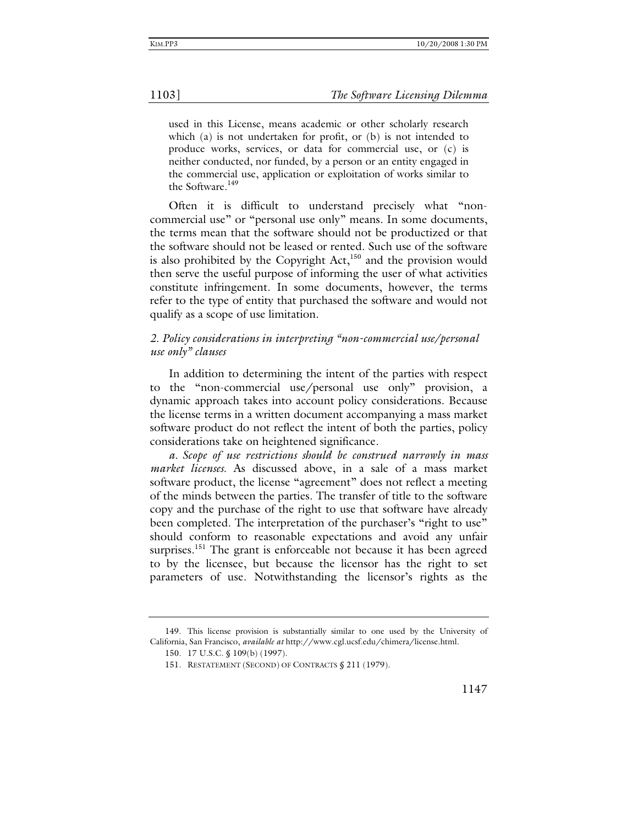used in this License, means academic or other scholarly research which (a) is not undertaken for profit, or (b) is not intended to produce works, services, or data for commercial use, or (c) is neither conducted, nor funded, by a person or an entity engaged in the commercial use, application or exploitation of works similar to the Software.<sup>149</sup>

Often it is difficult to understand precisely what "noncommercial use" or "personal use only" means. In some documents, the terms mean that the software should not be productized or that the software should not be leased or rented. Such use of the software is also prohibited by the Copyright  $Act$ <sup>150</sup> and the provision would then serve the useful purpose of informing the user of what activities constitute infringement. In some documents, however, the terms refer to the type of entity that purchased the software and would not qualify as a scope of use limitation.

# *2. Policy considerations in interpreting "non-commercial use/personal use only" clauses*

In addition to determining the intent of the parties with respect to the "non-commercial use/personal use only" provision, a dynamic approach takes into account policy considerations. Because the license terms in a written document accompanying a mass market software product do not reflect the intent of both the parties, policy considerations take on heightened significance.

*a. Scope of use restrictions should be construed narrowly in mass market licenses.* As discussed above, in a sale of a mass market software product, the license "agreement" does not reflect a meeting of the minds between the parties. The transfer of title to the software copy and the purchase of the right to use that software have already been completed. The interpretation of the purchaser's "right to use" should conform to reasonable expectations and avoid any unfair surprises.<sup>151</sup> The grant is enforceable not because it has been agreed to by the licensee, but because the licensor has the right to set parameters of use. Notwithstanding the licensor's rights as the

 <sup>149.</sup> This license provision is substantially similar to one used by the University of California, San Francisco, *available at* http://www.cgl.ucsf.edu/chimera/license.html.

 <sup>150. 17</sup> U.S.C. § 109(b) (1997).

 <sup>151.</sup> RESTATEMENT (SECOND) OF CONTRACTS § 211 (1979).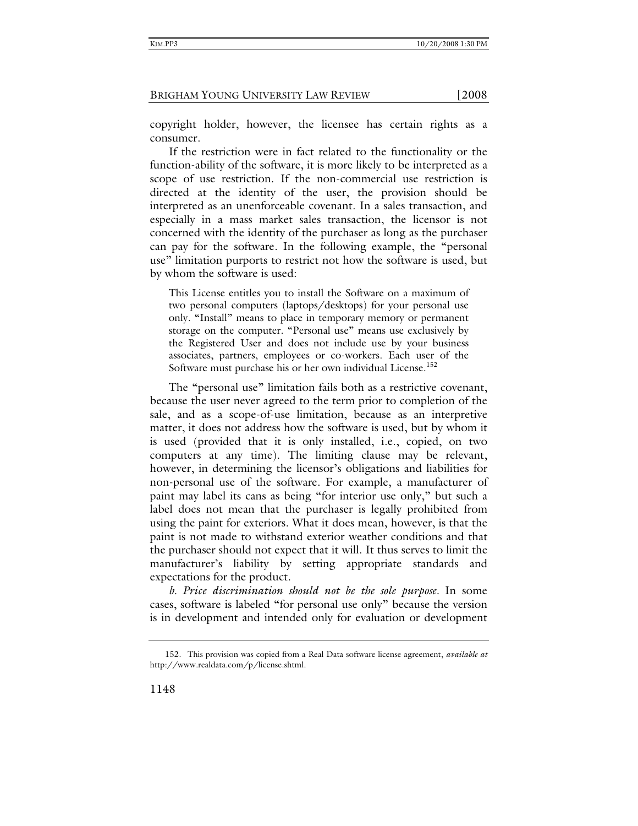copyright holder, however, the licensee has certain rights as a consumer.

If the restriction were in fact related to the functionality or the function-ability of the software, it is more likely to be interpreted as a scope of use restriction. If the non-commercial use restriction is directed at the identity of the user, the provision should be interpreted as an unenforceable covenant. In a sales transaction, and especially in a mass market sales transaction, the licensor is not concerned with the identity of the purchaser as long as the purchaser can pay for the software. In the following example, the "personal use" limitation purports to restrict not how the software is used, but by whom the software is used:

This License entitles you to install the Software on a maximum of two personal computers (laptops/desktops) for your personal use only. "Install" means to place in temporary memory or permanent storage on the computer. "Personal use" means use exclusively by the Registered User and does not include use by your business associates, partners, employees or co-workers. Each user of the Software must purchase his or her own individual License.<sup>152</sup>

The "personal use" limitation fails both as a restrictive covenant, because the user never agreed to the term prior to completion of the sale, and as a scope-of-use limitation, because as an interpretive matter, it does not address how the software is used, but by whom it is used (provided that it is only installed, i.e., copied, on two computers at any time). The limiting clause may be relevant, however, in determining the licensor's obligations and liabilities for non-personal use of the software. For example, a manufacturer of paint may label its cans as being "for interior use only," but such a label does not mean that the purchaser is legally prohibited from using the paint for exteriors. What it does mean, however, is that the paint is not made to withstand exterior weather conditions and that the purchaser should not expect that it will. It thus serves to limit the manufacturer's liability by setting appropriate standards and expectations for the product.

*b. Price discrimination should not be the sole purpose.* In some cases, software is labeled "for personal use only" because the version is in development and intended only for evaluation or development

 <sup>152.</sup> This provision was copied from a Real Data software license agreement, *available at* http://www.realdata.com/p/license.shtml.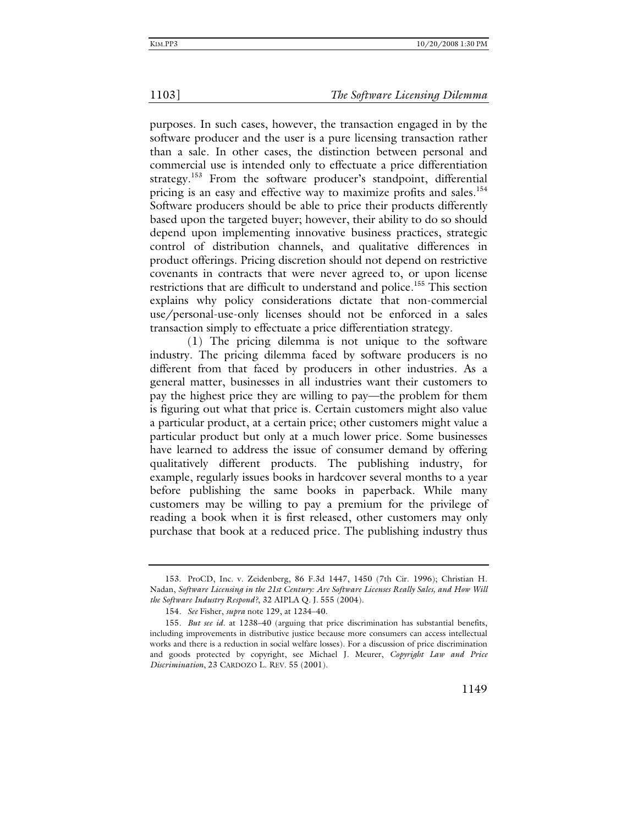purposes. In such cases, however, the transaction engaged in by the software producer and the user is a pure licensing transaction rather than a sale. In other cases, the distinction between personal and commercial use is intended only to effectuate a price differentiation strategy.<sup>153</sup> From the software producer's standpoint, differential pricing is an easy and effective way to maximize profits and sales.<sup>154</sup> Software producers should be able to price their products differently based upon the targeted buyer; however, their ability to do so should depend upon implementing innovative business practices, strategic control of distribution channels, and qualitative differences in product offerings. Pricing discretion should not depend on restrictive covenants in contracts that were never agreed to, or upon license restrictions that are difficult to understand and police.<sup>155</sup> This section explains why policy considerations dictate that non-commercial use/personal-use-only licenses should not be enforced in a sales transaction simply to effectuate a price differentiation strategy.

 (1) The pricing dilemma is not unique to the software industry. The pricing dilemma faced by software producers is no different from that faced by producers in other industries. As a general matter, businesses in all industries want their customers to pay the highest price they are willing to pay—the problem for them is figuring out what that price is. Certain customers might also value a particular product, at a certain price; other customers might value a particular product but only at a much lower price. Some businesses have learned to address the issue of consumer demand by offering qualitatively different products. The publishing industry, for example, regularly issues books in hardcover several months to a year before publishing the same books in paperback. While many customers may be willing to pay a premium for the privilege of reading a book when it is first released, other customers may only purchase that book at a reduced price. The publishing industry thus

 <sup>153.</sup> ProCD, Inc. v. Zeidenberg, 86 F.3d 1447, 1450 (7th Cir. 1996); Christian H. Nadan, *Software Licensing in the 21st Century: Are Software Licenses Really Sales, and How Will the Software Industry Respond?*, 32 AIPLA Q. J. 555 (2004).

<sup>154</sup>*. See* Fisher, *supra* note 129, at 1234–40.

<sup>155</sup>*. But see id*. at 1238–40 (arguing that price discrimination has substantial benefits, including improvements in distributive justice because more consumers can access intellectual works and there is a reduction in social welfare losses). For a discussion of price discrimination and goods protected by copyright, see Michael J. Meurer, *Copyright Law and Price Discrimination*, 23 CARDOZO L. REV. 55 (2001).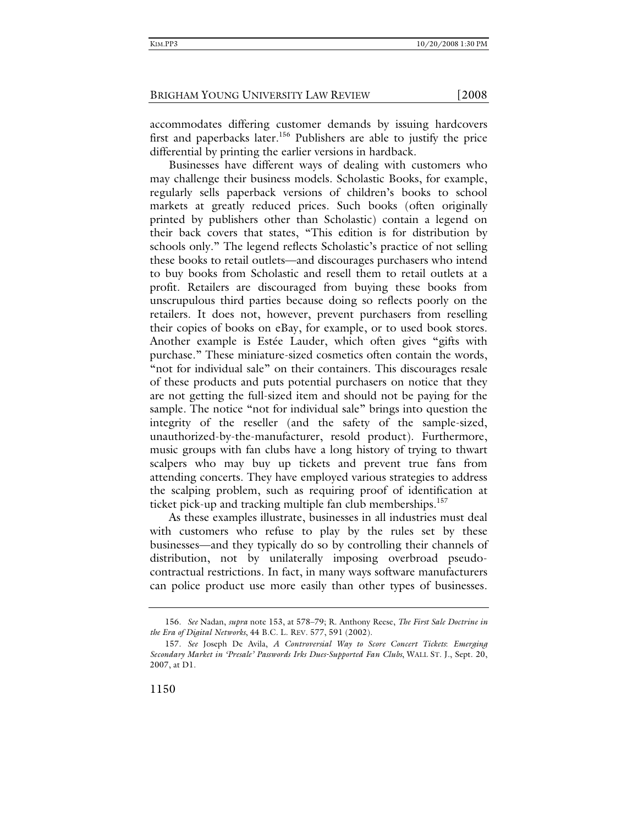accommodates differing customer demands by issuing hardcovers first and paperbacks later.<sup>156</sup> Publishers are able to justify the price differential by printing the earlier versions in hardback.

Businesses have different ways of dealing with customers who may challenge their business models. Scholastic Books, for example, regularly sells paperback versions of children's books to school markets at greatly reduced prices. Such books (often originally printed by publishers other than Scholastic) contain a legend on their back covers that states, "This edition is for distribution by schools only." The legend reflects Scholastic's practice of not selling these books to retail outlets—and discourages purchasers who intend to buy books from Scholastic and resell them to retail outlets at a profit. Retailers are discouraged from buying these books from unscrupulous third parties because doing so reflects poorly on the retailers. It does not, however, prevent purchasers from reselling their copies of books on eBay, for example, or to used book stores. Another example is Estée Lauder, which often gives "gifts with purchase." These miniature-sized cosmetics often contain the words, "not for individual sale" on their containers. This discourages resale of these products and puts potential purchasers on notice that they are not getting the full-sized item and should not be paying for the sample. The notice "not for individual sale" brings into question the integrity of the reseller (and the safety of the sample-sized, unauthorized-by-the-manufacturer, resold product). Furthermore, music groups with fan clubs have a long history of trying to thwart scalpers who may buy up tickets and prevent true fans from attending concerts. They have employed various strategies to address the scalping problem, such as requiring proof of identification at ticket pick-up and tracking multiple fan club memberships.<sup>157</sup>

As these examples illustrate, businesses in all industries must deal with customers who refuse to play by the rules set by these businesses—and they typically do so by controlling their channels of distribution, not by unilaterally imposing overbroad pseudocontractual restrictions. In fact, in many ways software manufacturers can police product use more easily than other types of businesses.

1150

 <sup>156.</sup> *See* Nadan, *supra* note 153, at 578–79; R. Anthony Reese, *The First Sale Doctrine in the Era of Digital Networks*, 44 B.C. L. REV. 577, 591 (2002).

 <sup>157.</sup> *See* Joseph De Avila, *A Controversial Way to Score Concert Tickets*: *Emerging Secondary Market in 'Presale' Passwords Irks Dues-Supported Fan Clubs*, WALL ST. J., Sept. 20, 2007, at D1.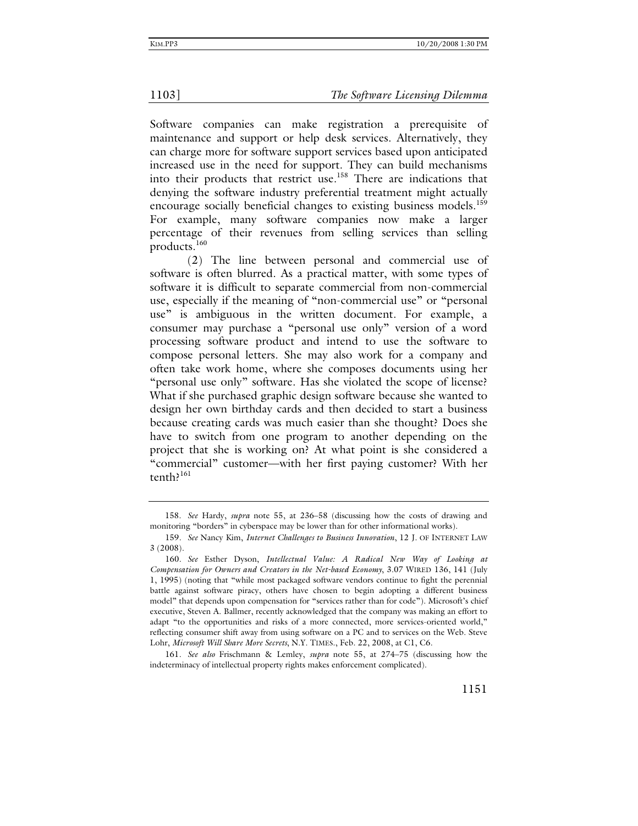Software companies can make registration a prerequisite of maintenance and support or help desk services. Alternatively, they can charge more for software support services based upon anticipated increased use in the need for support. They can build mechanisms into their products that restrict use.<sup>158</sup> There are indications that denying the software industry preferential treatment might actually encourage socially beneficial changes to existing business models.<sup>159</sup> For example, many software companies now make a larger percentage of their revenues from selling services than selling products.<sup>160</sup>

 (2) The line between personal and commercial use of software is often blurred. As a practical matter, with some types of software it is difficult to separate commercial from non-commercial use, especially if the meaning of "non-commercial use" or "personal use" is ambiguous in the written document. For example, a consumer may purchase a "personal use only" version of a word processing software product and intend to use the software to compose personal letters. She may also work for a company and often take work home, where she composes documents using her "personal use only" software. Has she violated the scope of license? What if she purchased graphic design software because she wanted to design her own birthday cards and then decided to start a business because creating cards was much easier than she thought? Does she have to switch from one program to another depending on the project that she is working on? At what point is she considered a "commercial" customer—with her first paying customer? With her tenth?<sup>161</sup>

 <sup>158.</sup> *See* Hardy, *supra* note 55, at 236–58 (discussing how the costs of drawing and monitoring "borders" in cyberspace may be lower than for other informational works).

<sup>159</sup>*. See* Nancy Kim, *Internet Challenges to Business Innovation*, 12 J. OF INTERNET LAW 3 (2008).

<sup>160</sup>*. See* Esther Dyson, *Intellectual Value: A Radical New Way of Looking at Compensation for Owners and Creators in the Net-based Economy*, 3.07 WIRED 136, 141 (July 1, 1995) (noting that "while most packaged software vendors continue to fight the perennial battle against software piracy, others have chosen to begin adopting a different business model" that depends upon compensation for "services rather than for code"). Microsoft's chief executive, Steven A. Ballmer, recently acknowledged that the company was making an effort to adapt "to the opportunities and risks of a more connected, more services-oriented world," reflecting consumer shift away from using software on a PC and to services on the Web. Steve Lohr, *Microsoft Will Share More Secrets*, N.Y. TIMES., Feb. 22, 2008, at C1, C6.

<sup>161</sup>*. See also* Frischmann & Lemley, *supra* note 55, at 274–75 (discussing how the indeterminacy of intellectual property rights makes enforcement complicated).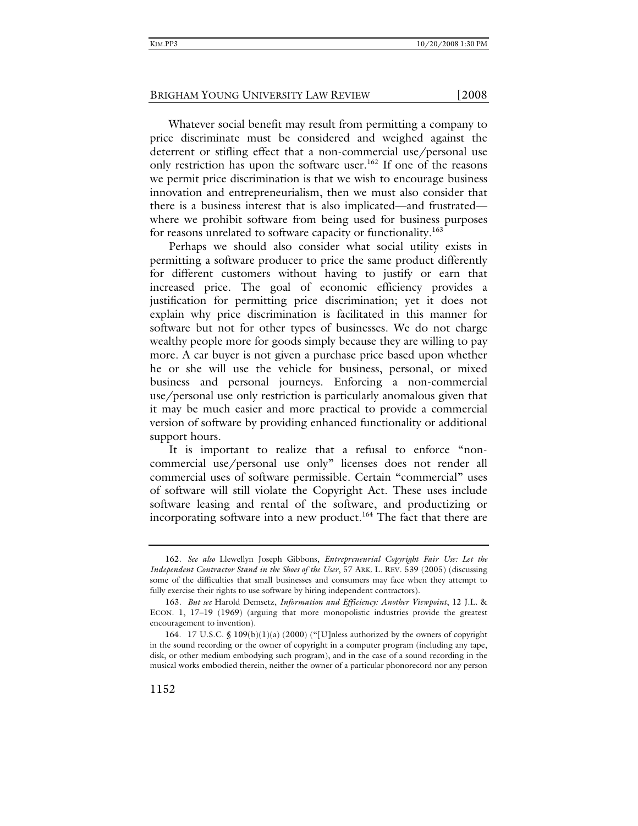Whatever social benefit may result from permitting a company to price discriminate must be considered and weighed against the deterrent or stifling effect that a non-commercial use/personal use only restriction has upon the software user.<sup>162</sup> If one of the reasons we permit price discrimination is that we wish to encourage business innovation and entrepreneurialism, then we must also consider that there is a business interest that is also implicated—and frustrated where we prohibit software from being used for business purposes for reasons unrelated to software capacity or functionality.<sup>163</sup>

Perhaps we should also consider what social utility exists in permitting a software producer to price the same product differently for different customers without having to justify or earn that increased price. The goal of economic efficiency provides a justification for permitting price discrimination; yet it does not explain why price discrimination is facilitated in this manner for software but not for other types of businesses. We do not charge wealthy people more for goods simply because they are willing to pay more. A car buyer is not given a purchase price based upon whether he or she will use the vehicle for business, personal, or mixed business and personal journeys. Enforcing a non-commercial use/personal use only restriction is particularly anomalous given that it may be much easier and more practical to provide a commercial version of software by providing enhanced functionality or additional support hours.

It is important to realize that a refusal to enforce "noncommercial use/personal use only" licenses does not render all commercial uses of software permissible. Certain "commercial" uses of software will still violate the Copyright Act. These uses include software leasing and rental of the software, and productizing or incorporating software into a new product.<sup>164</sup> The fact that there are

<sup>162</sup>*. See also* Llewellyn Joseph Gibbons, *Entrepreneurial Copyright Fair Use: Let the Independent Contractor Stand in the Shoes of the User*, 57 ARK. L. REV. 539 (2005) (discussing some of the difficulties that small businesses and consumers may face when they attempt to fully exercise their rights to use software by hiring independent contractors).

<sup>163</sup>*. But see* Harold Demsetz, *Information and Efficiency: Another Viewpoint*, 12 J.L. & ECON. 1, 17–19 (1969) (arguing that more monopolistic industries provide the greatest encouragement to invention).

 <sup>164. 17</sup> U.S.C. § 109(b)(1)(a) (2000) ("[U]nless authorized by the owners of copyright in the sound recording or the owner of copyright in a computer program (including any tape, disk, or other medium embodying such program), and in the case of a sound recording in the musical works embodied therein, neither the owner of a particular phonorecord nor any person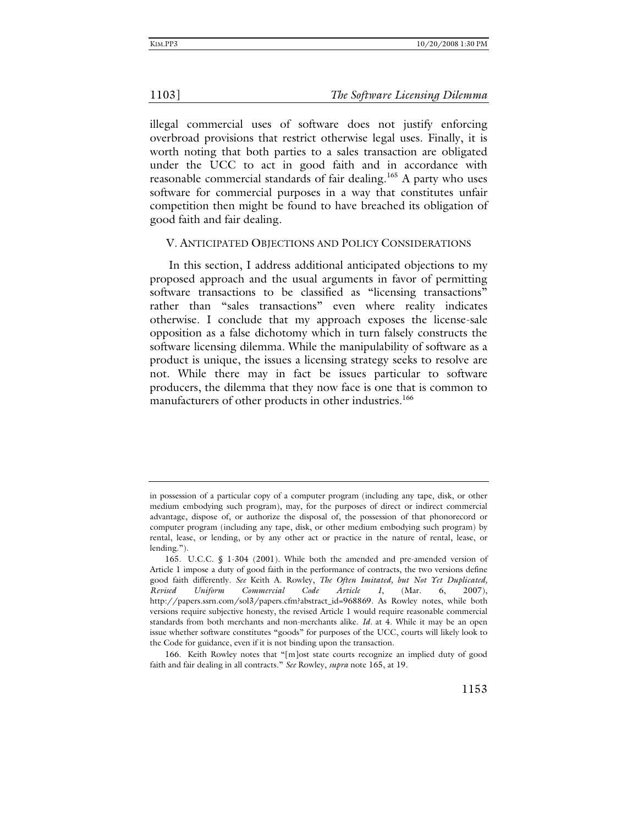illegal commercial uses of software does not justify enforcing overbroad provisions that restrict otherwise legal uses. Finally, it is worth noting that both parties to a sales transaction are obligated under the UCC to act in good faith and in accordance with reasonable commercial standards of fair dealing.<sup>165</sup> A party who uses software for commercial purposes in a way that constitutes unfair competition then might be found to have breached its obligation of good faith and fair dealing.

### V. ANTICIPATED OBJECTIONS AND POLICY CONSIDERATIONS

In this section, I address additional anticipated objections to my proposed approach and the usual arguments in favor of permitting software transactions to be classified as "licensing transactions" rather than "sales transactions" even where reality indicates otherwise. I conclude that my approach exposes the license-sale opposition as a false dichotomy which in turn falsely constructs the software licensing dilemma. While the manipulability of software as a product is unique, the issues a licensing strategy seeks to resolve are not. While there may in fact be issues particular to software producers, the dilemma that they now face is one that is common to manufacturers of other products in other industries.<sup>166</sup>

 166. Keith Rowley notes that "[m]ost state courts recognize an implied duty of good faith and fair dealing in all contracts." *See* Rowley, *supra* note 165, at 19.

in possession of a particular copy of a computer program (including any tape, disk, or other medium embodying such program), may, for the purposes of direct or indirect commercial advantage, dispose of, or authorize the disposal of, the possession of that phonorecord or computer program (including any tape, disk, or other medium embodying such program) by rental, lease, or lending, or by any other act or practice in the nature of rental, lease, or lending.").

 <sup>165.</sup> U.C.C. § 1-304 (2001). While both the amended and pre-amended version of Article 1 impose a duty of good faith in the performance of contracts, the two versions define good faith differently. *See* Keith A. Rowley, *The Often Imitated, but Not Yet Duplicated, Revised Uniform Commercial Code Article 1*, (Mar. 6, 2007), http://papers.ssrn.com/sol3/papers.cfm?abstract\_id=968869. As Rowley notes, while both versions require subjective honesty, the revised Article 1 would require reasonable commercial standards from both merchants and non-merchants alike. *Id.* at 4. While it may be an open issue whether software constitutes "goods" for purposes of the UCC, courts will likely look to the Code for guidance, even if it is not binding upon the transaction.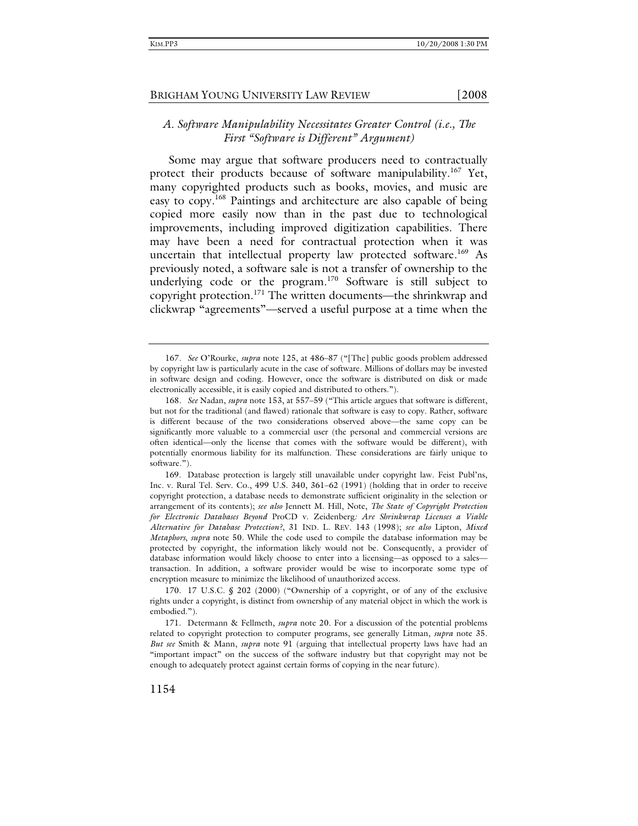# *A. Software Manipulability Necessitates Greater Control (i.e., The First "Software is Different" Argument)*

Some may argue that software producers need to contractually protect their products because of software manipulability.<sup>167</sup> Yet, many copyrighted products such as books, movies, and music are easy to copy.168 Paintings and architecture are also capable of being copied more easily now than in the past due to technological improvements, including improved digitization capabilities. There may have been a need for contractual protection when it was uncertain that intellectual property law protected software.<sup>169</sup> As previously noted, a software sale is not a transfer of ownership to the underlying code or the program.<sup>170</sup> Software is still subject to copyright protection.<sup>171</sup> The written documents—the shrinkwrap and clickwrap "agreements"—served a useful purpose at a time when the

<sup>167</sup>*. See* O'Rourke, *supra* note 125, at 486–87 ("[The] public goods problem addressed by copyright law is particularly acute in the case of software. Millions of dollars may be invested in software design and coding. However, once the software is distributed on disk or made electronically accessible, it is easily copied and distributed to others.").

<sup>168</sup>*. See* Nadan, *supra* note 153, at 557–59 ("This article argues that software is different, but not for the traditional (and flawed) rationale that software is easy to copy. Rather, software is different because of the two considerations observed above—the same copy can be significantly more valuable to a commercial user (the personal and commercial versions are often identical—only the license that comes with the software would be different), with potentially enormous liability for its malfunction. These considerations are fairly unique to software.").

 <sup>169.</sup> Database protection is largely still unavailable under copyright law. Feist Publ'ns, Inc. v. Rural Tel. Serv. Co., 499 U.S. 340, 361–62 (1991) (holding that in order to receive copyright protection, a database needs to demonstrate sufficient originality in the selection or arrangement of its contents); *see also* Jennett M. Hill, Note, *The State of Copyright Protection for Electronic Databases Beyond* ProCD v. Zeidenberg*: Are Shrinkwrap Licenses a Viable Alternative for Database Protection?*, 31 IND. L. REV. 143 (1998); *see also* Lipton, *Mixed Metaphors*, *supra* note 50. While the code used to compile the database information may be protected by copyright, the information likely would not be. Consequently, a provider of database information would likely choose to enter into a licensing—as opposed to a sales transaction. In addition, a software provider would be wise to incorporate some type of encryption measure to minimize the likelihood of unauthorized access.

 <sup>170. 17</sup> U.S.C. § 202 (2000) ("Ownership of a copyright, or of any of the exclusive rights under a copyright, is distinct from ownership of any material object in which the work is embodied.").

 <sup>171.</sup> Determann & Fellmeth, *supra* note 20. For a discussion of the potential problems related to copyright protection to computer programs, see generally Litman, *supra* note 35. *But see* Smith & Mann, *supra* note 91 (arguing that intellectual property laws have had an "important impact" on the success of the software industry but that copyright may not be enough to adequately protect against certain forms of copying in the near future).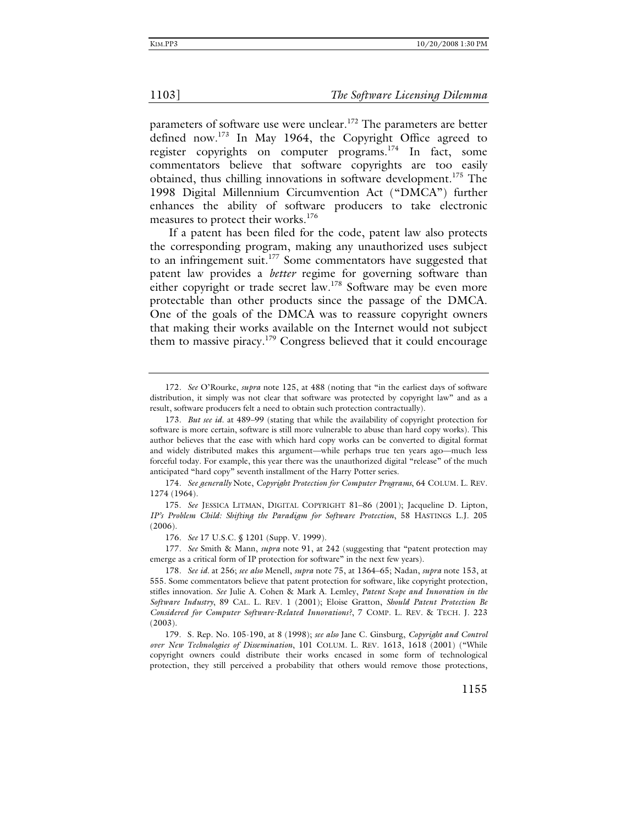parameters of software use were unclear.<sup>172</sup> The parameters are better defined now.173 In May 1964, the Copyright Office agreed to register copyrights on computer programs.<sup>174</sup> In fact, some commentators believe that software copyrights are too easily obtained, thus chilling innovations in software development.<sup>175</sup> The 1998 Digital Millennium Circumvention Act ("DMCA") further enhances the ability of software producers to take electronic measures to protect their works.<sup>176</sup>

If a patent has been filed for the code, patent law also protects the corresponding program, making any unauthorized uses subject to an infringement suit.<sup>177</sup> Some commentators have suggested that patent law provides a *better* regime for governing software than either copyright or trade secret law.<sup>178</sup> Software may be even more protectable than other products since the passage of the DMCA. One of the goals of the DMCA was to reassure copyright owners that making their works available on the Internet would not subject them to massive piracy.179 Congress believed that it could encourage

174*. See generally* Note, *Copyright Protection for Computer Programs*, 64 COLUM. L. REV. 1274 (1964).

 175. *See* JESSICA LITMAN, DIGITAL COPYRIGHT 81–86 (2001); Jacqueline D. Lipton, *IP's Problem Child: Shifting the Paradigm for Software Protection*, 58 HASTINGS L.J. 205 (2006).

176*. See* 17 U.S.C. § 1201 (Supp. V. 1999).

177*. See* Smith & Mann, *supra* note 91, at 242 (suggesting that "patent protection may emerge as a critical form of IP protection for software" in the next few years).

178*. See id.* at 256; *see also* Menell, *supra* note 75, at 1364–65; Nadan, *supra* note 153, at 555. Some commentators believe that patent protection for software, like copyright protection, stifles innovation. *See* Julie A. Cohen & Mark A. Lemley, *Patent Scope and Innovation in the Software Industry*, 89 CAL. L. REV. 1 (2001); Eloise Gratton, *Should Patent Protection Be Considered for Computer Software-Related Innovations?*, 7 COMP. L. REV. & TECH. J. 223 (2003).

 179. S. Rep. No. 105-190, at 8 (1998); *see also* Jane C. Ginsburg, *Copyright and Control over New Technologies of Dissemination*, 101 COLUM. L. REV. 1613, 1618 (2001) ("While copyright owners could distribute their works encased in some form of technological protection, they still perceived a probability that others would remove those protections,

<sup>172</sup>*. See* O'Rourke, *supra* note 125, at 488 (noting that "in the earliest days of software distribution, it simply was not clear that software was protected by copyright law" and as a result, software producers felt a need to obtain such protection contractually).

<sup>173</sup>*. But see id*. at 489–99 (stating that while the availability of copyright protection for software is more certain, software is still more vulnerable to abuse than hard copy works). This author believes that the ease with which hard copy works can be converted to digital format and widely distributed makes this argument—while perhaps true ten years ago—much less forceful today. For example, this year there was the unauthorized digital "release" of the much anticipated "hard copy" seventh installment of the Harry Potter series.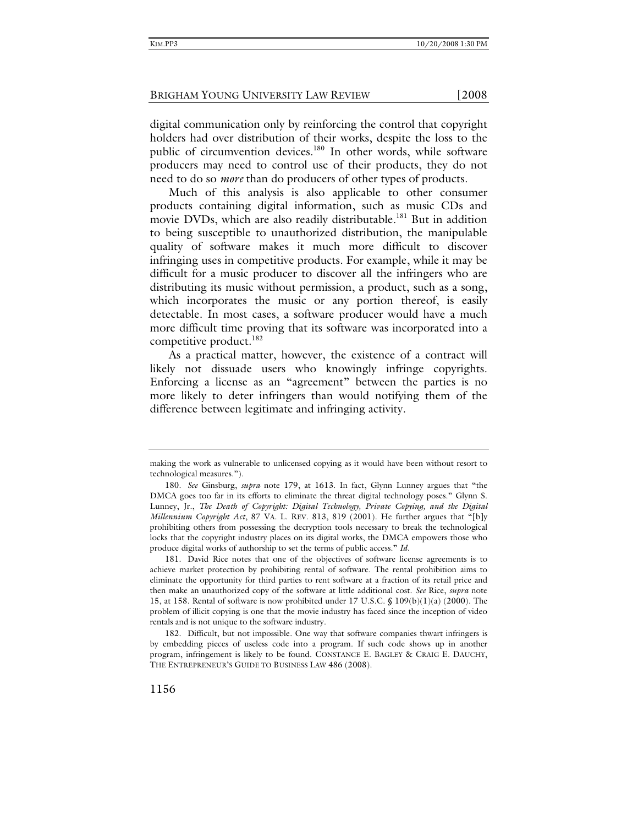digital communication only by reinforcing the control that copyright holders had over distribution of their works, despite the loss to the public of circumvention devices.<sup>180</sup> In other words, while software producers may need to control use of their products, they do not need to do so *more* than do producers of other types of products.

Much of this analysis is also applicable to other consumer products containing digital information, such as music CDs and movie DVDs, which are also readily distributable.<sup>181</sup> But in addition to being susceptible to unauthorized distribution, the manipulable quality of software makes it much more difficult to discover infringing uses in competitive products. For example, while it may be difficult for a music producer to discover all the infringers who are distributing its music without permission, a product, such as a song, which incorporates the music or any portion thereof, is easily detectable. In most cases, a software producer would have a much more difficult time proving that its software was incorporated into a competitive product.<sup>182</sup>

As a practical matter, however, the existence of a contract will likely not dissuade users who knowingly infringe copyrights. Enforcing a license as an "agreement" between the parties is no more likely to deter infringers than would notifying them of the difference between legitimate and infringing activity.

making the work as vulnerable to unlicensed copying as it would have been without resort to technological measures.").

 <sup>180.</sup> *See* Ginsburg, *supra* note 179, at 1613. In fact, Glynn Lunney argues that "the DMCA goes too far in its efforts to eliminate the threat digital technology poses." Glynn S. Lunney, Jr., *The Death of Copyright: Digital Technology, Private Copying, and the Digital Millennium Copyright Act*, 87 VA. L. REV. 813, 819 (2001). He further argues that "[b]y prohibiting others from possessing the decryption tools necessary to break the technological locks that the copyright industry places on its digital works, the DMCA empowers those who produce digital works of authorship to set the terms of public access." *Id*.

 <sup>181.</sup> David Rice notes that one of the objectives of software license agreements is to achieve market protection by prohibiting rental of software. The rental prohibition aims to eliminate the opportunity for third parties to rent software at a fraction of its retail price and then make an unauthorized copy of the software at little additional cost. *See* Rice, *supra* note 15, at 158. Rental of software is now prohibited under 17 U.S.C. § 109(b)(1)(a) (2000). The problem of illicit copying is one that the movie industry has faced since the inception of video rentals and is not unique to the software industry.

 <sup>182.</sup> Difficult, but not impossible. One way that software companies thwart infringers is by embedding pieces of useless code into a program. If such code shows up in another program, infringement is likely to be found. CONSTANCE E. BAGLEY & CRAIG E. DAUCHY, THE ENTREPRENEUR'S GUIDE TO BUSINESS LAW 486 (2008).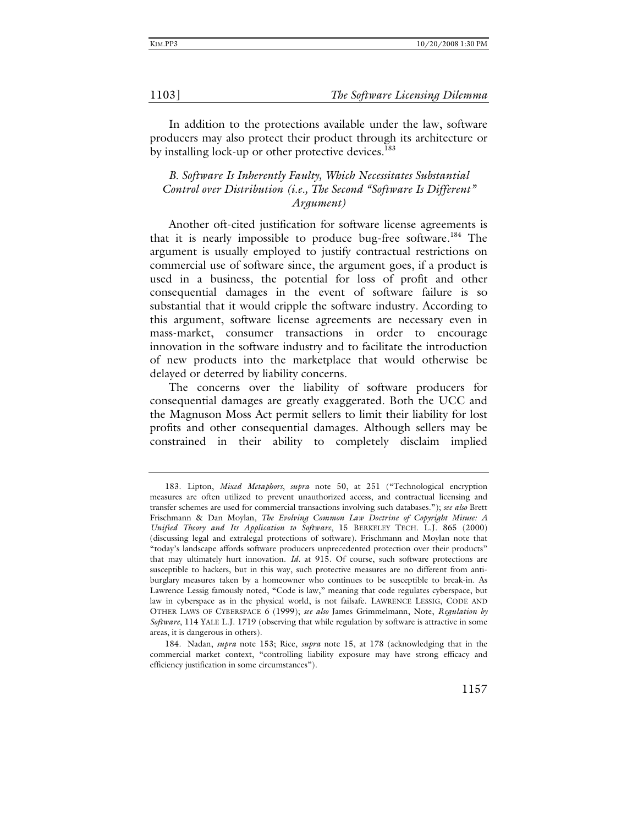In addition to the protections available under the law, software producers may also protect their product through its architecture or by installing lock-up or other protective devices.<sup>183</sup>

# *B. Software Is Inherently Faulty, Which Necessitates Substantial Control over Distribution (i.e., The Second "Software Is Different" Argument)*

Another oft-cited justification for software license agreements is that it is nearly impossible to produce bug-free software.<sup>184</sup> The argument is usually employed to justify contractual restrictions on commercial use of software since, the argument goes, if a product is used in a business, the potential for loss of profit and other consequential damages in the event of software failure is so substantial that it would cripple the software industry. According to this argument, software license agreements are necessary even in mass-market, consumer transactions in order to encourage innovation in the software industry and to facilitate the introduction of new products into the marketplace that would otherwise be delayed or deterred by liability concerns.

The concerns over the liability of software producers for consequential damages are greatly exaggerated. Both the UCC and the Magnuson Moss Act permit sellers to limit their liability for lost profits and other consequential damages. Although sellers may be constrained in their ability to completely disclaim implied

 <sup>183.</sup> Lipton, *Mixed Metaphors*, *supra* note 50, at 251 ("Technological encryption measures are often utilized to prevent unauthorized access, and contractual licensing and transfer schemes are used for commercial transactions involving such databases."); *see also* Brett Frischmann & Dan Moylan, *The Evolving Common Law Doctrine of Copyright Misuse: A Unified Theory and Its Application to Software*, 15 BERKELEY TECH. L.J. 865 (2000) (discussing legal and extralegal protections of software). Frischmann and Moylan note that "today's landscape affords software producers unprecedented protection over their products" that may ultimately hurt innovation. *Id.* at 915. Of course, such software protections are susceptible to hackers, but in this way, such protective measures are no different from antiburglary measures taken by a homeowner who continues to be susceptible to break-in. As Lawrence Lessig famously noted, "Code is law," meaning that code regulates cyberspace, but law in cyberspace as in the physical world, is not failsafe. LAWRENCE LESSIG, CODE AND OTHER LAWS OF CYBERSPACE 6 (1999); *see also* James Grimmelmann, Note, *Regulation by Software*, 114 YALE L.J. 1719 (observing that while regulation by software is attractive in some areas, it is dangerous in others).

 <sup>184.</sup> Nadan, *supra* note 153; Rice, *supra* note 15, at 178 (acknowledging that in the commercial market context, "controlling liability exposure may have strong efficacy and efficiency justification in some circumstances").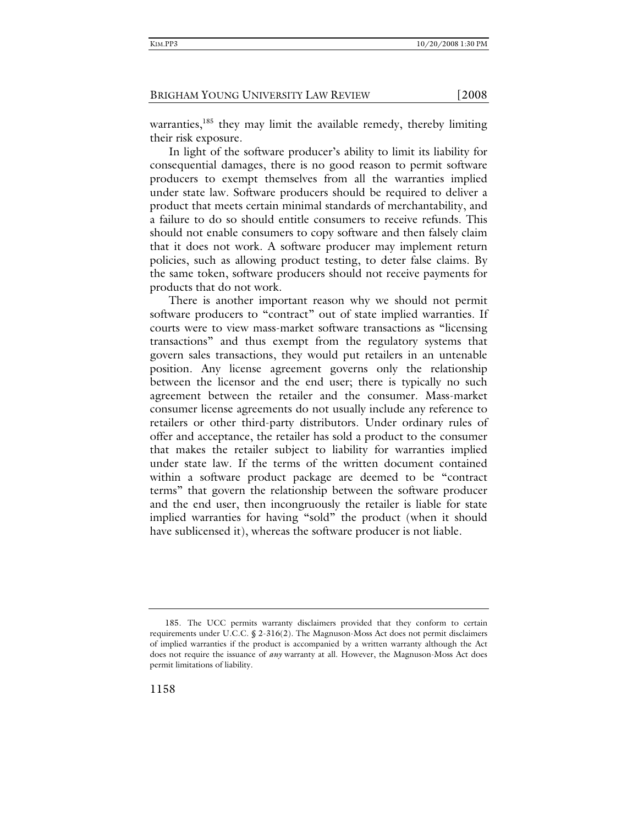warranties, $185$  they may limit the available remedy, thereby limiting their risk exposure.

In light of the software producer's ability to limit its liability for consequential damages, there is no good reason to permit software producers to exempt themselves from all the warranties implied under state law. Software producers should be required to deliver a product that meets certain minimal standards of merchantability, and a failure to do so should entitle consumers to receive refunds. This should not enable consumers to copy software and then falsely claim that it does not work. A software producer may implement return policies, such as allowing product testing, to deter false claims. By the same token, software producers should not receive payments for products that do not work.

There is another important reason why we should not permit software producers to "contract" out of state implied warranties. If courts were to view mass-market software transactions as "licensing transactions" and thus exempt from the regulatory systems that govern sales transactions, they would put retailers in an untenable position. Any license agreement governs only the relationship between the licensor and the end user; there is typically no such agreement between the retailer and the consumer. Mass-market consumer license agreements do not usually include any reference to retailers or other third-party distributors. Under ordinary rules of offer and acceptance, the retailer has sold a product to the consumer that makes the retailer subject to liability for warranties implied under state law. If the terms of the written document contained within a software product package are deemed to be "contract terms" that govern the relationship between the software producer and the end user, then incongruously the retailer is liable for state implied warranties for having "sold" the product (when it should have sublicensed it), whereas the software producer is not liable.

 <sup>185.</sup> The UCC permits warranty disclaimers provided that they conform to certain requirements under U.C.C. § 2-316(2). The Magnuson-Moss Act does not permit disclaimers of implied warranties if the product is accompanied by a written warranty although the Act does not require the issuance of *any* warranty at all. However, the Magnuson-Moss Act does permit limitations of liability.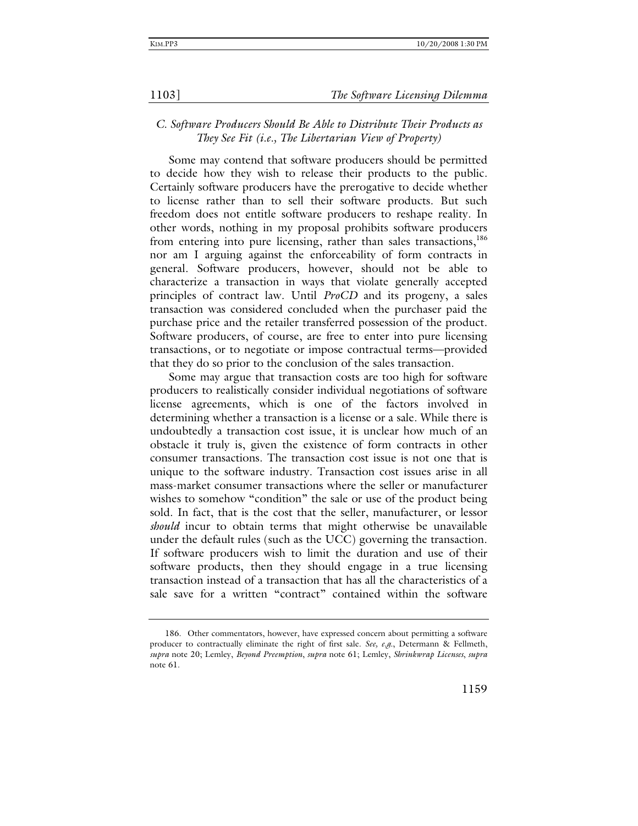# *C. Software Producers Should Be Able to Distribute Their Products as They See Fit (i.e., The Libertarian View of Property)*

Some may contend that software producers should be permitted to decide how they wish to release their products to the public. Certainly software producers have the prerogative to decide whether to license rather than to sell their software products. But such freedom does not entitle software producers to reshape reality. In other words, nothing in my proposal prohibits software producers from entering into pure licensing, rather than sales transactions,<sup>186</sup> nor am I arguing against the enforceability of form contracts in general. Software producers, however, should not be able to characterize a transaction in ways that violate generally accepted principles of contract law. Until *ProCD* and its progeny, a sales transaction was considered concluded when the purchaser paid the purchase price and the retailer transferred possession of the product. Software producers, of course, are free to enter into pure licensing transactions, or to negotiate or impose contractual terms—provided that they do so prior to the conclusion of the sales transaction.

Some may argue that transaction costs are too high for software producers to realistically consider individual negotiations of software license agreements, which is one of the factors involved in determining whether a transaction is a license or a sale. While there is undoubtedly a transaction cost issue, it is unclear how much of an obstacle it truly is, given the existence of form contracts in other consumer transactions. The transaction cost issue is not one that is unique to the software industry. Transaction cost issues arise in all mass-market consumer transactions where the seller or manufacturer wishes to somehow "condition" the sale or use of the product being sold. In fact, that is the cost that the seller, manufacturer, or lessor *should* incur to obtain terms that might otherwise be unavailable under the default rules (such as the UCC) governing the transaction. If software producers wish to limit the duration and use of their software products, then they should engage in a true licensing transaction instead of a transaction that has all the characteristics of a sale save for a written "contract" contained within the software

 <sup>186.</sup> Other commentators, however, have expressed concern about permitting a software producer to contractually eliminate the right of first sale. *See, e.g.*, Determann & Fellmeth, *supra* note 20; Lemley, *Beyond Preemption*, *supra* note 61; Lemley, *Shrinkwrap Licenses*, *supra*  note 61.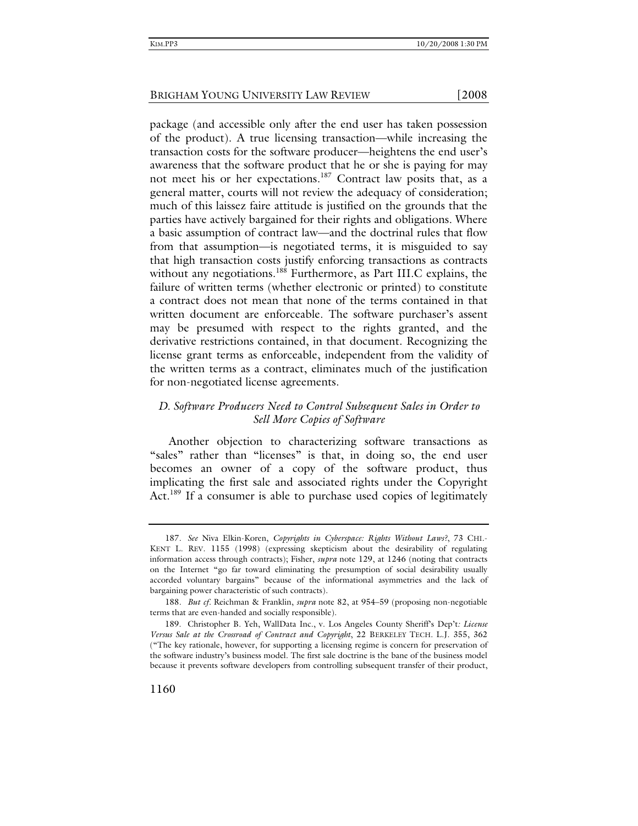package (and accessible only after the end user has taken possession of the product). A true licensing transaction—while increasing the transaction costs for the software producer—heightens the end user's awareness that the software product that he or she is paying for may not meet his or her expectations.187 Contract law posits that, as a general matter, courts will not review the adequacy of consideration; much of this laissez faire attitude is justified on the grounds that the parties have actively bargained for their rights and obligations. Where a basic assumption of contract law—and the doctrinal rules that flow from that assumption—is negotiated terms, it is misguided to say that high transaction costs justify enforcing transactions as contracts without any negotiations.<sup>188</sup> Furthermore, as Part III.C explains, the failure of written terms (whether electronic or printed) to constitute a contract does not mean that none of the terms contained in that written document are enforceable. The software purchaser's assent may be presumed with respect to the rights granted, and the derivative restrictions contained, in that document. Recognizing the license grant terms as enforceable, independent from the validity of the written terms as a contract, eliminates much of the justification for non-negotiated license agreements.

### *D. Software Producers Need to Control Subsequent Sales in Order to Sell More Copies of Software*

Another objection to characterizing software transactions as "sales" rather than "licenses" is that, in doing so, the end user becomes an owner of a copy of the software product, thus implicating the first sale and associated rights under the Copyright Act.<sup>189</sup> If a consumer is able to purchase used copies of legitimately

<sup>187</sup>*. See* Niva Elkin-Koren, *Copyrights in Cyberspace: Rights Without Laws?*, 73 CHI.- KENT L. REV. 1155 (1998) (expressing skepticism about the desirability of regulating information access through contracts); Fisher, *supra* note 129, at 1246 (noting that contracts on the Internet "go far toward eliminating the presumption of social desirability usually accorded voluntary bargains" because of the informational asymmetries and the lack of bargaining power characteristic of such contracts).

<sup>188</sup>*. But cf.* Reichman & Franklin, *supra* note 82, at 954–59 (proposing non-negotiable terms that are even-handed and socially responsible).

 <sup>189.</sup> Christopher B. Yeh, WallData Inc., v. Los Angeles County Sheriff's Dep't*: License Versus Sale at the Crossroad of Contract and Copyright*, 22 BERKELEY TECH. L.J. 355, 362 ("The key rationale, however, for supporting a licensing regime is concern for preservation of the software industry's business model. The first sale doctrine is the bane of the business model because it prevents software developers from controlling subsequent transfer of their product,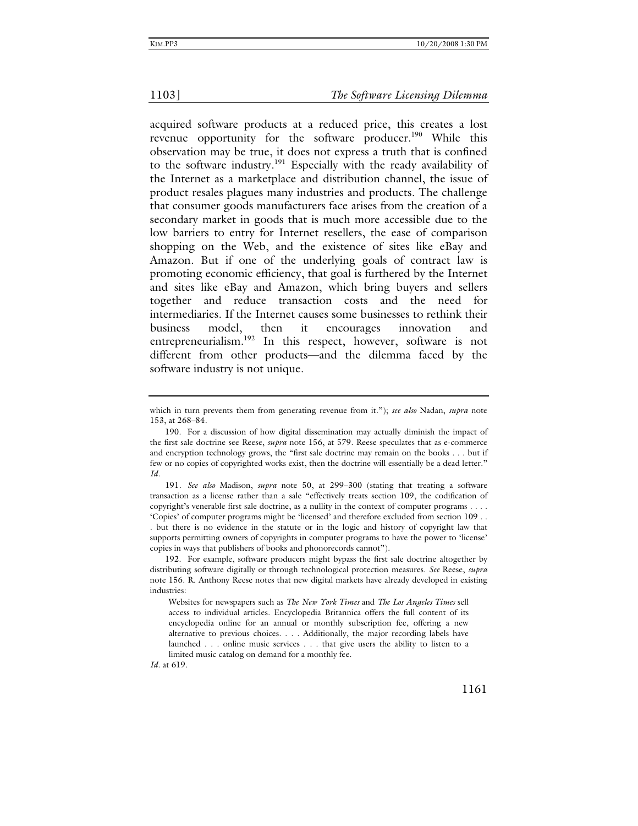acquired software products at a reduced price, this creates a lost revenue opportunity for the software producer.<sup>190</sup> While this observation may be true, it does not express a truth that is confined to the software industry.<sup>191</sup> Especially with the ready availability of the Internet as a marketplace and distribution channel, the issue of product resales plagues many industries and products. The challenge that consumer goods manufacturers face arises from the creation of a secondary market in goods that is much more accessible due to the low barriers to entry for Internet resellers, the ease of comparison shopping on the Web, and the existence of sites like eBay and Amazon. But if one of the underlying goals of contract law is promoting economic efficiency, that goal is furthered by the Internet and sites like eBay and Amazon, which bring buyers and sellers together and reduce transaction costs and the need for intermediaries. If the Internet causes some businesses to rethink their business model, then it encourages innovation and entrepreneurialism.<sup>192</sup> In this respect, however, software is not different from other products—and the dilemma faced by the software industry is not unique.

*Id*. at 619.

which in turn prevents them from generating revenue from it."); *see also* Nadan, *supra* note 153, at 268–84.

 <sup>190.</sup> For a discussion of how digital dissemination may actually diminish the impact of the first sale doctrine see Reese, *supra* note 156, at 579. Reese speculates that as e-commerce and encryption technology grows, the "first sale doctrine may remain on the books . . . but if few or no copies of copyrighted works exist, then the doctrine will essentially be a dead letter." *Id.*

<sup>191</sup>*. See also* Madison, *supra* note 50, at 299–300 (stating that treating a software transaction as a license rather than a sale "effectively treats section 109, the codification of copyright's venerable first sale doctrine, as a nullity in the context of computer programs . . . . 'Copies' of computer programs might be 'licensed' and therefore excluded from section 109 . . . but there is no evidence in the statute or in the logic and history of copyright law that supports permitting owners of copyrights in computer programs to have the power to 'license' copies in ways that publishers of books and phonorecords cannot").

 <sup>192.</sup> For example, software producers might bypass the first sale doctrine altogether by distributing software digitally or through technological protection measures. *See* Reese, *supra*  note 156. R. Anthony Reese notes that new digital markets have already developed in existing industries:

Websites for newspapers such as *The New York Times* and *The Los Angeles Times* sell access to individual articles. Encyclopedia Britannica offers the full content of its encyclopedia online for an annual or monthly subscription fee, offering a new alternative to previous choices. . . . Additionally, the major recording labels have launched . . . online music services . . . that give users the ability to listen to a limited music catalog on demand for a monthly fee.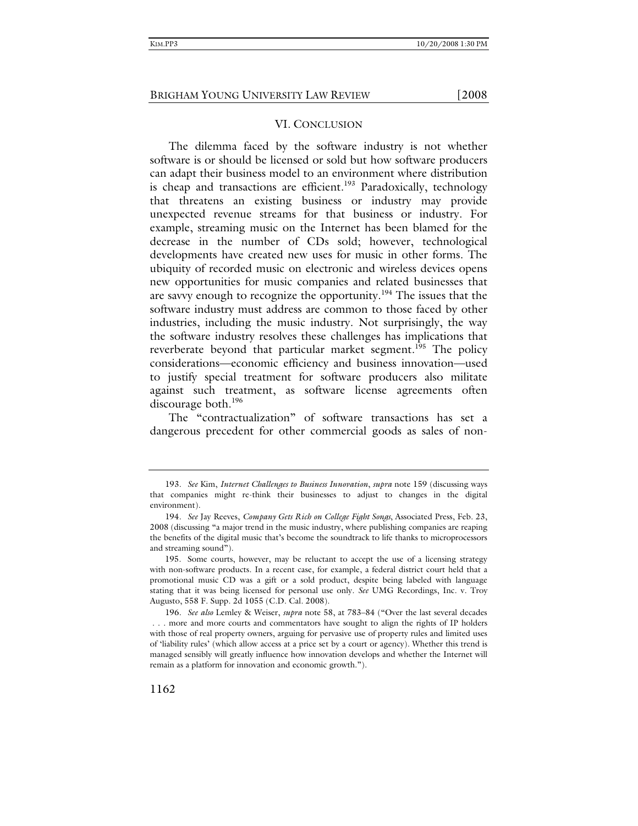### VI. CONCLUSION

The dilemma faced by the software industry is not whether software is or should be licensed or sold but how software producers can adapt their business model to an environment where distribution is cheap and transactions are efficient.<sup>193</sup> Paradoxically, technology that threatens an existing business or industry may provide unexpected revenue streams for that business or industry. For example, streaming music on the Internet has been blamed for the decrease in the number of CDs sold; however, technological developments have created new uses for music in other forms. The ubiquity of recorded music on electronic and wireless devices opens new opportunities for music companies and related businesses that are savvy enough to recognize the opportunity.<sup>194</sup> The issues that the software industry must address are common to those faced by other industries, including the music industry. Not surprisingly, the way the software industry resolves these challenges has implications that reverberate beyond that particular market segment.<sup>195</sup> The policy considerations—economic efficiency and business innovation—used to justify special treatment for software producers also militate against such treatment, as software license agreements often discourage both.<sup>196</sup>

The "contractualization" of software transactions has set a dangerous precedent for other commercial goods as sales of non-

<sup>193</sup>*. See* Kim, *Internet Challenges to Business Innovation*, *supra* note 159 (discussing ways that companies might re-think their businesses to adjust to changes in the digital environment).

<sup>194</sup>*. See* Jay Reeves, *Company Gets Rich on College Fight Songs*, Associated Press, Feb. 23, 2008 (discussing "a major trend in the music industry, where publishing companies are reaping the benefits of the digital music that's become the soundtrack to life thanks to microprocessors and streaming sound").

 <sup>195.</sup> Some courts, however, may be reluctant to accept the use of a licensing strategy with non-software products. In a recent case, for example, a federal district court held that a promotional music CD was a gift or a sold product, despite being labeled with language stating that it was being licensed for personal use only. *See* UMG Recordings, Inc. v. Troy Augusto, 558 F. Supp. 2d 1055 (C.D. Cal. 2008).

<sup>196</sup>*. See also* Lemley & Weiser, *supra* note 58, at 783–84 ("Over the last several decades . . . more and more courts and commentators have sought to align the rights of IP holders with those of real property owners, arguing for pervasive use of property rules and limited uses of 'liability rules' (which allow access at a price set by a court or agency). Whether this trend is managed sensibly will greatly influence how innovation develops and whether the Internet will remain as a platform for innovation and economic growth.").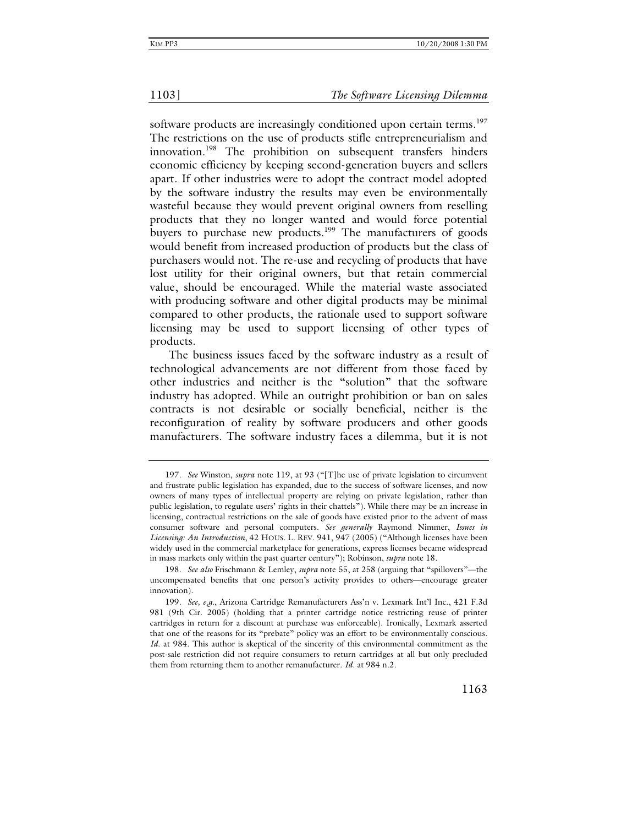software products are increasingly conditioned upon certain terms.<sup>197</sup> The restrictions on the use of products stifle entrepreneurialism and innovation.<sup>198</sup> The prohibition on subsequent transfers hinders economic efficiency by keeping second-generation buyers and sellers apart. If other industries were to adopt the contract model adopted by the software industry the results may even be environmentally wasteful because they would prevent original owners from reselling products that they no longer wanted and would force potential buyers to purchase new products.<sup>199</sup> The manufacturers of goods would benefit from increased production of products but the class of purchasers would not. The re-use and recycling of products that have lost utility for their original owners, but that retain commercial value, should be encouraged. While the material waste associated with producing software and other digital products may be minimal compared to other products, the rationale used to support software licensing may be used to support licensing of other types of products.

The business issues faced by the software industry as a result of technological advancements are not different from those faced by other industries and neither is the "solution" that the software industry has adopted. While an outright prohibition or ban on sales contracts is not desirable or socially beneficial, neither is the reconfiguration of reality by software producers and other goods manufacturers. The software industry faces a dilemma, but it is not

<sup>197</sup>*. See* Winston, *supra* note 119, at 93 ("[T]he use of private legislation to circumvent and frustrate public legislation has expanded, due to the success of software licenses, and now owners of many types of intellectual property are relying on private legislation, rather than public legislation, to regulate users' rights in their chattels")*.* While there may be an increase in licensing, contractual restrictions on the sale of goods have existed prior to the advent of mass consumer software and personal computers. *See generally* Raymond Nimmer, *Issues in Licensing: An Introduction*, 42 HOUS. L. REV. 941, 947 (2005) ("Although licenses have been widely used in the commercial marketplace for generations, express licenses became widespread in mass markets only within the past quarter century"); Robinson, *supra* note 18.

<sup>198</sup>*. See also* Frischmann & Lemley, *supra* note 55, at 258 (arguing that "spillovers"—the uncompensated benefits that one person's activity provides to others—encourage greater innovation).

<sup>199</sup>*. See, e.g.*, Arizona Cartridge Remanufacturers Ass'n v. Lexmark Int'l Inc., 421 F.3d 981 (9th Cir. 2005) (holding that a printer cartridge notice restricting reuse of printer cartridges in return for a discount at purchase was enforceable). Ironically, Lexmark asserted that one of the reasons for its "prebate" policy was an effort to be environmentally conscious. *Id*. at 984. This author is skeptical of the sincerity of this environmental commitment as the post-sale restriction did not require consumers to return cartridges at all but only precluded them from returning them to another remanufacturer. *Id*. at 984 n.2.